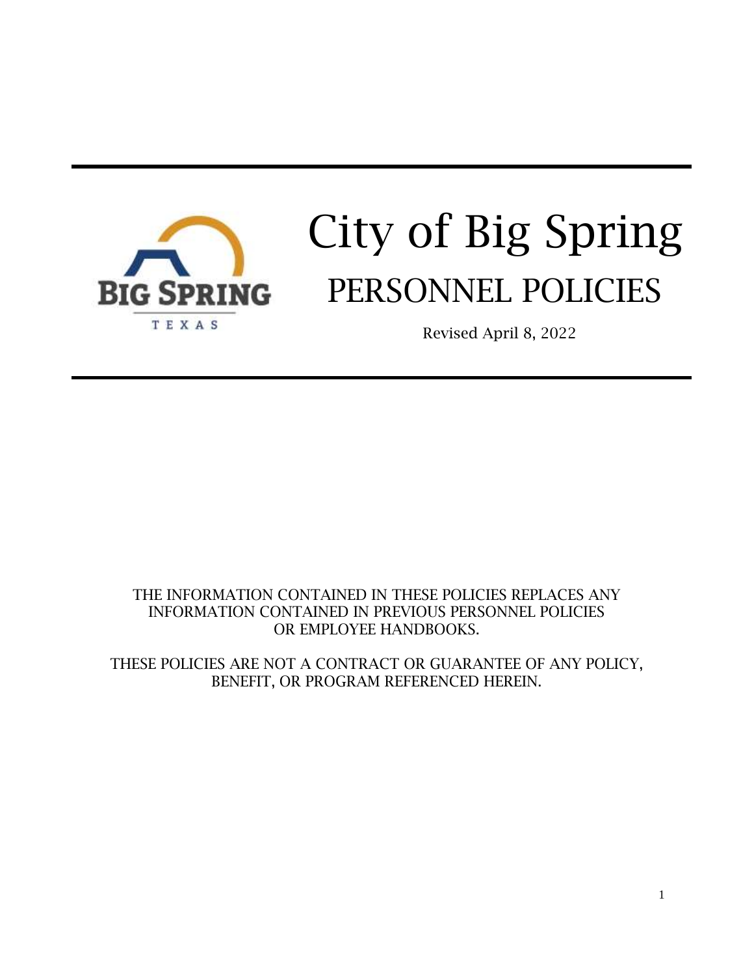

# City of Big Spring PERSONNEL POLICIES

Revised April 8, 2022

# THE INFORMATION CONTAINED IN THESE POLICIES REPLACES ANY INFORMATION CONTAINED IN PREVIOUS PERSONNEL POLICIES OR EMPLOYEE HANDBOOKS.

THESE POLICIES ARE NOT A CONTRACT OR GUARANTEE OF ANY POLICY, BENEFIT, OR PROGRAM REFERENCED HEREIN.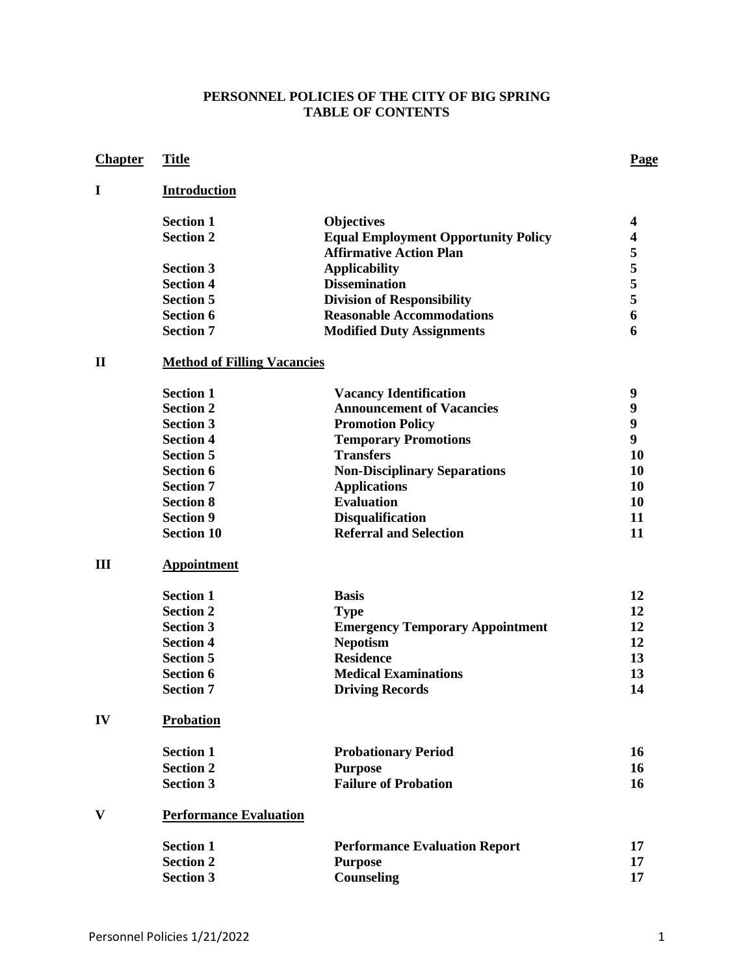#### **PERSONNEL POLICIES OF THE CITY OF BIG SPRING TABLE OF CONTENTS**

# **Chapter Title Page**

# **I Introduction**

| <b>Section 1</b> | <b>Objectives</b>                          |   |
|------------------|--------------------------------------------|---|
| <b>Section 2</b> | <b>Equal Employment Opportunity Policy</b> |   |
|                  | <b>Affirmative Action Plan</b>             |   |
| <b>Section 3</b> | <b>Applicability</b>                       |   |
| <b>Section 4</b> | <b>Dissemination</b>                       |   |
| <b>Section 5</b> | <b>Division of Responsibility</b>          |   |
| <b>Section 6</b> | <b>Reasonable Accommodations</b>           | 6 |
| <b>Section 7</b> | <b>Modified Duty Assignments</b>           |   |

# **II Method of Filling Vacancies**

| <b>Section 1</b>  | <b>Vacancy Identification</b>       | q  |
|-------------------|-------------------------------------|----|
| <b>Section 2</b>  | <b>Announcement of Vacancies</b>    | q  |
| <b>Section 3</b>  | <b>Promotion Policy</b>             | 9  |
| <b>Section 4</b>  | <b>Temporary Promotions</b>         | 9  |
| <b>Section 5</b>  | <b>Transfers</b>                    | 10 |
| <b>Section 6</b>  | <b>Non-Disciplinary Separations</b> | 10 |
| <b>Section 7</b>  | <b>Applications</b>                 | 10 |
| <b>Section 8</b>  | <b>Evaluation</b>                   | 10 |
| <b>Section 9</b>  | <b>Disqualification</b>             | 11 |
| <b>Section 10</b> | <b>Referral and Selection</b>       | 11 |

#### **III Appointment**

| <b>Section 1</b> | <b>Basis</b>                           | 12 |
|------------------|----------------------------------------|----|
| <b>Section 2</b> | <b>Type</b>                            | 12 |
| <b>Section 3</b> | <b>Emergency Temporary Appointment</b> | 12 |
| <b>Section 4</b> | <b>Nepotism</b>                        | 12 |
| <b>Section 5</b> | <b>Residence</b>                       | 13 |
| <b>Section 6</b> | <b>Medical Examinations</b>            | 13 |
| <b>Section 7</b> | <b>Driving Records</b>                 | 14 |

## **IV Probation**

| <b>Section 1</b> | <b>Probationary Period</b>  | 16 |
|------------------|-----------------------------|----|
| <b>Section 2</b> | Purpose                     | 16 |
| <b>Section 3</b> | <b>Failure of Probation</b> | 16 |

#### **V Performance Evaluation**

| <b>Section 1</b> | <b>Performance Evaluation Report</b> |  |
|------------------|--------------------------------------|--|
| <b>Section 2</b> | Purpose                              |  |
| <b>Section 3</b> | <b>Counseling</b>                    |  |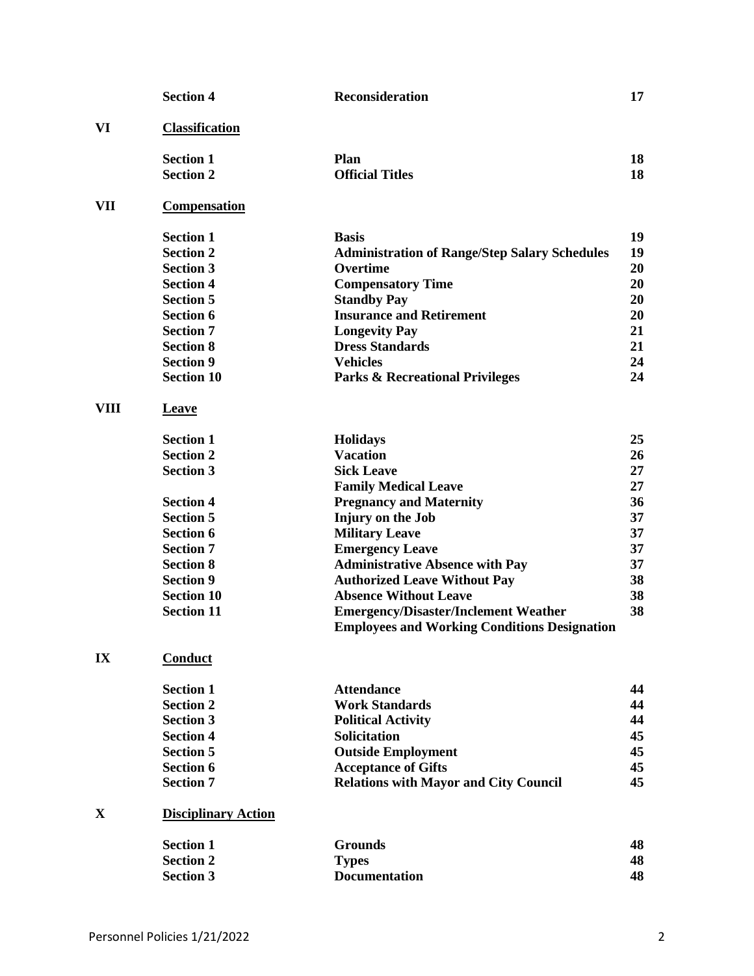|             | <b>Section 4</b>           | Reconsideration                                                                                    | 17 |
|-------------|----------------------------|----------------------------------------------------------------------------------------------------|----|
| VI          | <b>Classification</b>      |                                                                                                    |    |
|             | <b>Section 1</b>           | Plan                                                                                               | 18 |
|             | <b>Section 2</b>           | <b>Official Titles</b>                                                                             | 18 |
| VII         | <b>Compensation</b>        |                                                                                                    |    |
|             | <b>Section 1</b>           | <b>Basis</b>                                                                                       | 19 |
|             | <b>Section 2</b>           | <b>Administration of Range/Step Salary Schedules</b>                                               | 19 |
|             | <b>Section 3</b>           | Overtime                                                                                           | 20 |
|             | <b>Section 4</b>           | <b>Compensatory Time</b>                                                                           | 20 |
|             | <b>Section 5</b>           | <b>Standby Pay</b>                                                                                 | 20 |
|             | <b>Section 6</b>           | <b>Insurance and Retirement</b>                                                                    | 20 |
|             | <b>Section 7</b>           | <b>Longevity Pay</b>                                                                               | 21 |
|             | <b>Section 8</b>           | <b>Dress Standards</b>                                                                             | 21 |
|             | <b>Section 9</b>           | <b>Vehicles</b>                                                                                    | 24 |
|             | <b>Section 10</b>          | <b>Parks &amp; Recreational Privileges</b>                                                         | 24 |
| <b>VIII</b> | <b>Leave</b>               |                                                                                                    |    |
|             | <b>Section 1</b>           | <b>Holidays</b>                                                                                    | 25 |
|             | <b>Section 2</b>           | <b>Vacation</b>                                                                                    | 26 |
|             | <b>Section 3</b>           | <b>Sick Leave</b>                                                                                  | 27 |
|             |                            | <b>Family Medical Leave</b>                                                                        | 27 |
|             | <b>Section 4</b>           | <b>Pregnancy and Maternity</b>                                                                     | 36 |
|             | <b>Section 5</b>           | Injury on the Job                                                                                  | 37 |
|             | <b>Section 6</b>           | <b>Military Leave</b>                                                                              | 37 |
|             | <b>Section 7</b>           | <b>Emergency Leave</b>                                                                             | 37 |
|             | <b>Section 8</b>           | <b>Administrative Absence with Pay</b>                                                             | 37 |
|             | <b>Section 9</b>           | <b>Authorized Leave Without Pay</b>                                                                | 38 |
|             | <b>Section 10</b>          | <b>Absence Without Leave</b>                                                                       | 38 |
|             | <b>Section 11</b>          | <b>Emergency/Disaster/Inclement Weather</b><br><b>Employees and Working Conditions Designation</b> | 38 |
| IX          | Conduct                    |                                                                                                    |    |
|             | <b>Section 1</b>           | <b>Attendance</b>                                                                                  | 44 |
|             | <b>Section 2</b>           | <b>Work Standards</b>                                                                              | 44 |
|             | <b>Section 3</b>           | <b>Political Activity</b>                                                                          | 44 |
|             | <b>Section 4</b>           | Solicitation                                                                                       | 45 |
|             | <b>Section 5</b>           | <b>Outside Employment</b>                                                                          | 45 |
|             | <b>Section 6</b>           | <b>Acceptance of Gifts</b>                                                                         | 45 |
|             | <b>Section 7</b>           | <b>Relations with Mayor and City Council</b>                                                       | 45 |
| X           | <b>Disciplinary Action</b> |                                                                                                    |    |
|             | <b>Section 1</b>           | <b>Grounds</b>                                                                                     | 48 |
|             | <b>Section 2</b>           | <b>Types</b>                                                                                       | 48 |
|             | <b>Section 3</b>           | <b>Documentation</b>                                                                               | 48 |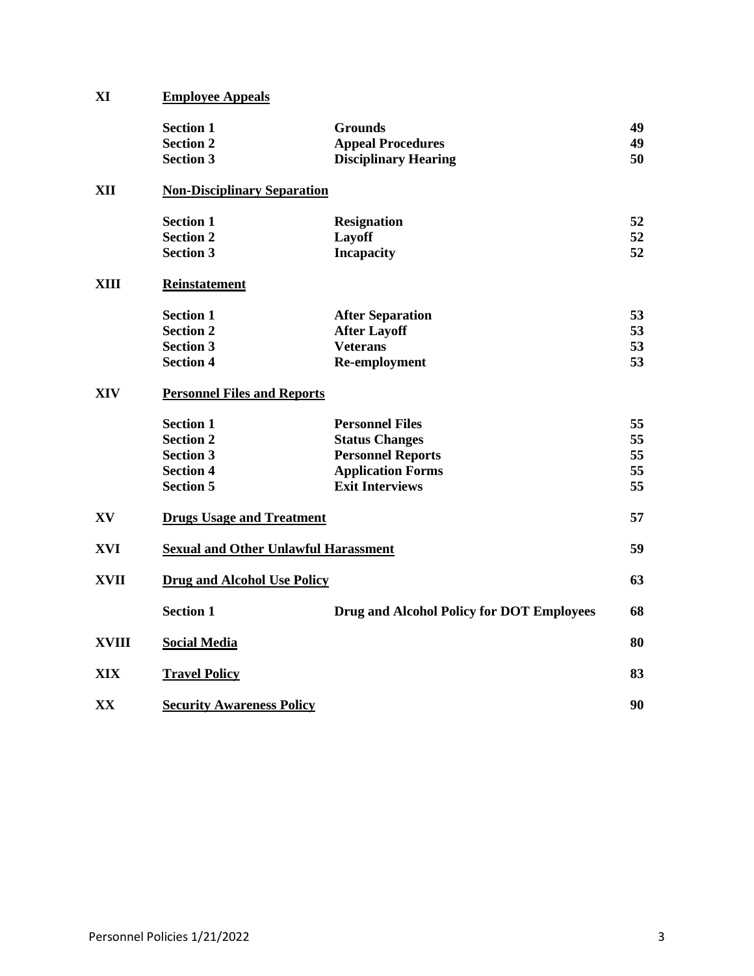| XI           | <b>Employee Appeals</b>                     |                                                  |    |
|--------------|---------------------------------------------|--------------------------------------------------|----|
|              | <b>Section 1</b>                            | <b>Grounds</b>                                   | 49 |
|              | <b>Section 2</b>                            | <b>Appeal Procedures</b>                         | 49 |
|              | <b>Section 3</b>                            | <b>Disciplinary Hearing</b>                      | 50 |
| XII          | <b>Non-Disciplinary Separation</b>          |                                                  |    |
|              | <b>Section 1</b>                            | <b>Resignation</b>                               | 52 |
|              | <b>Section 2</b>                            | Layoff                                           | 52 |
|              | <b>Section 3</b>                            | <b>Incapacity</b>                                | 52 |
| <b>XIII</b>  | <b>Reinstatement</b>                        |                                                  |    |
|              | <b>Section 1</b>                            | <b>After Separation</b>                          | 53 |
|              | <b>Section 2</b>                            | <b>After Layoff</b>                              | 53 |
|              | <b>Section 3</b>                            | <b>Veterans</b>                                  | 53 |
|              | <b>Section 4</b>                            | Re-employment                                    | 53 |
| <b>XIV</b>   | <b>Personnel Files and Reports</b>          |                                                  |    |
|              | <b>Section 1</b>                            | <b>Personnel Files</b>                           | 55 |
|              | <b>Section 2</b>                            | <b>Status Changes</b>                            | 55 |
|              | <b>Section 3</b>                            | <b>Personnel Reports</b>                         | 55 |
|              | <b>Section 4</b>                            | <b>Application Forms</b>                         | 55 |
|              | <b>Section 5</b>                            | <b>Exit Interviews</b>                           | 55 |
| XV           | <b>Drugs Usage and Treatment</b>            |                                                  | 57 |
| <b>XVI</b>   | <b>Sexual and Other Unlawful Harassment</b> |                                                  | 59 |
| <b>XVII</b>  | <b>Drug and Alcohol Use Policy</b>          |                                                  | 63 |
|              | <b>Section 1</b>                            | <b>Drug and Alcohol Policy for DOT Employees</b> | 68 |
| <b>XVIII</b> | <b>Social Media</b>                         |                                                  | 80 |
| XIX          | <b>Travel Policy</b>                        |                                                  | 83 |
| XX           | <b>Security Awareness Policy</b>            |                                                  | 90 |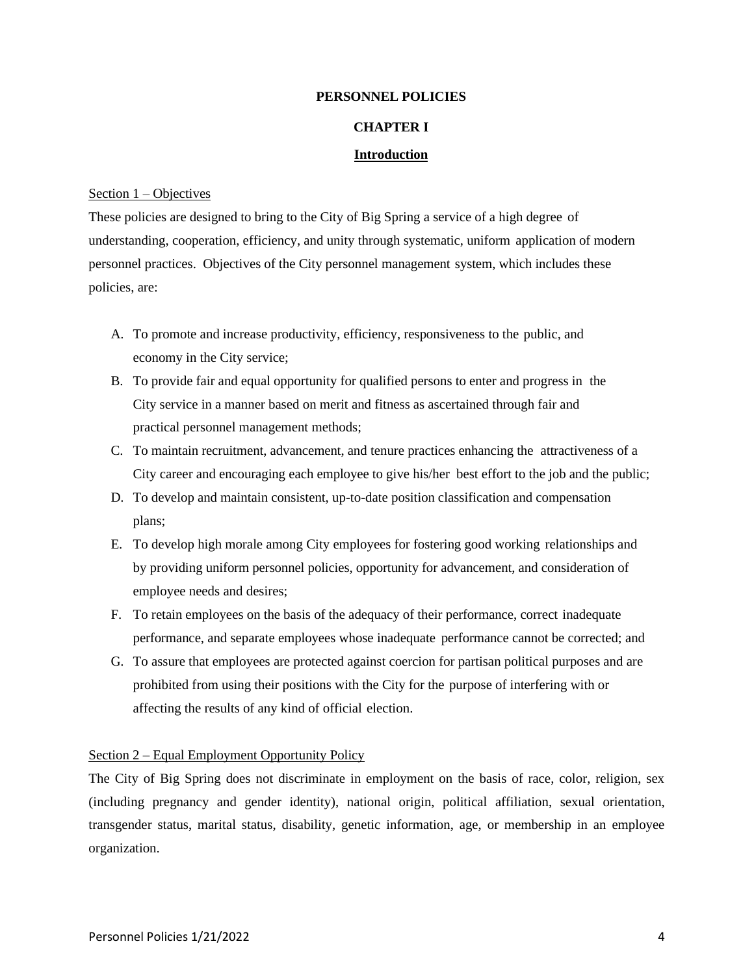#### **CHAPTER I**

#### **Introduction**

#### Section 1 – Objectives

These policies are designed to bring to the City of Big Spring a service of a high degree of understanding, cooperation, efficiency, and unity through systematic, uniform application of modern personnel practices. Objectives of the City personnel management system, which includes these policies, are:

- A. To promote and increase productivity, efficiency, responsiveness to the public, and economy in the City service;
- B. To provide fair and equal opportunity for qualified persons to enter and progress in the City service in a manner based on merit and fitness as ascertained through fair and practical personnel management methods;
- C. To maintain recruitment, advancement, and tenure practices enhancing the attractiveness of a City career and encouraging each employee to give his/her best effort to the job and the public;
- D. To develop and maintain consistent, up-to-date position classification and compensation plans;
- E. To develop high morale among City employees for fostering good working relationships and by providing uniform personnel policies, opportunity for advancement, and consideration of employee needs and desires;
- F. To retain employees on the basis of the adequacy of their performance, correct inadequate performance, and separate employees whose inadequate performance cannot be corrected; and
- G. To assure that employees are protected against coercion for partisan political purposes and are prohibited from using their positions with the City for the purpose of interfering with or affecting the results of any kind of official election.

#### Section 2 – Equal Employment Opportunity Policy

The City of Big Spring does not discriminate in employment on the basis of race, color, religion, sex (including pregnancy and gender identity), national origin, political affiliation, sexual orientation, transgender status, marital status, disability, genetic information, age, or membership in an employee organization.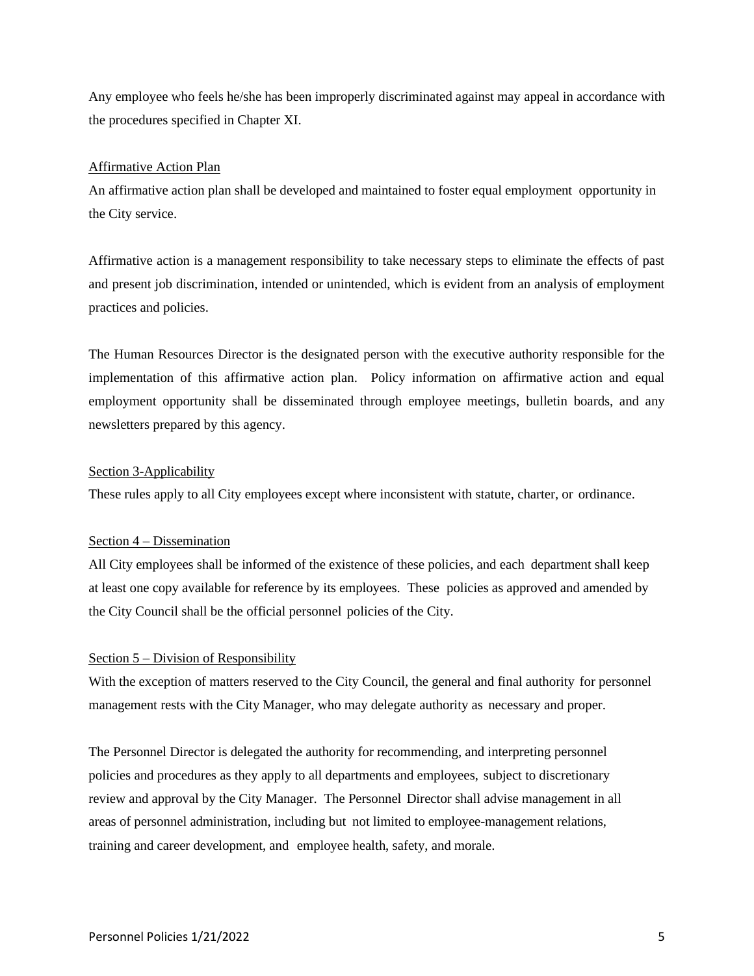Any employee who feels he/she has been improperly discriminated against may appeal in accordance with the procedures specified in Chapter XI.

#### Affirmative Action Plan

An affirmative action plan shall be developed and maintained to foster equal employment opportunity in the City service.

Affirmative action is a management responsibility to take necessary steps to eliminate the effects of past and present job discrimination, intended or unintended, which is evident from an analysis of employment practices and policies.

The Human Resources Director is the designated person with the executive authority responsible for the implementation of this affirmative action plan. Policy information on affirmative action and equal employment opportunity shall be disseminated through employee meetings, bulletin boards, and any newsletters prepared by this agency.

#### Section 3-Applicability

These rules apply to all City employees except where inconsistent with statute, charter, or ordinance.

#### Section 4 – Dissemination

All City employees shall be informed of the existence of these policies, and each department shall keep at least one copy available for reference by its employees. These policies as approved and amended by the City Council shall be the official personnel policies of the City.

#### Section 5 – Division of Responsibility

With the exception of matters reserved to the City Council, the general and final authority for personnel management rests with the City Manager, who may delegate authority as necessary and proper.

The Personnel Director is delegated the authority for recommending, and interpreting personnel policies and procedures as they apply to all departments and employees, subject to discretionary review and approval by the City Manager. The Personnel Director shall advise management in all areas of personnel administration, including but not limited to employee-management relations, training and career development, and employee health, safety, and morale.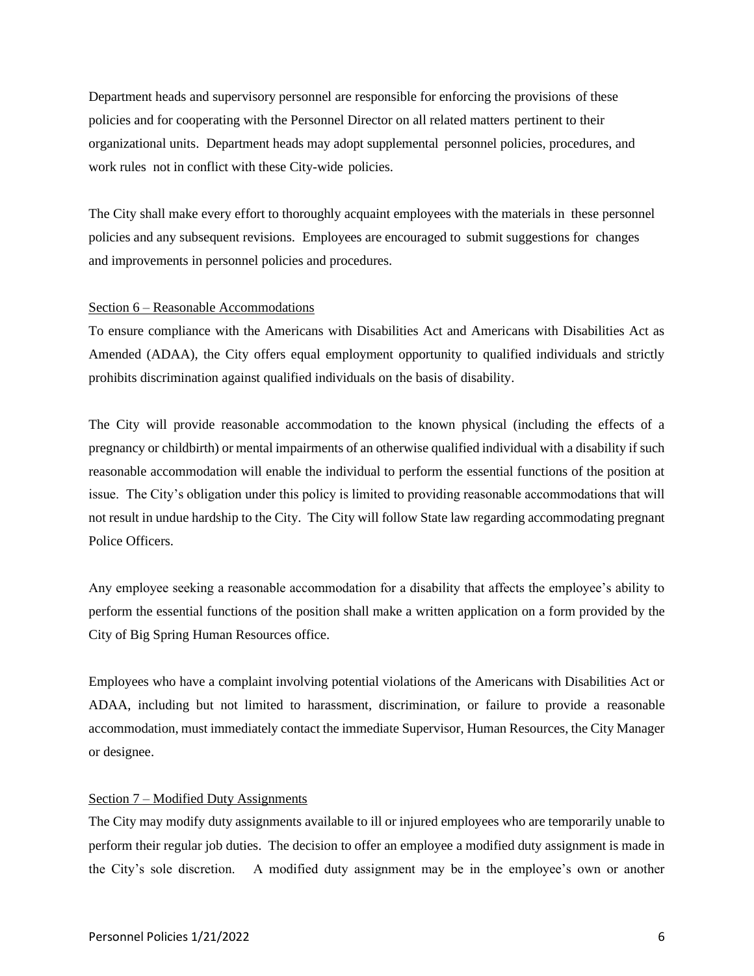Department heads and supervisory personnel are responsible for enforcing the provisions of these policies and for cooperating with the Personnel Director on all related matters pertinent to their organizational units. Department heads may adopt supplemental personnel policies, procedures, and work rules not in conflict with these City-wide policies.

The City shall make every effort to thoroughly acquaint employees with the materials in these personnel policies and any subsequent revisions. Employees are encouraged to submit suggestions for changes and improvements in personnel policies and procedures.

#### Section 6 – Reasonable Accommodations

To ensure compliance with the Americans with Disabilities Act and Americans with Disabilities Act as Amended (ADAA), the City offers equal employment opportunity to qualified individuals and strictly prohibits discrimination against qualified individuals on the basis of disability.

The City will provide reasonable accommodation to the known physical (including the effects of a pregnancy or childbirth) or mental impairments of an otherwise qualified individual with a disability if such reasonable accommodation will enable the individual to perform the essential functions of the position at issue. The City's obligation under this policy is limited to providing reasonable accommodations that will not result in undue hardship to the City. The City will follow State law regarding accommodating pregnant Police Officers.

Any employee seeking a reasonable accommodation for a disability that affects the employee's ability to perform the essential functions of the position shall make a written application on a form provided by the City of Big Spring Human Resources office.

Employees who have a complaint involving potential violations of the Americans with Disabilities Act or ADAA, including but not limited to harassment, discrimination, or failure to provide a reasonable accommodation, must immediately contact the immediate Supervisor, Human Resources, the City Manager or designee.

#### Section 7 – Modified Duty Assignments

The City may modify duty assignments available to ill or injured employees who are temporarily unable to perform their regular job duties. The decision to offer an employee a modified duty assignment is made in the City's sole discretion. A modified duty assignment may be in the employee's own or another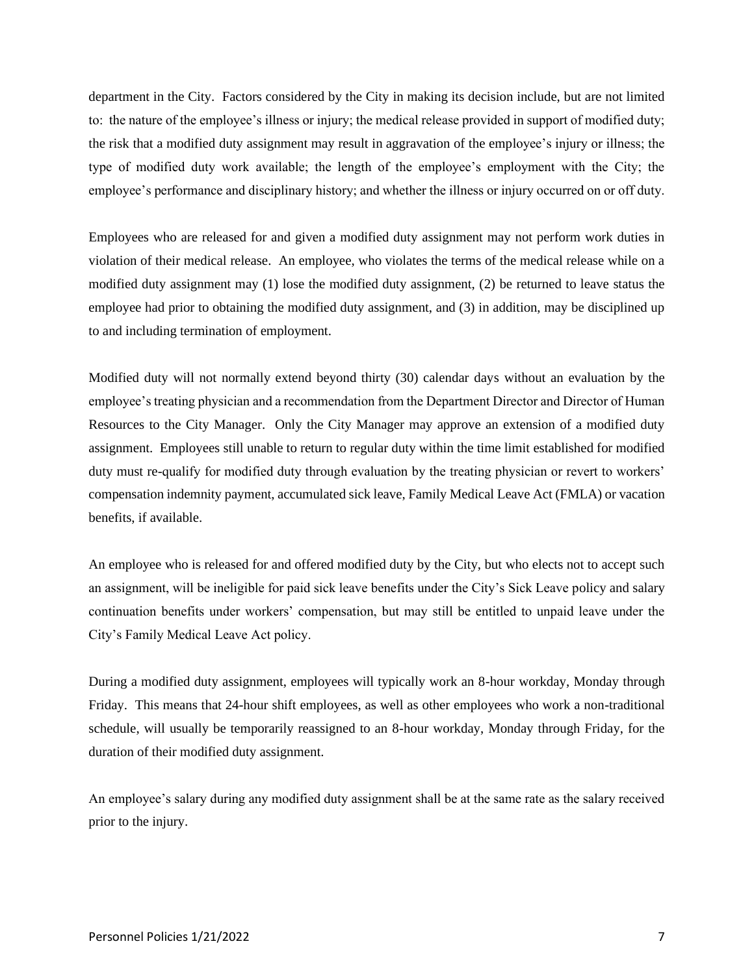department in the City. Factors considered by the City in making its decision include, but are not limited to: the nature of the employee's illness or injury; the medical release provided in support of modified duty; the risk that a modified duty assignment may result in aggravation of the employee's injury or illness; the type of modified duty work available; the length of the employee's employment with the City; the employee's performance and disciplinary history; and whether the illness or injury occurred on or off duty.

Employees who are released for and given a modified duty assignment may not perform work duties in violation of their medical release. An employee, who violates the terms of the medical release while on a modified duty assignment may (1) lose the modified duty assignment, (2) be returned to leave status the employee had prior to obtaining the modified duty assignment, and (3) in addition, may be disciplined up to and including termination of employment.

Modified duty will not normally extend beyond thirty (30) calendar days without an evaluation by the employee's treating physician and a recommendation from the Department Director and Director of Human Resources to the City Manager. Only the City Manager may approve an extension of a modified duty assignment. Employees still unable to return to regular duty within the time limit established for modified duty must re-qualify for modified duty through evaluation by the treating physician or revert to workers' compensation indemnity payment, accumulated sick leave, Family Medical Leave Act (FMLA) or vacation benefits, if available.

An employee who is released for and offered modified duty by the City, but who elects not to accept such an assignment, will be ineligible for paid sick leave benefits under the City's Sick Leave policy and salary continuation benefits under workers' compensation, but may still be entitled to unpaid leave under the City's Family Medical Leave Act policy.

During a modified duty assignment, employees will typically work an 8-hour workday, Monday through Friday. This means that 24-hour shift employees, as well as other employees who work a non-traditional schedule, will usually be temporarily reassigned to an 8-hour workday, Monday through Friday, for the duration of their modified duty assignment.

An employee's salary during any modified duty assignment shall be at the same rate as the salary received prior to the injury.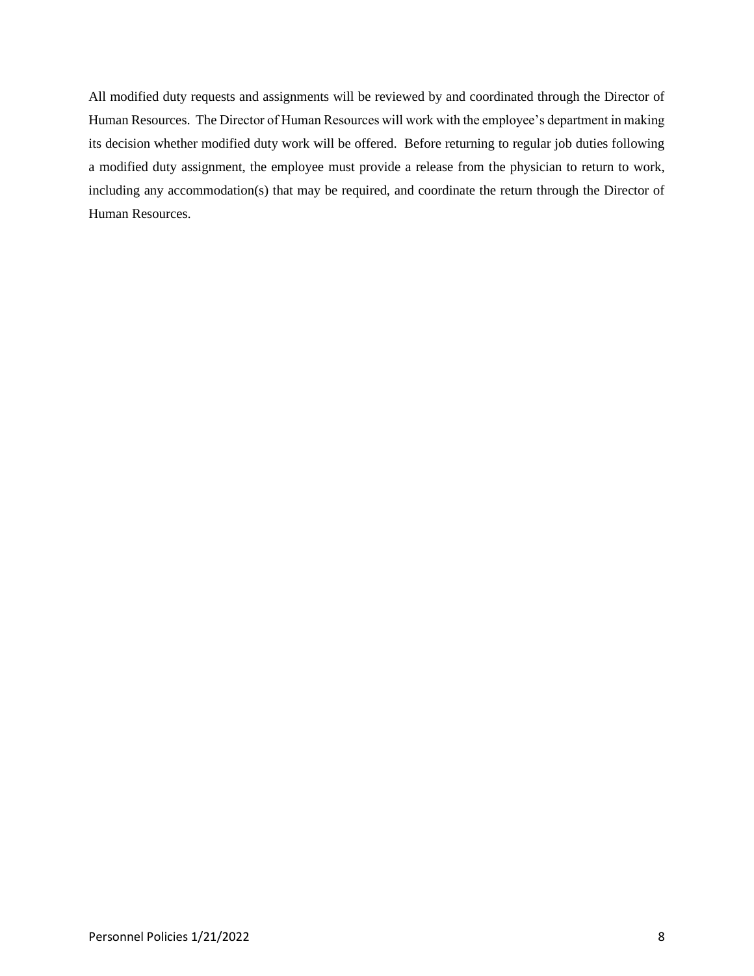All modified duty requests and assignments will be reviewed by and coordinated through the Director of Human Resources. The Director of Human Resources will work with the employee's department in making its decision whether modified duty work will be offered. Before returning to regular job duties following a modified duty assignment, the employee must provide a release from the physician to return to work, including any accommodation(s) that may be required, and coordinate the return through the Director of Human Resources.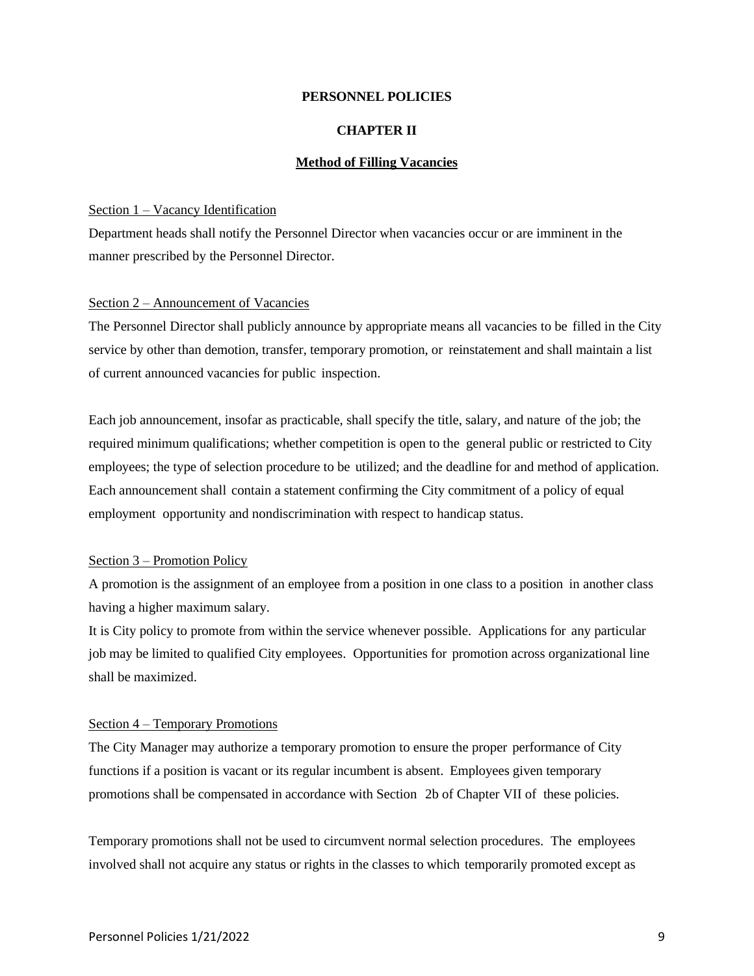#### **CHAPTER II**

#### **Method of Filling Vacancies**

#### Section 1 – Vacancy Identification

Department heads shall notify the Personnel Director when vacancies occur or are imminent in the manner prescribed by the Personnel Director.

#### Section 2 – Announcement of Vacancies

The Personnel Director shall publicly announce by appropriate means all vacancies to be filled in the City service by other than demotion, transfer, temporary promotion, or reinstatement and shall maintain a list of current announced vacancies for public inspection.

Each job announcement, insofar as practicable, shall specify the title, salary, and nature of the job; the required minimum qualifications; whether competition is open to the general public or restricted to City employees; the type of selection procedure to be utilized; and the deadline for and method of application. Each announcement shall contain a statement confirming the City commitment of a policy of equal employment opportunity and nondiscrimination with respect to handicap status.

#### Section 3 – Promotion Policy

A promotion is the assignment of an employee from a position in one class to a position in another class having a higher maximum salary.

It is City policy to promote from within the service whenever possible. Applications for any particular job may be limited to qualified City employees. Opportunities for promotion across organizational line shall be maximized.

#### Section 4 – Temporary Promotions

The City Manager may authorize a temporary promotion to ensure the proper performance of City functions if a position is vacant or its regular incumbent is absent. Employees given temporary promotions shall be compensated in accordance with Section 2b of Chapter VII of these policies.

Temporary promotions shall not be used to circumvent normal selection procedures. The employees involved shall not acquire any status or rights in the classes to which temporarily promoted except as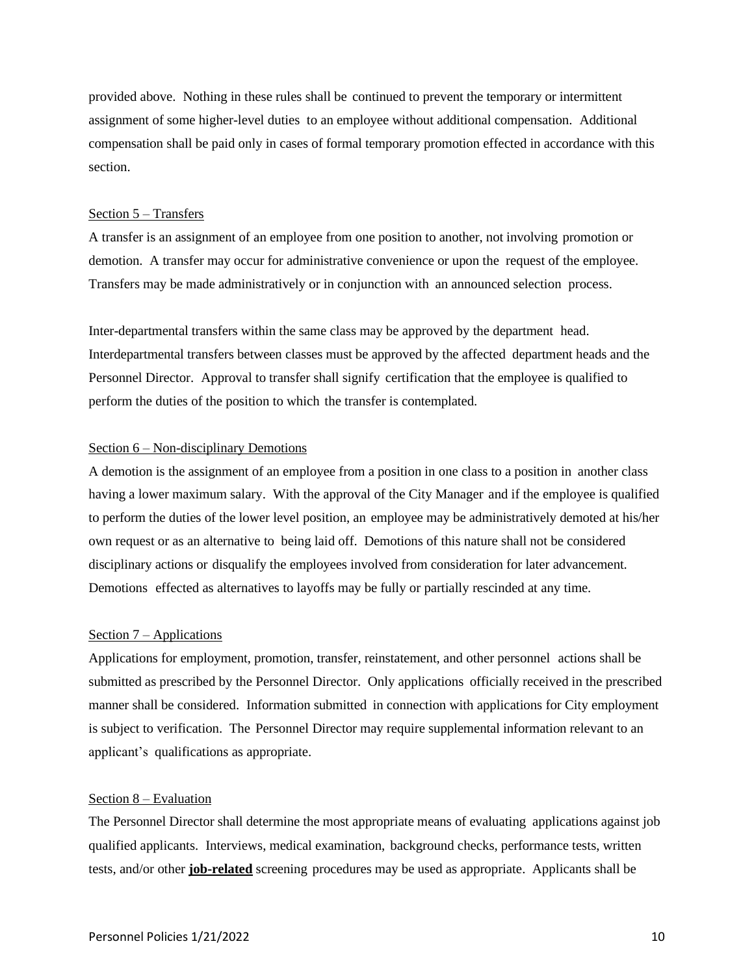provided above. Nothing in these rules shall be continued to prevent the temporary or intermittent assignment of some higher-level duties to an employee without additional compensation. Additional compensation shall be paid only in cases of formal temporary promotion effected in accordance with this section.

#### Section 5 – Transfers

A transfer is an assignment of an employee from one position to another, not involving promotion or demotion. A transfer may occur for administrative convenience or upon the request of the employee. Transfers may be made administratively or in conjunction with an announced selection process.

Inter-departmental transfers within the same class may be approved by the department head. Interdepartmental transfers between classes must be approved by the affected department heads and the Personnel Director. Approval to transfer shall signify certification that the employee is qualified to perform the duties of the position to which the transfer is contemplated.

#### Section 6 – Non-disciplinary Demotions

A demotion is the assignment of an employee from a position in one class to a position in another class having a lower maximum salary. With the approval of the City Manager and if the employee is qualified to perform the duties of the lower level position, an employee may be administratively demoted at his/her own request or as an alternative to being laid off. Demotions of this nature shall not be considered disciplinary actions or disqualify the employees involved from consideration for later advancement. Demotions effected as alternatives to layoffs may be fully or partially rescinded at any time.

#### Section 7 – Applications

Applications for employment, promotion, transfer, reinstatement, and other personnel actions shall be submitted as prescribed by the Personnel Director. Only applications officially received in the prescribed manner shall be considered. Information submitted in connection with applications for City employment is subject to verification. The Personnel Director may require supplemental information relevant to an applicant's qualifications as appropriate.

#### Section 8 – Evaluation

The Personnel Director shall determine the most appropriate means of evaluating applications against job qualified applicants. Interviews, medical examination, background checks, performance tests, written tests, and/or other **job-related** screening procedures may be used as appropriate. Applicants shall be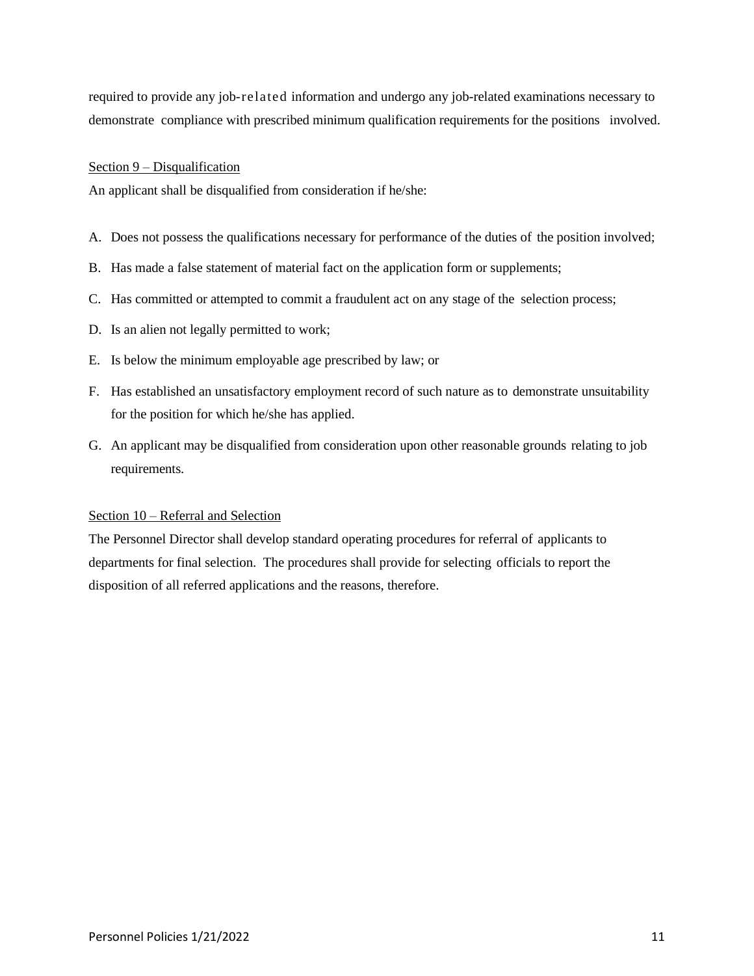required to provide any job-related information and undergo any job-related examinations necessary to demonstrate compliance with prescribed minimum qualification requirements for the positions involved.

#### Section 9 – Disqualification

An applicant shall be disqualified from consideration if he/she:

- A. Does not possess the qualifications necessary for performance of the duties of the position involved;
- B. Has made a false statement of material fact on the application form or supplements;
- C. Has committed or attempted to commit a fraudulent act on any stage of the selection process;
- D. Is an alien not legally permitted to work;
- E. Is below the minimum employable age prescribed by law; or
- F. Has established an unsatisfactory employment record of such nature as to demonstrate unsuitability for the position for which he/she has applied.
- G. An applicant may be disqualified from consideration upon other reasonable grounds relating to job requirements.

#### Section 10 – Referral and Selection

The Personnel Director shall develop standard operating procedures for referral of applicants to departments for final selection. The procedures shall provide for selecting officials to report the disposition of all referred applications and the reasons, therefore.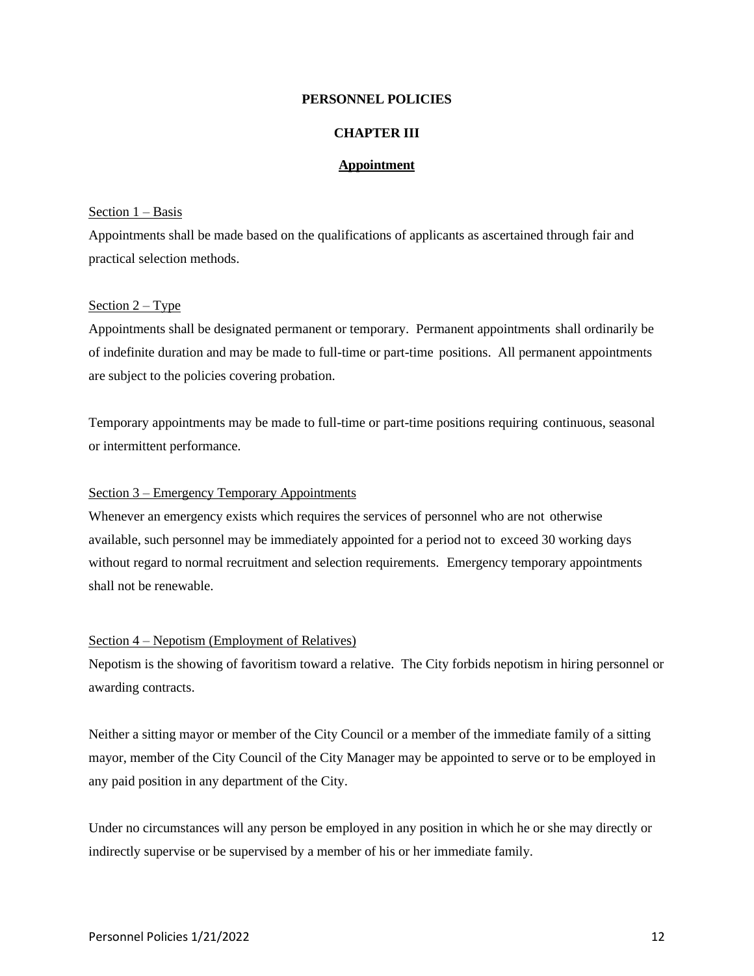#### **CHAPTER III**

#### **Appointment**

#### Section  $1 - Basis$

Appointments shall be made based on the qualifications of applicants as ascertained through fair and practical selection methods.

#### Section 2 – Type

Appointments shall be designated permanent or temporary. Permanent appointments shall ordinarily be of indefinite duration and may be made to full-time or part-time positions. All permanent appointments are subject to the policies covering probation.

Temporary appointments may be made to full-time or part-time positions requiring continuous, seasonal or intermittent performance.

#### Section 3 – Emergency Temporary Appointments

Whenever an emergency exists which requires the services of personnel who are not otherwise available, such personnel may be immediately appointed for a period not to exceed 30 working days without regard to normal recruitment and selection requirements. Emergency temporary appointments shall not be renewable.

#### Section 4 – Nepotism (Employment of Relatives)

Nepotism is the showing of favoritism toward a relative. The City forbids nepotism in hiring personnel or awarding contracts.

Neither a sitting mayor or member of the City Council or a member of the immediate family of a sitting mayor, member of the City Council of the City Manager may be appointed to serve or to be employed in any paid position in any department of the City.

Under no circumstances will any person be employed in any position in which he or she may directly or indirectly supervise or be supervised by a member of his or her immediate family.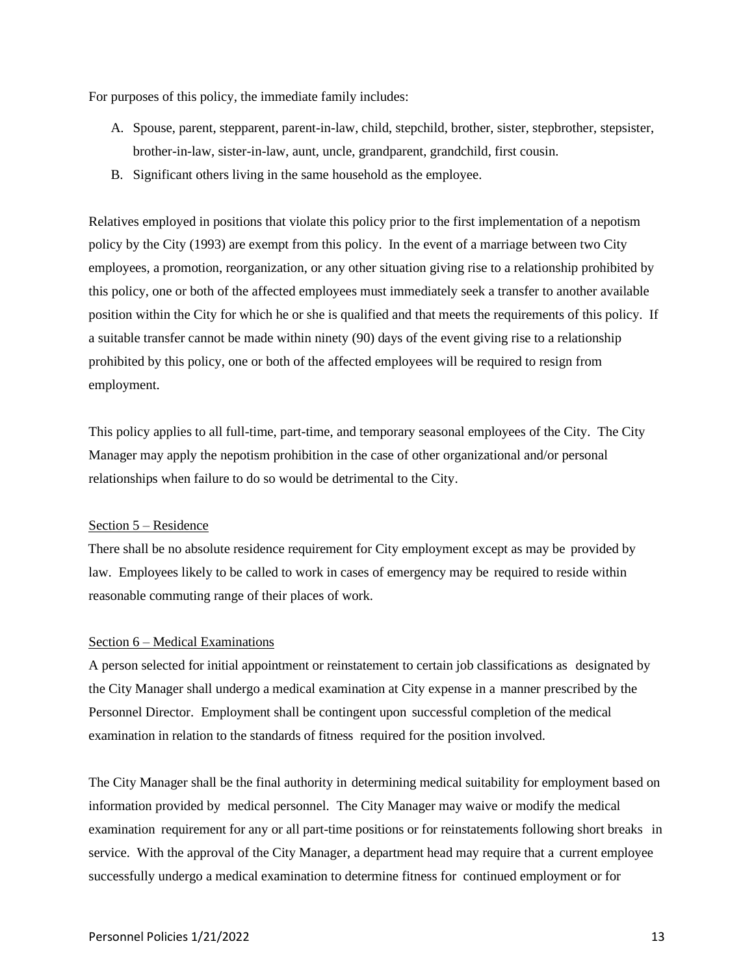For purposes of this policy, the immediate family includes:

- A. Spouse, parent, stepparent, parent-in-law, child, stepchild, brother, sister, stepbrother, stepsister, brother-in-law, sister-in-law, aunt, uncle, grandparent, grandchild, first cousin.
- B. Significant others living in the same household as the employee.

Relatives employed in positions that violate this policy prior to the first implementation of a nepotism policy by the City (1993) are exempt from this policy. In the event of a marriage between two City employees, a promotion, reorganization, or any other situation giving rise to a relationship prohibited by this policy, one or both of the affected employees must immediately seek a transfer to another available position within the City for which he or she is qualified and that meets the requirements of this policy. If a suitable transfer cannot be made within ninety (90) days of the event giving rise to a relationship prohibited by this policy, one or both of the affected employees will be required to resign from employment.

This policy applies to all full-time, part-time, and temporary seasonal employees of the City. The City Manager may apply the nepotism prohibition in the case of other organizational and/or personal relationships when failure to do so would be detrimental to the City.

#### Section 5 – Residence

There shall be no absolute residence requirement for City employment except as may be provided by law. Employees likely to be called to work in cases of emergency may be required to reside within reasonable commuting range of their places of work.

#### Section 6 – Medical Examinations

A person selected for initial appointment or reinstatement to certain job classifications as designated by the City Manager shall undergo a medical examination at City expense in a manner prescribed by the Personnel Director. Employment shall be contingent upon successful completion of the medical examination in relation to the standards of fitness required for the position involved.

The City Manager shall be the final authority in determining medical suitability for employment based on information provided by medical personnel. The City Manager may waive or modify the medical examination requirement for any or all part-time positions or for reinstatements following short breaks in service. With the approval of the City Manager, a department head may require that a current employee successfully undergo a medical examination to determine fitness for continued employment or for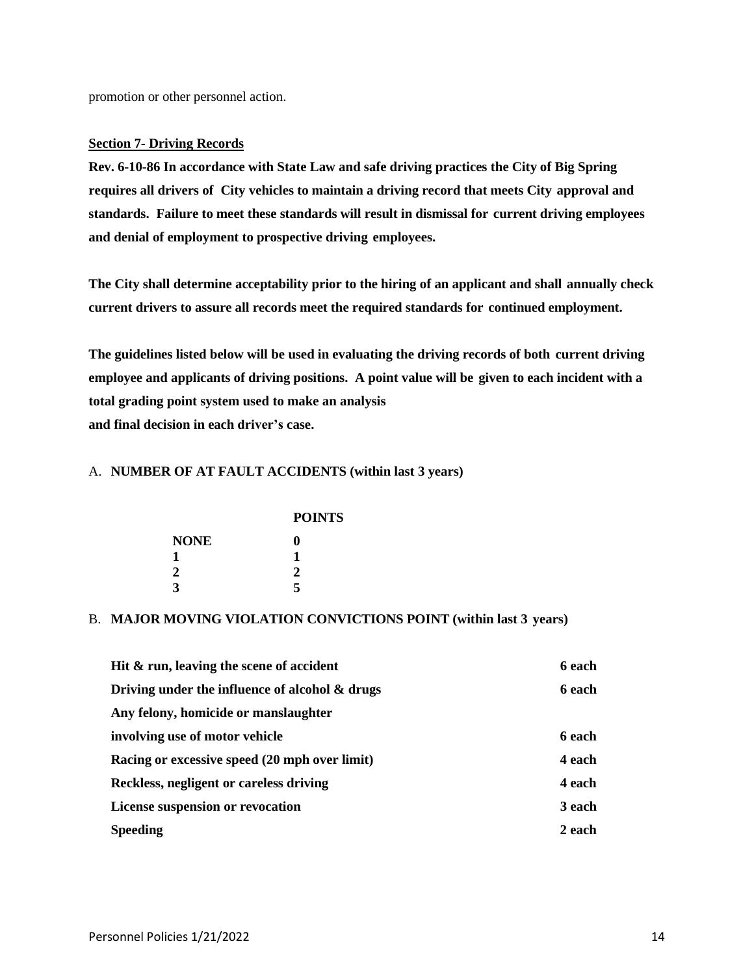promotion or other personnel action.

#### **Section 7- Driving Records**

**Rev. 6-10-86 In accordance with State Law and safe driving practices the City of Big Spring requires all drivers of City vehicles to maintain a driving record that meets City approval and standards. Failure to meet these standards will result in dismissal for current driving employees and denial of employment to prospective driving employees.**

**The City shall determine acceptability prior to the hiring of an applicant and shall annually check current drivers to assure all records meet the required standards for continued employment.**

**The guidelines listed below will be used in evaluating the driving records of both current driving employee and applicants of driving positions. A point value will be given to each incident with a total grading point system used to make an analysis and final decision in each driver's case.**

#### A. **NUMBER OF AT FAULT ACCIDENTS (within last 3 years)**

|  | <b>POINTS</b> |
|--|---------------|

| NONE | 0 |
|------|---|
| 1    | 1 |
| 2    | 2 |
| 3    | 5 |

#### B. **MAJOR MOVING VIOLATION CONVICTIONS POINT (within last 3 years)**

| Hit & run, leaving the scene of accident          | 6 each        |
|---------------------------------------------------|---------------|
| Driving under the influence of alcohol $\&$ drugs | 6 each        |
| Any felony, homicide or manslaughter              |               |
| involving use of motor vehicle                    | 6 each        |
| Racing or excessive speed (20 mph over limit)     | 4 each        |
| Reckless, negligent or careless driving           | <b>4 each</b> |
| <b>License suspension or revocation</b>           | 3 each        |
| <b>Speeding</b>                                   | 2 each        |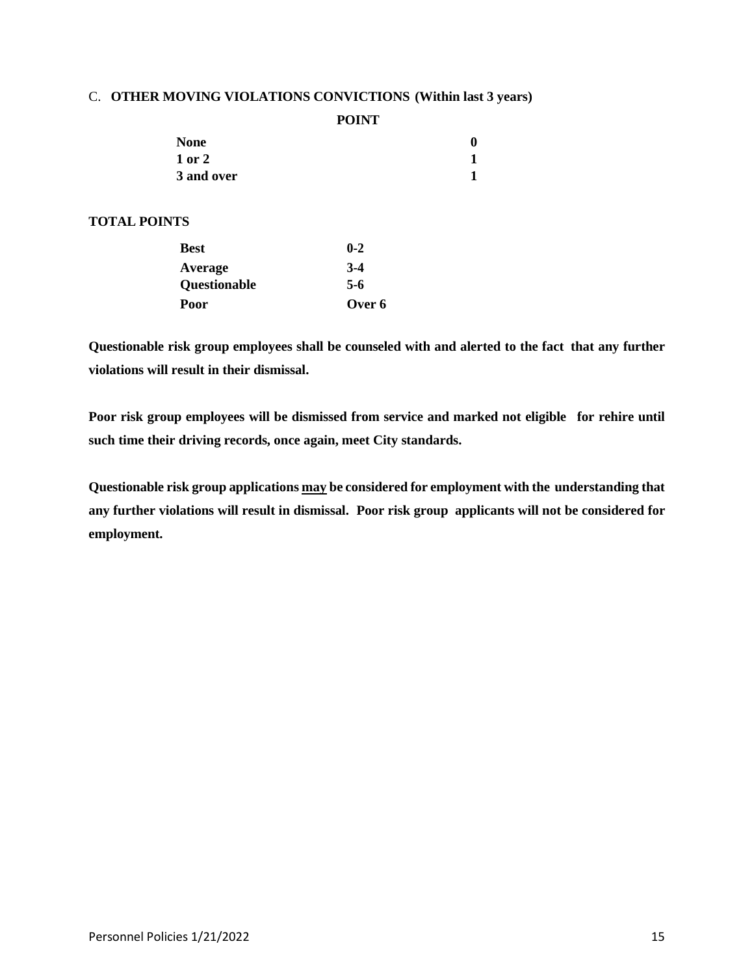#### C. **OTHER MOVING VIOLATIONS CONVICTIONS (Within last 3 years)**

**POINT**

|                     | <b>None</b>  |         | $\boldsymbol{0}$ |
|---------------------|--------------|---------|------------------|
|                     | 1 or 2       |         | 1                |
|                     | 3 and over   |         | 1                |
| <b>TOTAL POINTS</b> |              |         |                  |
|                     | <b>Best</b>  | $0 - 2$ |                  |
|                     | Average      | $3-4$   |                  |
|                     | Questionable | $5-6$   |                  |
|                     | Poor         | Over 6  |                  |

**Questionable risk group employees shall be counseled with and alerted to the fact that any further violations will result in their dismissal.**

**Poor risk group employees will be dismissed from service and marked not eligible for rehire until such time their driving records, once again, meet City standards.**

**Questionable risk group applications may be considered for employment with the understanding that any further violations will result in dismissal. Poor risk group applicants will not be considered for employment.**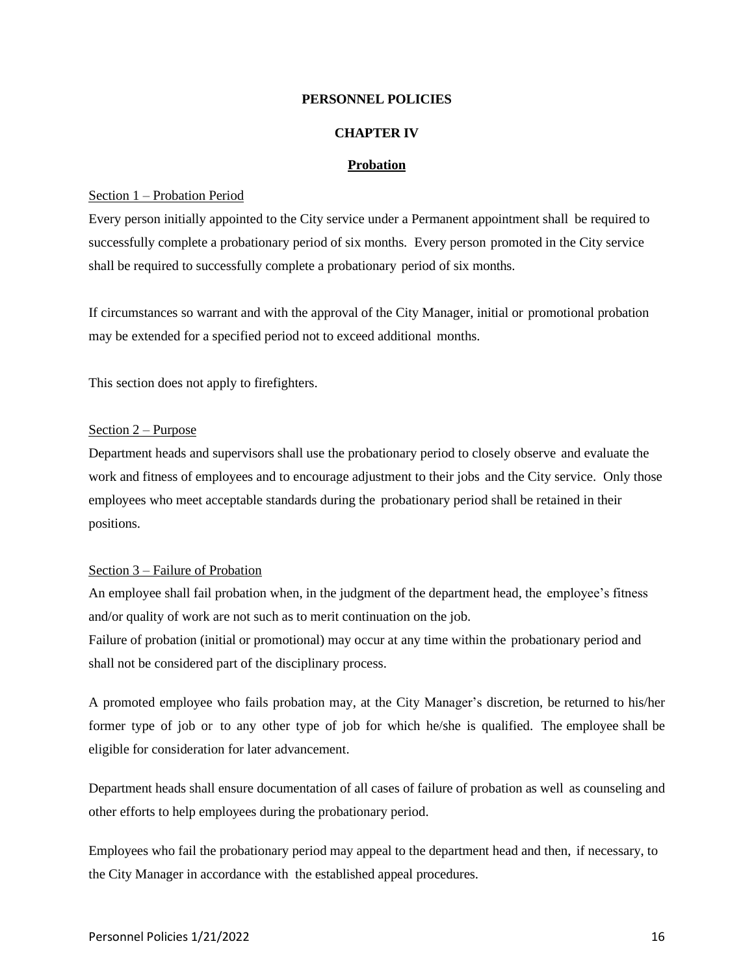#### **CHAPTER IV**

#### **Probation**

#### Section 1 – Probation Period

Every person initially appointed to the City service under a Permanent appointment shall be required to successfully complete a probationary period of six months. Every person promoted in the City service shall be required to successfully complete a probationary period of six months.

If circumstances so warrant and with the approval of the City Manager, initial or promotional probation may be extended for a specified period not to exceed additional months.

This section does not apply to firefighters.

#### Section 2 – Purpose

Department heads and supervisors shall use the probationary period to closely observe and evaluate the work and fitness of employees and to encourage adjustment to their jobs and the City service. Only those employees who meet acceptable standards during the probationary period shall be retained in their positions.

#### Section 3 – Failure of Probation

An employee shall fail probation when, in the judgment of the department head, the employee's fitness and/or quality of work are not such as to merit continuation on the job.

Failure of probation (initial or promotional) may occur at any time within the probationary period and shall not be considered part of the disciplinary process.

A promoted employee who fails probation may, at the City Manager's discretion, be returned to his/her former type of job or to any other type of job for which he/she is qualified. The employee shall be eligible for consideration for later advancement.

Department heads shall ensure documentation of all cases of failure of probation as well as counseling and other efforts to help employees during the probationary period.

Employees who fail the probationary period may appeal to the department head and then, if necessary, to the City Manager in accordance with the established appeal procedures.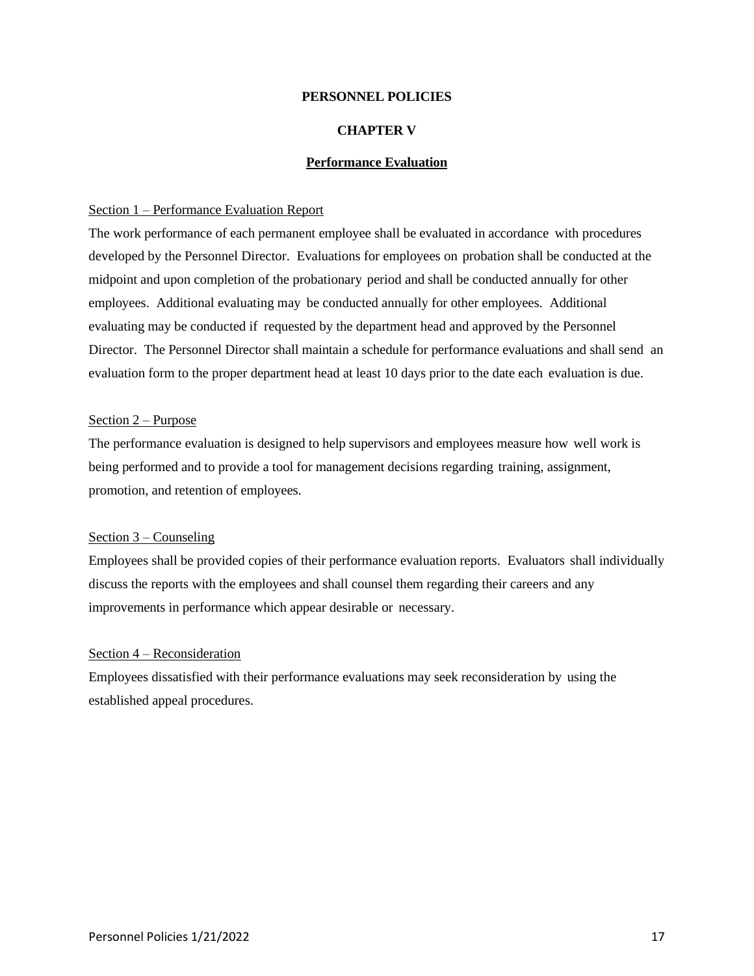#### **CHAPTER V**

#### **Performance Evaluation**

#### Section 1 – Performance Evaluation Report

The work performance of each permanent employee shall be evaluated in accordance with procedures developed by the Personnel Director. Evaluations for employees on probation shall be conducted at the midpoint and upon completion of the probationary period and shall be conducted annually for other employees. Additional evaluating may be conducted annually for other employees. Additional evaluating may be conducted if requested by the department head and approved by the Personnel Director. The Personnel Director shall maintain a schedule for performance evaluations and shall send an evaluation form to the proper department head at least 10 days prior to the date each evaluation is due.

#### Section 2 – Purpose

The performance evaluation is designed to help supervisors and employees measure how well work is being performed and to provide a tool for management decisions regarding training, assignment, promotion, and retention of employees.

#### Section 3 – Counseling

Employees shall be provided copies of their performance evaluation reports. Evaluators shall individually discuss the reports with the employees and shall counsel them regarding their careers and any improvements in performance which appear desirable or necessary.

#### Section 4 – Reconsideration

Employees dissatisfied with their performance evaluations may seek reconsideration by using the established appeal procedures.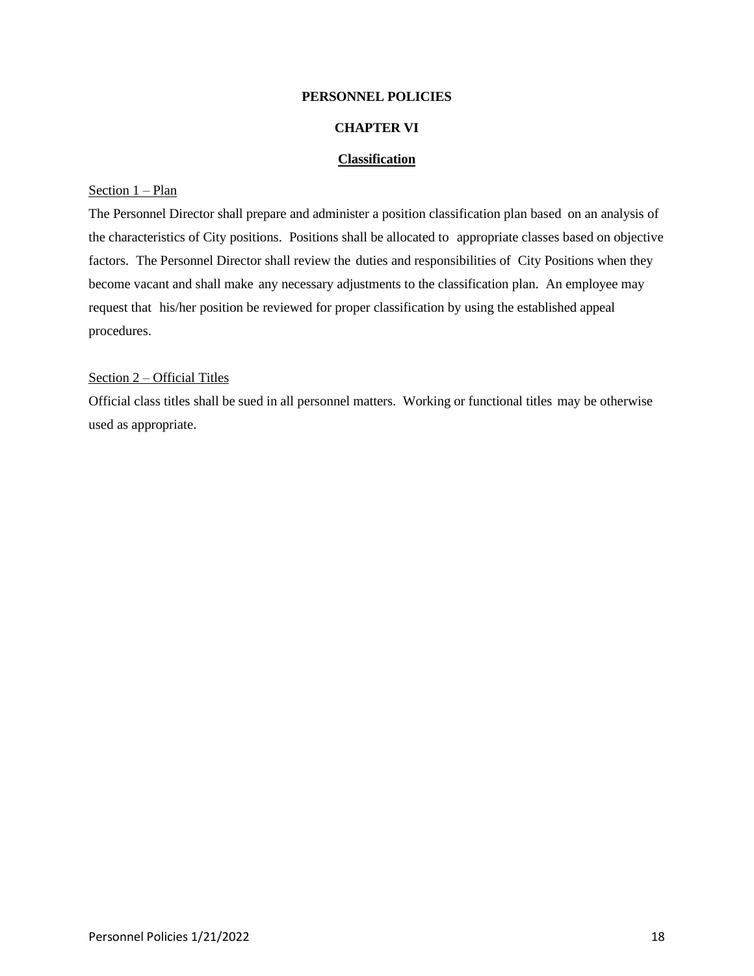#### **CHAPTER VI**

#### **Classification**

### Section 1 – Plan

The Personnel Director shall prepare and administer a position classification plan based on an analysis of the characteristics of City positions. Positions shall be allocated to appropriate classes based on objective factors. The Personnel Director shall review the duties and responsibilities of City Positions when they become vacant and shall make any necessary adjustments to the classification plan. An employee may request that his/her position be reviewed for proper classification by using the established appeal procedures.

#### Section 2 – Official Titles

Official class titles shall be sued in all personnel matters. Working or functional titles may be otherwise used as appropriate.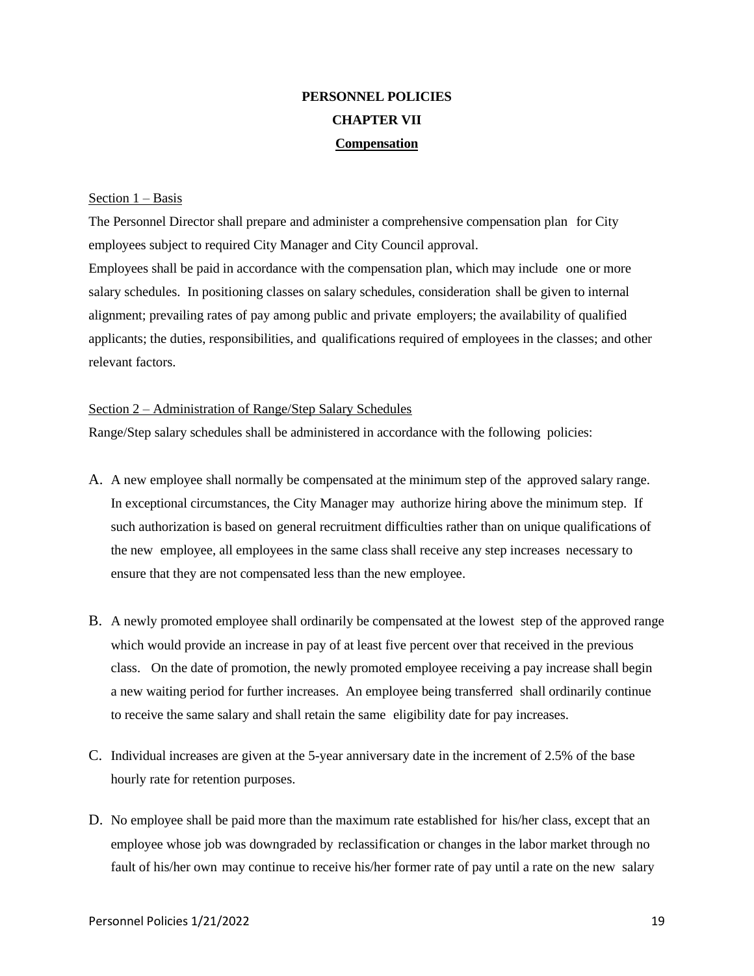# **PERSONNEL POLICIES CHAPTER VII Compensation**

#### Section 1 – Basis

The Personnel Director shall prepare and administer a comprehensive compensation plan for City employees subject to required City Manager and City Council approval. Employees shall be paid in accordance with the compensation plan, which may include one or more salary schedules. In positioning classes on salary schedules, consideration shall be given to internal alignment; prevailing rates of pay among public and private employers; the availability of qualified applicants; the duties, responsibilities, and qualifications required of employees in the classes; and other relevant factors.

#### Section 2 – Administration of Range/Step Salary Schedules

Range/Step salary schedules shall be administered in accordance with the following policies:

- A. A new employee shall normally be compensated at the minimum step of the approved salary range. In exceptional circumstances, the City Manager may authorize hiring above the minimum step. If such authorization is based on general recruitment difficulties rather than on unique qualifications of the new employee, all employees in the same class shall receive any step increases necessary to ensure that they are not compensated less than the new employee.
- B. A newly promoted employee shall ordinarily be compensated at the lowest step of the approved range which would provide an increase in pay of at least five percent over that received in the previous class. On the date of promotion, the newly promoted employee receiving a pay increase shall begin a new waiting period for further increases. An employee being transferred shall ordinarily continue to receive the same salary and shall retain the same eligibility date for pay increases.
- C. Individual increases are given at the 5-year anniversary date in the increment of 2.5% of the base hourly rate for retention purposes.
- D. No employee shall be paid more than the maximum rate established for his/her class, except that an employee whose job was downgraded by reclassification or changes in the labor market through no fault of his/her own may continue to receive his/her former rate of pay until a rate on the new salary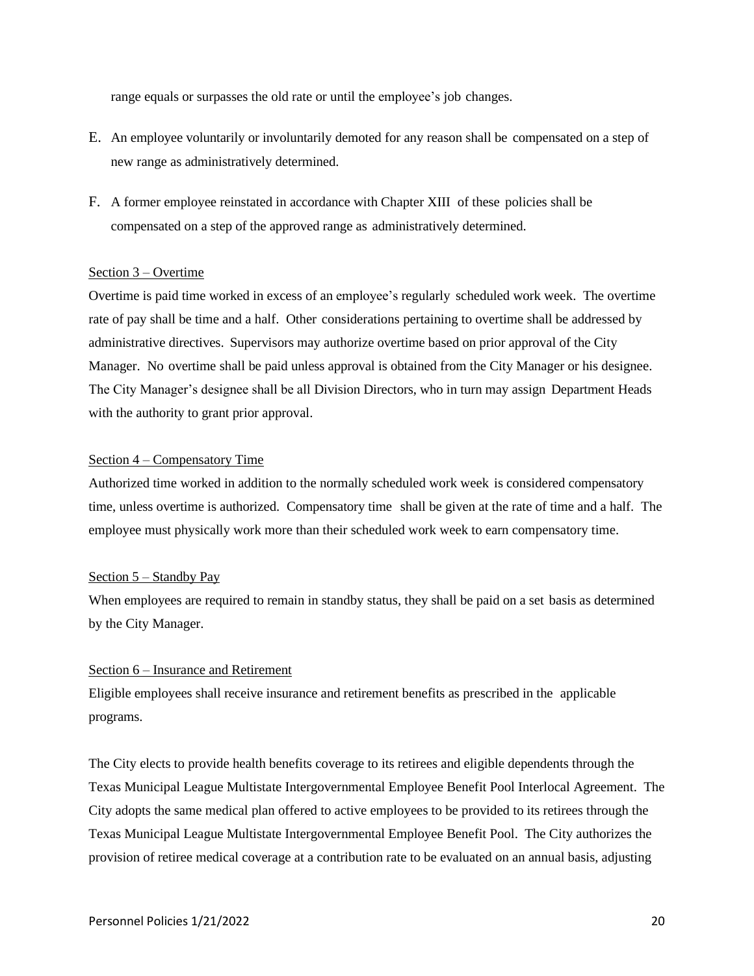range equals or surpasses the old rate or until the employee's job changes.

- E. An employee voluntarily or involuntarily demoted for any reason shall be compensated on a step of new range as administratively determined.
- F. A former employee reinstated in accordance with Chapter XIII of these policies shall be compensated on a step of the approved range as administratively determined.

#### Section 3 – Overtime

Overtime is paid time worked in excess of an employee's regularly scheduled work week. The overtime rate of pay shall be time and a half. Other considerations pertaining to overtime shall be addressed by administrative directives. Supervisors may authorize overtime based on prior approval of the City Manager. No overtime shall be paid unless approval is obtained from the City Manager or his designee. The City Manager's designee shall be all Division Directors, who in turn may assign Department Heads with the authority to grant prior approval.

#### Section 4 – Compensatory Time

Authorized time worked in addition to the normally scheduled work week is considered compensatory time, unless overtime is authorized. Compensatory time shall be given at the rate of time and a half. The employee must physically work more than their scheduled work week to earn compensatory time.

#### Section 5 – Standby Pay

When employees are required to remain in standby status, they shall be paid on a set basis as determined by the City Manager.

#### Section 6 – Insurance and Retirement

Eligible employees shall receive insurance and retirement benefits as prescribed in the applicable programs.

The City elects to provide health benefits coverage to its retirees and eligible dependents through the Texas Municipal League Multistate Intergovernmental Employee Benefit Pool Interlocal Agreement. The City adopts the same medical plan offered to active employees to be provided to its retirees through the Texas Municipal League Multistate Intergovernmental Employee Benefit Pool. The City authorizes the provision of retiree medical coverage at a contribution rate to be evaluated on an annual basis, adjusting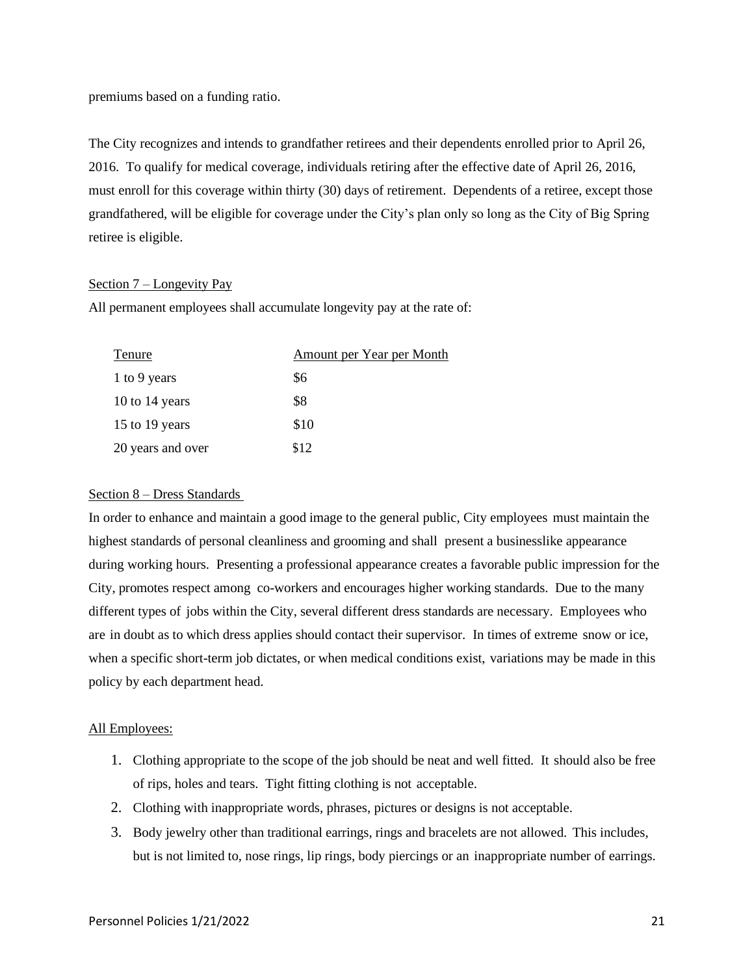premiums based on a funding ratio.

The City recognizes and intends to grandfather retirees and their dependents enrolled prior to April 26, 2016. To qualify for medical coverage, individuals retiring after the effective date of April 26, 2016, must enroll for this coverage within thirty (30) days of retirement. Dependents of a retiree, except those grandfathered, will be eligible for coverage under the City's plan only so long as the City of Big Spring retiree is eligible.

#### Section 7 – Longevity Pay

All permanent employees shall accumulate longevity pay at the rate of:

| Tenure            | Amount per Year per Month |
|-------------------|---------------------------|
| 1 to 9 years      | \$6                       |
| 10 to 14 years    | \$8                       |
| 15 to 19 years    | \$10                      |
| 20 years and over | \$12                      |

#### Section 8 – Dress Standards

In order to enhance and maintain a good image to the general public, City employees must maintain the highest standards of personal cleanliness and grooming and shall present a businesslike appearance during working hours. Presenting a professional appearance creates a favorable public impression for the City, promotes respect among co-workers and encourages higher working standards. Due to the many different types of jobs within the City, several different dress standards are necessary. Employees who are in doubt as to which dress applies should contact their supervisor. In times of extreme snow or ice, when a specific short-term job dictates, or when medical conditions exist, variations may be made in this policy by each department head.

#### All Employees:

- 1. Clothing appropriate to the scope of the job should be neat and well fitted. It should also be free of rips, holes and tears. Tight fitting clothing is not acceptable.
- 2. Clothing with inappropriate words, phrases, pictures or designs is not acceptable.
- 3. Body jewelry other than traditional earrings, rings and bracelets are not allowed. This includes, but is not limited to, nose rings, lip rings, body piercings or an inappropriate number of earrings.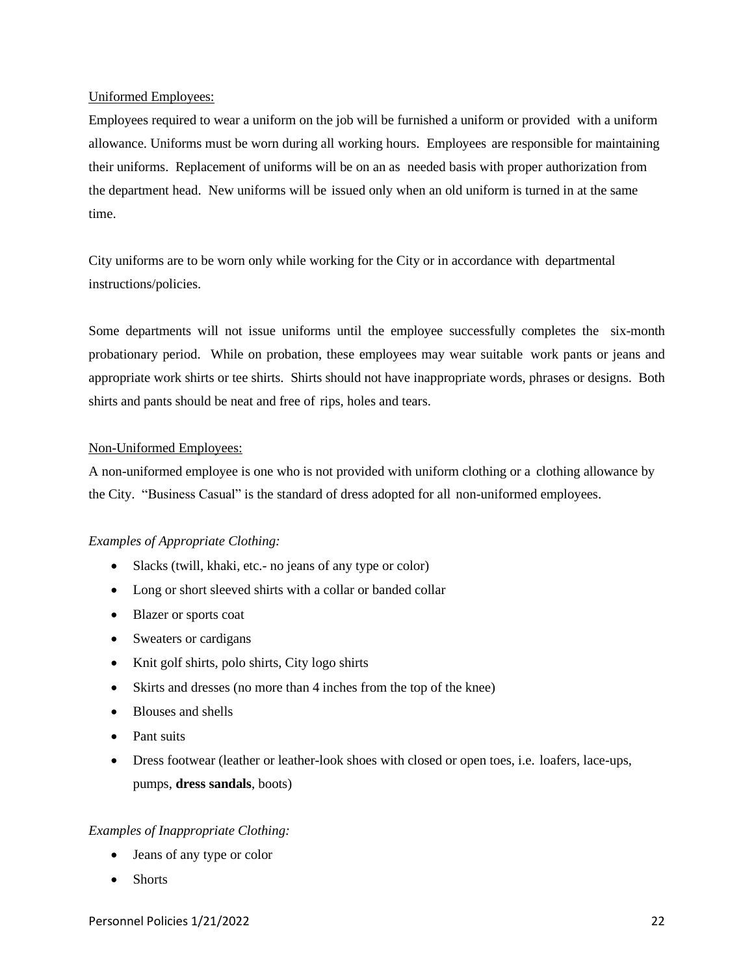#### Uniformed Employees:

Employees required to wear a uniform on the job will be furnished a uniform or provided with a uniform allowance. Uniforms must be worn during all working hours. Employees are responsible for maintaining their uniforms. Replacement of uniforms will be on an as needed basis with proper authorization from the department head. New uniforms will be issued only when an old uniform is turned in at the same time.

City uniforms are to be worn only while working for the City or in accordance with departmental instructions/policies.

Some departments will not issue uniforms until the employee successfully completes the six-month probationary period. While on probation, these employees may wear suitable work pants or jeans and appropriate work shirts or tee shirts. Shirts should not have inappropriate words, phrases or designs. Both shirts and pants should be neat and free of rips, holes and tears.

#### Non-Uniformed Employees:

A non-uniformed employee is one who is not provided with uniform clothing or a clothing allowance by the City. "Business Casual" is the standard of dress adopted for all non-uniformed employees.

#### *Examples of Appropriate Clothing:*

- Slacks (twill, khaki, etc. no jeans of any type or color)
- Long or short sleeved shirts with a collar or banded collar
- Blazer or sports coat
- Sweaters or cardigans
- Knit golf shirts, polo shirts, City logo shirts
- Skirts and dresses (no more than 4 inches from the top of the knee)
- Blouses and shells
- Pant suits
- Dress footwear (leather or leather-look shoes with closed or open toes, i.e. loafers, lace-ups, pumps, **dress sandals**, boots)

#### *Examples of Inappropriate Clothing:*

- Jeans of any type or color
- Shorts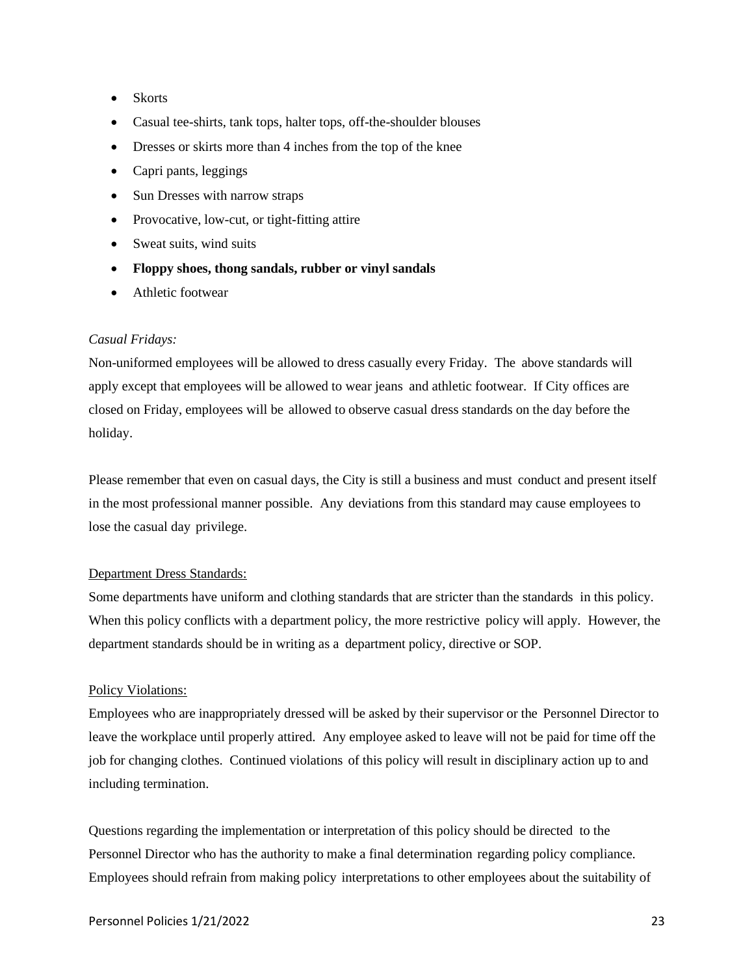- Skorts
- Casual tee-shirts, tank tops, halter tops, off-the-shoulder blouses
- Dresses or skirts more than 4 inches from the top of the knee
- Capri pants, leggings
- Sun Dresses with narrow straps
- Provocative, low-cut, or tight-fitting attire
- Sweat suits, wind suits
- **Floppy shoes, thong sandals, rubber or vinyl sandals**
- Athletic footwear

#### *Casual Fridays:*

Non-uniformed employees will be allowed to dress casually every Friday. The above standards will apply except that employees will be allowed to wear jeans and athletic footwear. If City offices are closed on Friday, employees will be allowed to observe casual dress standards on the day before the holiday.

Please remember that even on casual days, the City is still a business and must conduct and present itself in the most professional manner possible. Any deviations from this standard may cause employees to lose the casual day privilege.

#### Department Dress Standards:

Some departments have uniform and clothing standards that are stricter than the standards in this policy. When this policy conflicts with a department policy, the more restrictive policy will apply. However, the department standards should be in writing as a department policy, directive or SOP.

#### Policy Violations:

Employees who are inappropriately dressed will be asked by their supervisor or the Personnel Director to leave the workplace until properly attired. Any employee asked to leave will not be paid for time off the job for changing clothes. Continued violations of this policy will result in disciplinary action up to and including termination.

Questions regarding the implementation or interpretation of this policy should be directed to the Personnel Director who has the authority to make a final determination regarding policy compliance. Employees should refrain from making policy interpretations to other employees about the suitability of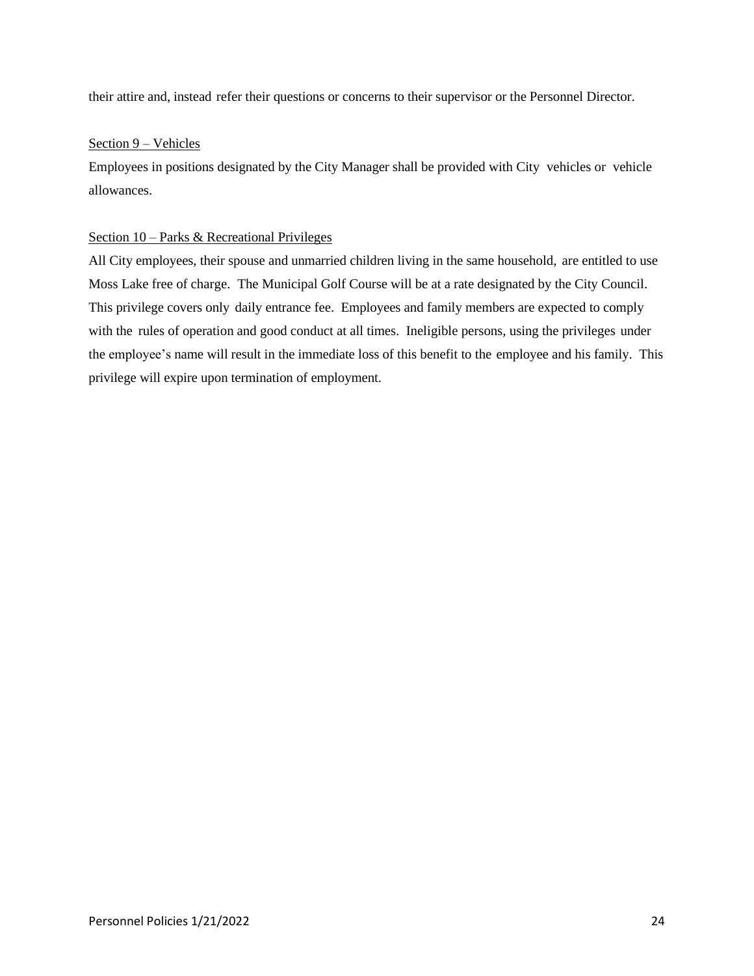their attire and, instead refer their questions or concerns to their supervisor or the Personnel Director.

#### Section 9 – Vehicles

Employees in positions designated by the City Manager shall be provided with City vehicles or vehicle allowances.

#### Section 10 – Parks & Recreational Privileges

All City employees, their spouse and unmarried children living in the same household, are entitled to use Moss Lake free of charge. The Municipal Golf Course will be at a rate designated by the City Council. This privilege covers only daily entrance fee. Employees and family members are expected to comply with the rules of operation and good conduct at all times. Ineligible persons, using the privileges under the employee's name will result in the immediate loss of this benefit to the employee and his family. This privilege will expire upon termination of employment.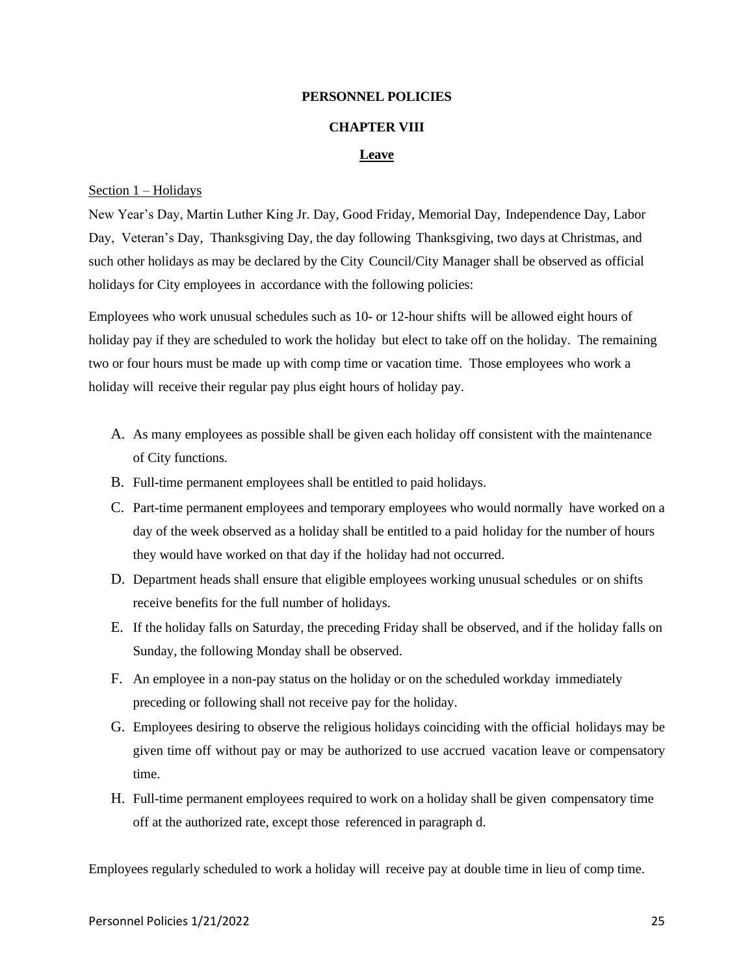#### **CHAPTER VIII**

#### **Leave**

#### Section 1 – Holidays

New Year's Day, Martin Luther King Jr. Day, Good Friday, Memorial Day, Independence Day, Labor Day, Veteran's Day, Thanksgiving Day, the day following Thanksgiving, two days at Christmas, and such other holidays as may be declared by the City Council/City Manager shall be observed as official holidays for City employees in accordance with the following policies:

Employees who work unusual schedules such as 10- or 12-hour shifts will be allowed eight hours of holiday pay if they are scheduled to work the holiday but elect to take off on the holiday. The remaining two or four hours must be made up with comp time or vacation time. Those employees who work a holiday will receive their regular pay plus eight hours of holiday pay.

- A. As many employees as possible shall be given each holiday off consistent with the maintenance of City functions.
- B. Full-time permanent employees shall be entitled to paid holidays.
- C. Part-time permanent employees and temporary employees who would normally have worked on a day of the week observed as a holiday shall be entitled to a paid holiday for the number of hours they would have worked on that day if the holiday had not occurred.
- D. Department heads shall ensure that eligible employees working unusual schedules or on shifts receive benefits for the full number of holidays.
- E. If the holiday falls on Saturday, the preceding Friday shall be observed, and if the holiday falls on Sunday, the following Monday shall be observed.
- F. An employee in a non-pay status on the holiday or on the scheduled workday immediately preceding or following shall not receive pay for the holiday.
- G. Employees desiring to observe the religious holidays coinciding with the official holidays may be given time off without pay or may be authorized to use accrued vacation leave or compensatory time.
- H. Full-time permanent employees required to work on a holiday shall be given compensatory time off at the authorized rate, except those referenced in paragraph d.

Employees regularly scheduled to work a holiday will receive pay at double time in lieu of comp time.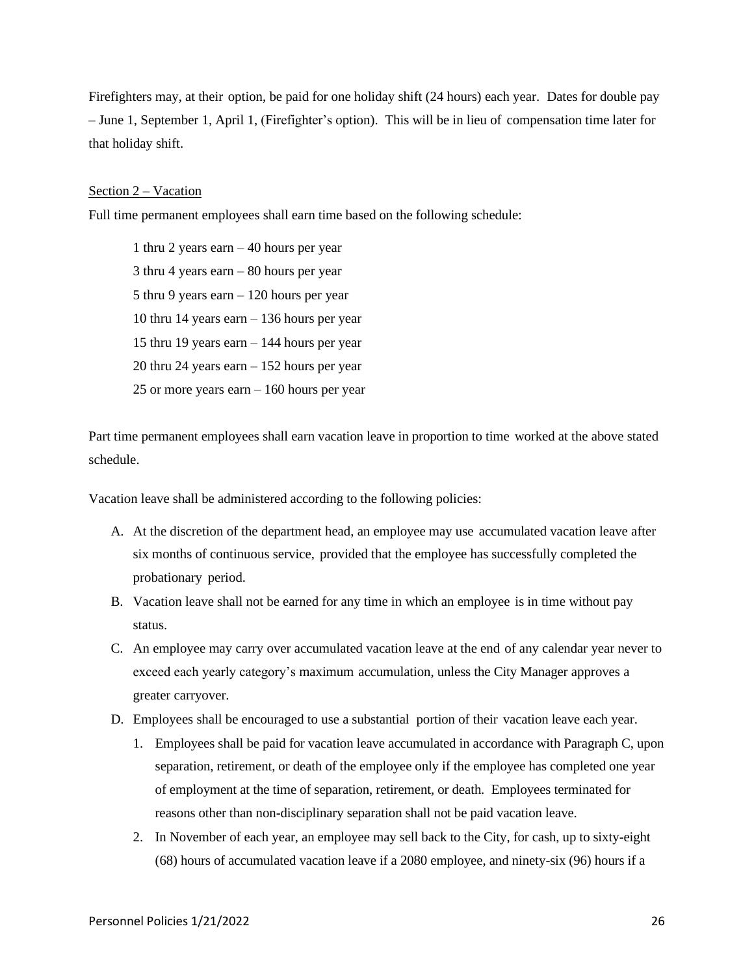Firefighters may, at their option, be paid for one holiday shift (24 hours) each year. Dates for double pay – June 1, September 1, April 1, (Firefighter's option). This will be in lieu of compensation time later for that holiday shift.

#### Section 2 – Vacation

Full time permanent employees shall earn time based on the following schedule:

1 thru 2 years earn – 40 hours per year 3 thru 4 years earn – 80 hours per year 5 thru 9 years earn – 120 hours per year 10 thru 14 years earn – 136 hours per year 15 thru 19 years earn – 144 hours per year 20 thru 24 years earn – 152 hours per year 25 or more years earn – 160 hours per year

Part time permanent employees shall earn vacation leave in proportion to time worked at the above stated schedule.

Vacation leave shall be administered according to the following policies:

- A. At the discretion of the department head, an employee may use accumulated vacation leave after six months of continuous service, provided that the employee has successfully completed the probationary period.
- B. Vacation leave shall not be earned for any time in which an employee is in time without pay status.
- C. An employee may carry over accumulated vacation leave at the end of any calendar year never to exceed each yearly category's maximum accumulation, unless the City Manager approves a greater carryover.
- D. Employees shall be encouraged to use a substantial portion of their vacation leave each year.
	- 1. Employees shall be paid for vacation leave accumulated in accordance with Paragraph C, upon separation, retirement, or death of the employee only if the employee has completed one year of employment at the time of separation, retirement, or death. Employees terminated for reasons other than non-disciplinary separation shall not be paid vacation leave.
	- 2. In November of each year, an employee may sell back to the City, for cash, up to sixty-eight (68) hours of accumulated vacation leave if a 2080 employee, and ninety-six (96) hours if a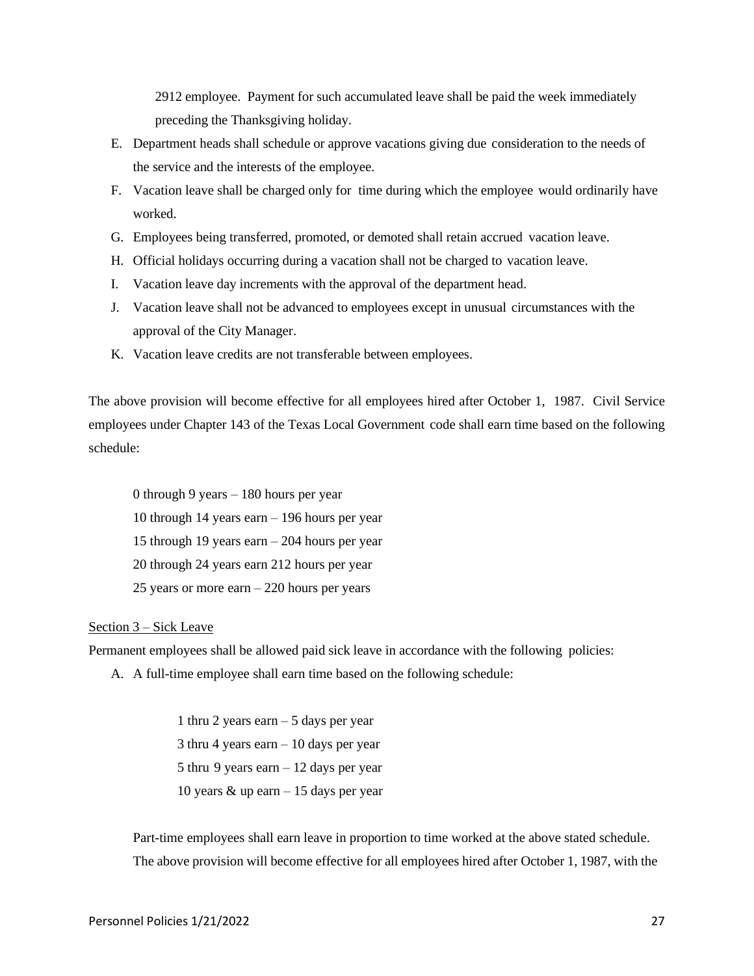2912 employee. Payment for such accumulated leave shall be paid the week immediately preceding the Thanksgiving holiday.

- E. Department heads shall schedule or approve vacations giving due consideration to the needs of the service and the interests of the employee.
- F. Vacation leave shall be charged only for time during which the employee would ordinarily have worked.
- G. Employees being transferred, promoted, or demoted shall retain accrued vacation leave.
- H. Official holidays occurring during a vacation shall not be charged to vacation leave.
- I. Vacation leave day increments with the approval of the department head.
- J. Vacation leave shall not be advanced to employees except in unusual circumstances with the approval of the City Manager.
- K. Vacation leave credits are not transferable between employees.

The above provision will become effective for all employees hired after October 1, 1987. Civil Service employees under Chapter 143 of the Texas Local Government code shall earn time based on the following schedule:

0 through 9 years – 180 hours per year 10 through 14 years earn – 196 hours per year 15 through 19 years earn – 204 hours per year 20 through 24 years earn 212 hours per year 25 years or more earn – 220 hours per years

#### Section 3 – Sick Leave

Permanent employees shall be allowed paid sick leave in accordance with the following policies:

A. A full-time employee shall earn time based on the following schedule:

 thru 2 years earn – 5 days per year thru 4 years earn – 10 days per year thru 9 years earn – 12 days per year 10 years  $\&$  up earn  $-15$  days per year

Part-time employees shall earn leave in proportion to time worked at the above stated schedule. The above provision will become effective for all employees hired after October 1, 1987, with the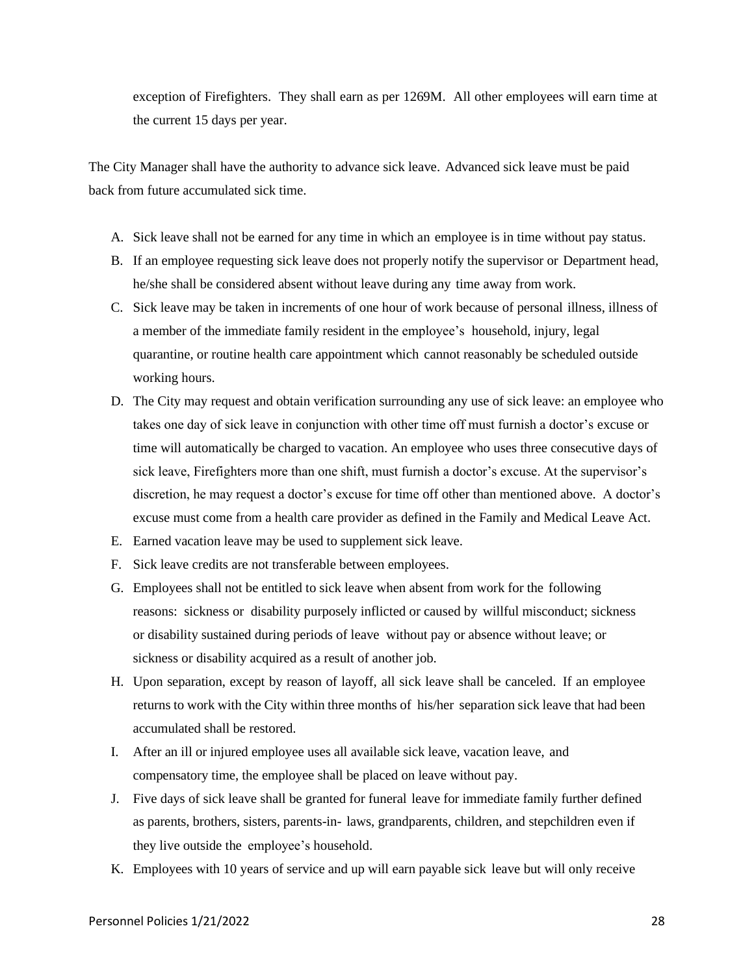exception of Firefighters. They shall earn as per 1269M. All other employees will earn time at the current 15 days per year.

The City Manager shall have the authority to advance sick leave. Advanced sick leave must be paid back from future accumulated sick time.

- A. Sick leave shall not be earned for any time in which an employee is in time without pay status.
- B. If an employee requesting sick leave does not properly notify the supervisor or Department head, he/she shall be considered absent without leave during any time away from work.
- C. Sick leave may be taken in increments of one hour of work because of personal illness, illness of a member of the immediate family resident in the employee's household, injury, legal quarantine, or routine health care appointment which cannot reasonably be scheduled outside working hours.
- D. The City may request and obtain verification surrounding any use of sick leave: an employee who takes one day of sick leave in conjunction with other time off must furnish a doctor's excuse or time will automatically be charged to vacation. An employee who uses three consecutive days of sick leave, Firefighters more than one shift, must furnish a doctor's excuse. At the supervisor's discretion, he may request a doctor's excuse for time off other than mentioned above. A doctor's excuse must come from a health care provider as defined in the Family and Medical Leave Act.
- E. Earned vacation leave may be used to supplement sick leave.
- F. Sick leave credits are not transferable between employees.
- G. Employees shall not be entitled to sick leave when absent from work for the following reasons: sickness or disability purposely inflicted or caused by willful misconduct; sickness or disability sustained during periods of leave without pay or absence without leave; or sickness or disability acquired as a result of another job.
- H. Upon separation, except by reason of layoff, all sick leave shall be canceled. If an employee returns to work with the City within three months of his/her separation sick leave that had been accumulated shall be restored.
- I. After an ill or injured employee uses all available sick leave, vacation leave, and compensatory time, the employee shall be placed on leave without pay.
- J. Five days of sick leave shall be granted for funeral leave for immediate family further defined as parents, brothers, sisters, parents-in- laws, grandparents, children, and stepchildren even if they live outside the employee's household.
- K. Employees with 10 years of service and up will earn payable sick leave but will only receive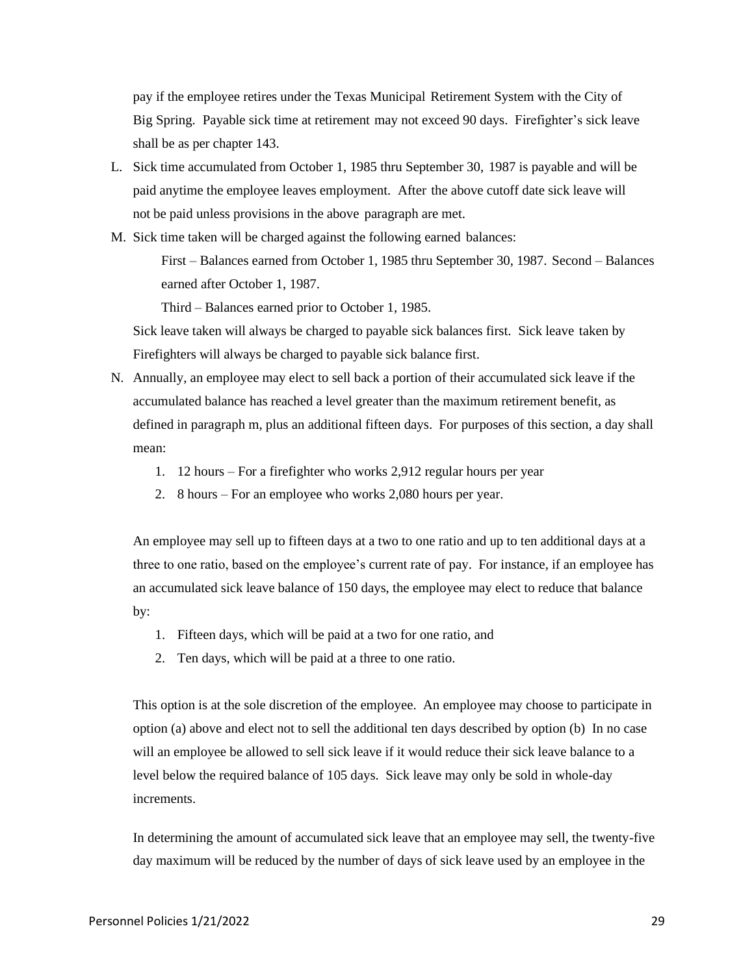pay if the employee retires under the Texas Municipal Retirement System with the City of Big Spring. Payable sick time at retirement may not exceed 90 days. Firefighter's sick leave shall be as per chapter 143.

- L. Sick time accumulated from October 1, 1985 thru September 30, 1987 is payable and will be paid anytime the employee leaves employment. After the above cutoff date sick leave will not be paid unless provisions in the above paragraph are met.
- M. Sick time taken will be charged against the following earned balances: First – Balances earned from October 1, 1985 thru September 30, 1987. Second – Balances

earned after October 1, 1987.

Third – Balances earned prior to October 1, 1985.

Sick leave taken will always be charged to payable sick balances first. Sick leave taken by Firefighters will always be charged to payable sick balance first.

- N. Annually, an employee may elect to sell back a portion of their accumulated sick leave if the accumulated balance has reached a level greater than the maximum retirement benefit, as defined in paragraph m, plus an additional fifteen days. For purposes of this section, a day shall mean:
	- 1. 12 hours For a firefighter who works 2,912 regular hours per year
	- 2. 8 hours For an employee who works 2,080 hours per year.

An employee may sell up to fifteen days at a two to one ratio and up to ten additional days at a three to one ratio, based on the employee's current rate of pay. For instance, if an employee has an accumulated sick leave balance of 150 days, the employee may elect to reduce that balance by:

- 1. Fifteen days, which will be paid at a two for one ratio, and
- 2. Ten days, which will be paid at a three to one ratio.

This option is at the sole discretion of the employee. An employee may choose to participate in option (a) above and elect not to sell the additional ten days described by option (b) In no case will an employee be allowed to sell sick leave if it would reduce their sick leave balance to a level below the required balance of 105 days. Sick leave may only be sold in whole-day increments.

In determining the amount of accumulated sick leave that an employee may sell, the twenty-five day maximum will be reduced by the number of days of sick leave used by an employee in the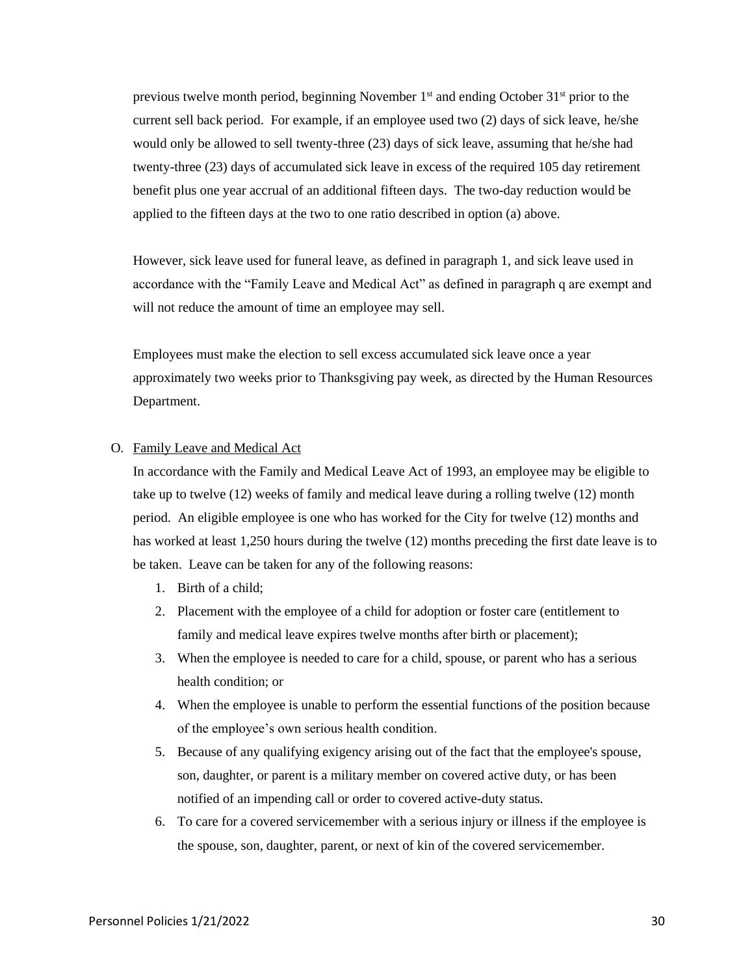previous twelve month period, beginning November  $1<sup>st</sup>$  and ending October  $31<sup>st</sup>$  prior to the current sell back period. For example, if an employee used two (2) days of sick leave, he/she would only be allowed to sell twenty-three (23) days of sick leave, assuming that he/she had twenty-three (23) days of accumulated sick leave in excess of the required 105 day retirement benefit plus one year accrual of an additional fifteen days. The two-day reduction would be applied to the fifteen days at the two to one ratio described in option (a) above.

However, sick leave used for funeral leave, as defined in paragraph 1, and sick leave used in accordance with the "Family Leave and Medical Act" as defined in paragraph q are exempt and will not reduce the amount of time an employee may sell.

Employees must make the election to sell excess accumulated sick leave once a year approximately two weeks prior to Thanksgiving pay week, as directed by the Human Resources Department.

#### O. Family Leave and Medical Act

In accordance with the Family and Medical Leave Act of 1993, an employee may be eligible to take up to twelve (12) weeks of family and medical leave during a rolling twelve (12) month period. An eligible employee is one who has worked for the City for twelve (12) months and has worked at least 1,250 hours during the twelve (12) months preceding the first date leave is to be taken. Leave can be taken for any of the following reasons:

- 1. Birth of a child;
- 2. Placement with the employee of a child for adoption or foster care (entitlement to family and medical leave expires twelve months after birth or placement);
- 3. When the employee is needed to care for a child, spouse, or parent who has a serious health condition; or
- 4. When the employee is unable to perform the essential functions of the position because of the employee's own serious health condition.
- 5. Because of any qualifying exigency arising out of the fact that the employee's spouse, son, daughter, or parent is a military member on covered active duty, or has been notified of an impending call or order to covered active-duty status.
- 6. To care for a covered servicemember with a serious injury or illness if the employee is the spouse, son, daughter, parent, or next of kin of the covered servicemember.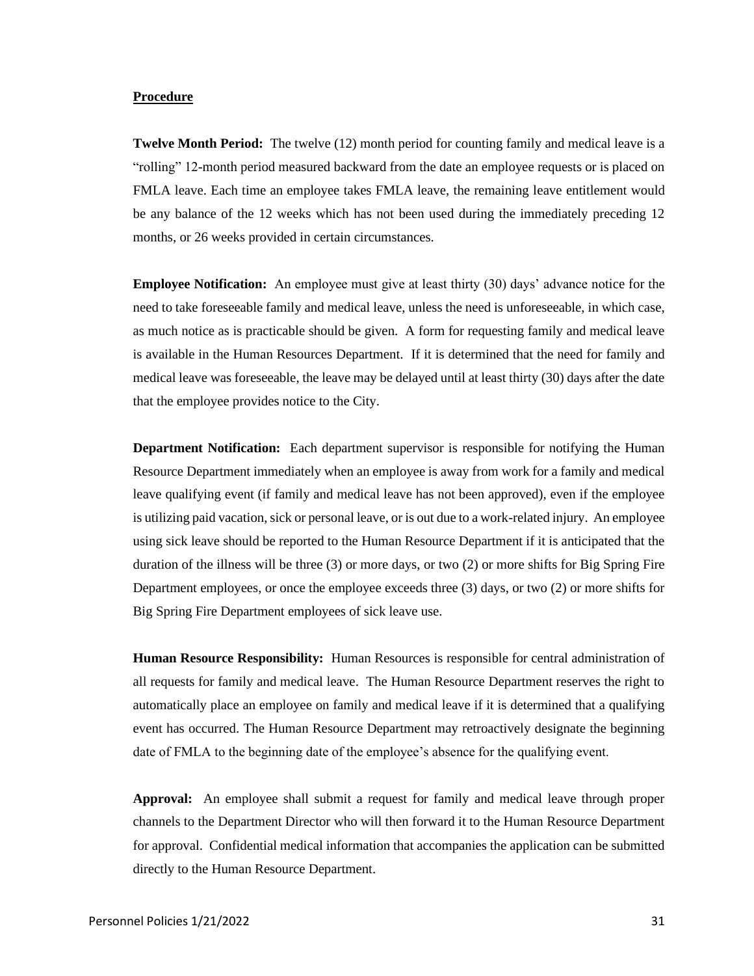#### **Procedure**

**Twelve Month Period:** The twelve (12) month period for counting family and medical leave is a "rolling" 12-month period measured backward from the date an employee requests or is placed on FMLA leave. Each time an employee takes FMLA leave, the remaining leave entitlement would be any balance of the 12 weeks which has not been used during the immediately preceding 12 months, or 26 weeks provided in certain circumstances.

**Employee Notification:** An employee must give at least thirty (30) days' advance notice for the need to take foreseeable family and medical leave, unless the need is unforeseeable, in which case, as much notice as is practicable should be given. A form for requesting family and medical leave is available in the Human Resources Department. If it is determined that the need for family and medical leave was foreseeable, the leave may be delayed until at least thirty (30) days after the date that the employee provides notice to the City.

**Department Notification:** Each department supervisor is responsible for notifying the Human Resource Department immediately when an employee is away from work for a family and medical leave qualifying event (if family and medical leave has not been approved), even if the employee is utilizing paid vacation, sick or personal leave, or is out due to a work-related injury. An employee using sick leave should be reported to the Human Resource Department if it is anticipated that the duration of the illness will be three (3) or more days, or two (2) or more shifts for Big Spring Fire Department employees, or once the employee exceeds three (3) days, or two (2) or more shifts for Big Spring Fire Department employees of sick leave use.

**Human Resource Responsibility:** Human Resources is responsible for central administration of all requests for family and medical leave. The Human Resource Department reserves the right to automatically place an employee on family and medical leave if it is determined that a qualifying event has occurred. The Human Resource Department may retroactively designate the beginning date of FMLA to the beginning date of the employee's absence for the qualifying event.

**Approval:** An employee shall submit a request for family and medical leave through proper channels to the Department Director who will then forward it to the Human Resource Department for approval. Confidential medical information that accompanies the application can be submitted directly to the Human Resource Department.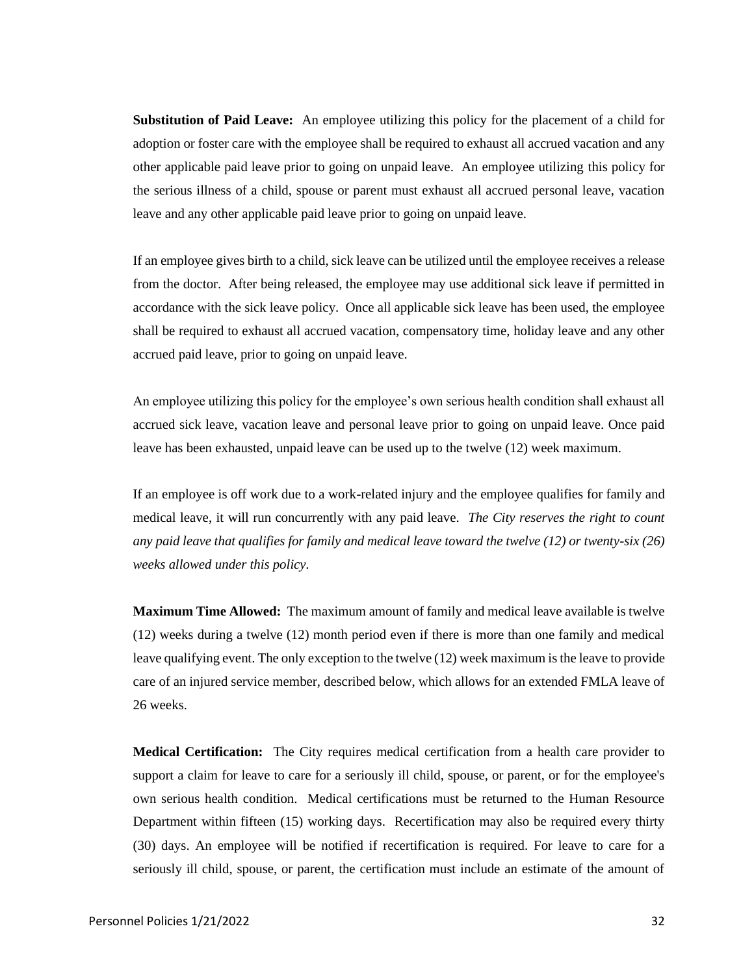**Substitution of Paid Leave:** An employee utilizing this policy for the placement of a child for adoption or foster care with the employee shall be required to exhaust all accrued vacation and any other applicable paid leave prior to going on unpaid leave. An employee utilizing this policy for the serious illness of a child, spouse or parent must exhaust all accrued personal leave, vacation leave and any other applicable paid leave prior to going on unpaid leave.

If an employee gives birth to a child, sick leave can be utilized until the employee receives a release from the doctor. After being released, the employee may use additional sick leave if permitted in accordance with the sick leave policy. Once all applicable sick leave has been used, the employee shall be required to exhaust all accrued vacation, compensatory time, holiday leave and any other accrued paid leave, prior to going on unpaid leave.

An employee utilizing this policy for the employee's own serious health condition shall exhaust all accrued sick leave, vacation leave and personal leave prior to going on unpaid leave. Once paid leave has been exhausted, unpaid leave can be used up to the twelve (12) week maximum.

If an employee is off work due to a work-related injury and the employee qualifies for family and medical leave, it will run concurrently with any paid leave. *The City reserves the right to count any paid leave that qualifies for family and medical leave toward the twelve (12) or twenty-six (26) weeks allowed under this policy.*

**Maximum Time Allowed:** The maximum amount of family and medical leave available is twelve (12) weeks during a twelve (12) month period even if there is more than one family and medical leave qualifying event. The only exception to the twelve (12) week maximum is the leave to provide care of an injured service member, described below, which allows for an extended FMLA leave of 26 weeks.

**Medical Certification:** The City requires medical certification from a health care provider to support a claim for leave to care for a seriously ill child, spouse, or parent, or for the employee's own serious health condition. Medical certifications must be returned to the Human Resource Department within fifteen (15) working days. Recertification may also be required every thirty (30) days. An employee will be notified if recertification is required. For leave to care for a seriously ill child, spouse, or parent, the certification must include an estimate of the amount of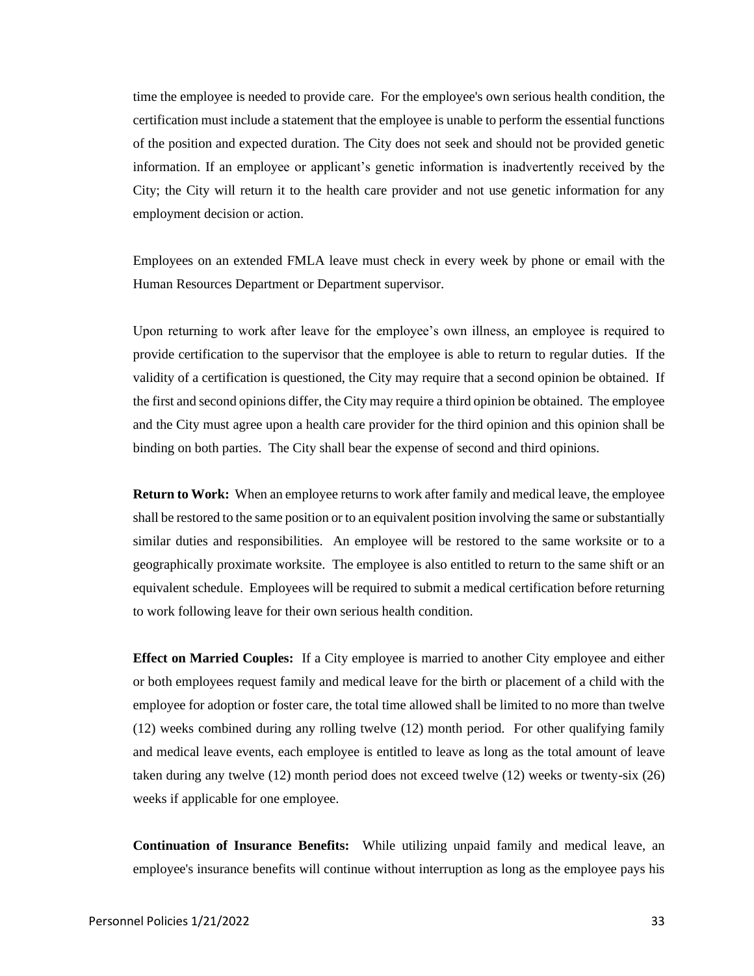time the employee is needed to provide care. For the employee's own serious health condition, the certification must include a statement that the employee is unable to perform the essential functions of the position and expected duration. The City does not seek and should not be provided genetic information. If an employee or applicant's genetic information is inadvertently received by the City; the City will return it to the health care provider and not use genetic information for any employment decision or action.

Employees on an extended FMLA leave must check in every week by phone or email with the Human Resources Department or Department supervisor.

Upon returning to work after leave for the employee's own illness, an employee is required to provide certification to the supervisor that the employee is able to return to regular duties. If the validity of a certification is questioned, the City may require that a second opinion be obtained. If the first and second opinions differ, the City may require a third opinion be obtained. The employee and the City must agree upon a health care provider for the third opinion and this opinion shall be binding on both parties. The City shall bear the expense of second and third opinions.

**Return to Work:** When an employee returns to work after family and medical leave, the employee shall be restored to the same position or to an equivalent position involving the same or substantially similar duties and responsibilities. An employee will be restored to the same worksite or to a geographically proximate worksite. The employee is also entitled to return to the same shift or an equivalent schedule. Employees will be required to submit a medical certification before returning to work following leave for their own serious health condition.

**Effect on Married Couples:** If a City employee is married to another City employee and either or both employees request family and medical leave for the birth or placement of a child with the employee for adoption or foster care, the total time allowed shall be limited to no more than twelve (12) weeks combined during any rolling twelve (12) month period. For other qualifying family and medical leave events, each employee is entitled to leave as long as the total amount of leave taken during any twelve (12) month period does not exceed twelve (12) weeks or twenty-six (26) weeks if applicable for one employee.

**Continuation of Insurance Benefits:** While utilizing unpaid family and medical leave, an employee's insurance benefits will continue without interruption as long as the employee pays his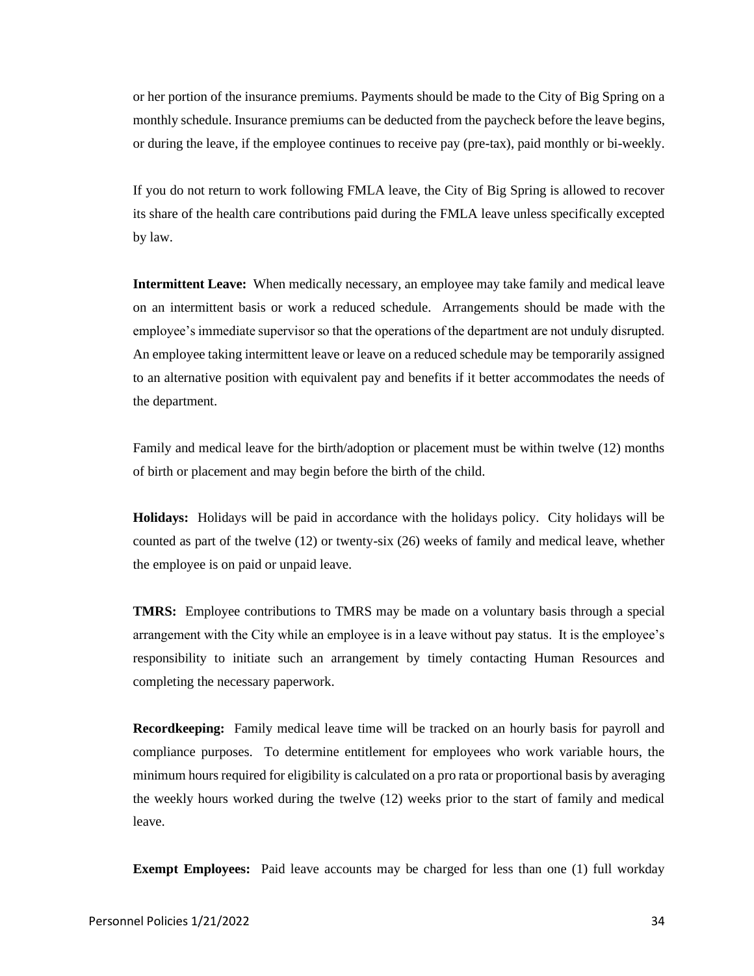or her portion of the insurance premiums. Payments should be made to the City of Big Spring on a monthly schedule. Insurance premiums can be deducted from the paycheck before the leave begins, or during the leave, if the employee continues to receive pay (pre-tax), paid monthly or bi-weekly.

If you do not return to work following FMLA leave, the City of Big Spring is allowed to recover its share of the health care contributions paid during the FMLA leave unless specifically excepted by law.

**Intermittent Leave:** When medically necessary, an employee may take family and medical leave on an intermittent basis or work a reduced schedule. Arrangements should be made with the employee's immediate supervisor so that the operations of the department are not unduly disrupted. An employee taking intermittent leave or leave on a reduced schedule may be temporarily assigned to an alternative position with equivalent pay and benefits if it better accommodates the needs of the department.

Family and medical leave for the birth/adoption or placement must be within twelve (12) months of birth or placement and may begin before the birth of the child.

**Holidays:** Holidays will be paid in accordance with the holidays policy. City holidays will be counted as part of the twelve (12) or twenty-six (26) weeks of family and medical leave, whether the employee is on paid or unpaid leave.

**TMRS:** Employee contributions to TMRS may be made on a voluntary basis through a special arrangement with the City while an employee is in a leave without pay status. It is the employee's responsibility to initiate such an arrangement by timely contacting Human Resources and completing the necessary paperwork.

**Recordkeeping:** Family medical leave time will be tracked on an hourly basis for payroll and compliance purposes. To determine entitlement for employees who work variable hours, the minimum hours required for eligibility is calculated on a pro rata or proportional basis by averaging the weekly hours worked during the twelve (12) weeks prior to the start of family and medical leave.

**Exempt Employees:** Paid leave accounts may be charged for less than one (1) full workday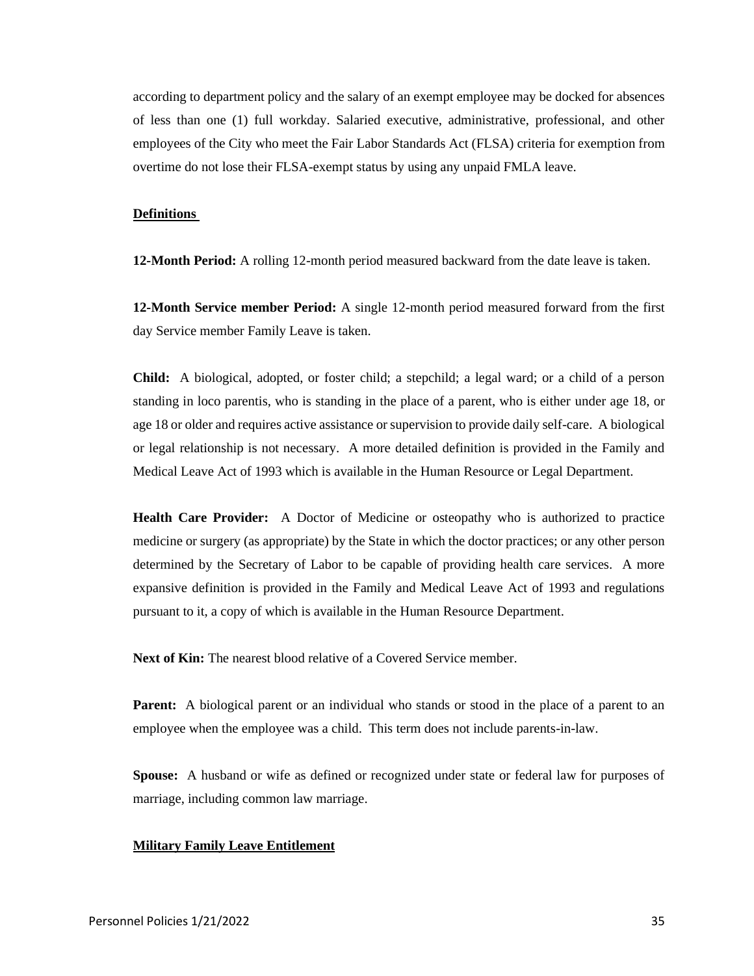according to department policy and the salary of an exempt employee may be docked for absences of less than one (1) full workday. Salaried executive, administrative, professional, and other employees of the City who meet the Fair Labor Standards Act (FLSA) criteria for exemption from overtime do not lose their FLSA-exempt status by using any unpaid FMLA leave.

#### **Definitions**

**12-Month Period:** A rolling 12-month period measured backward from the date leave is taken.

**12-Month Service member Period:** A single 12-month period measured forward from the first day Service member Family Leave is taken.

**Child:** A biological, adopted, or foster child; a stepchild; a legal ward; or a child of a person standing in loco parentis, who is standing in the place of a parent, who is either under age 18, or age 18 or older and requires active assistance or supervision to provide daily self-care. A biological or legal relationship is not necessary. A more detailed definition is provided in the Family and Medical Leave Act of 1993 which is available in the Human Resource or Legal Department.

**Health Care Provider:** A Doctor of Medicine or osteopathy who is authorized to practice medicine or surgery (as appropriate) by the State in which the doctor practices; or any other person determined by the Secretary of Labor to be capable of providing health care services. A more expansive definition is provided in the Family and Medical Leave Act of 1993 and regulations pursuant to it, a copy of which is available in the Human Resource Department.

**Next of Kin:** The nearest blood relative of a Covered Service member.

**Parent:** A biological parent or an individual who stands or stood in the place of a parent to an employee when the employee was a child. This term does not include parents-in-law.

**Spouse:** A husband or wife as defined or recognized under state or federal law for purposes of marriage, including common law marriage.

#### **Military Family Leave Entitlement**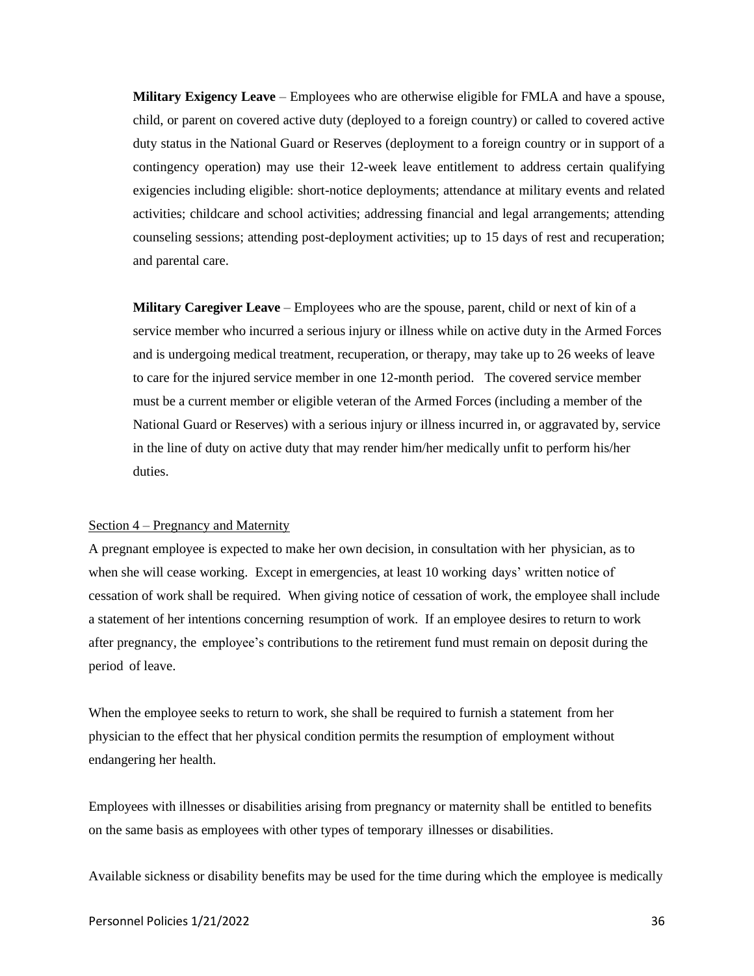**Military Exigency Leave** – Employees who are otherwise eligible for FMLA and have a spouse, child, or parent on covered active duty (deployed to a foreign country) or called to covered active duty status in the National Guard or Reserves (deployment to a foreign country or in support of a contingency operation) may use their 12-week leave entitlement to address certain qualifying exigencies including eligible: short-notice deployments; attendance at military events and related activities; childcare and school activities; addressing financial and legal arrangements; attending counseling sessions; attending post-deployment activities; up to 15 days of rest and recuperation; and parental care.

**Military Caregiver Leave** – Employees who are the spouse, parent, child or next of kin of a service member who incurred a serious injury or illness while on active duty in the Armed Forces and is undergoing medical treatment, recuperation, or therapy, may take up to 26 weeks of leave to care for the injured service member in one 12-month period. The covered service member must be a current member or eligible veteran of the Armed Forces (including a member of the National Guard or Reserves) with a serious injury or illness incurred in, or aggravated by, service in the line of duty on active duty that may render him/her medically unfit to perform his/her duties.

#### Section 4 – Pregnancy and Maternity

A pregnant employee is expected to make her own decision, in consultation with her physician, as to when she will cease working. Except in emergencies, at least 10 working days' written notice of cessation of work shall be required. When giving notice of cessation of work, the employee shall include a statement of her intentions concerning resumption of work. If an employee desires to return to work after pregnancy, the employee's contributions to the retirement fund must remain on deposit during the period of leave.

When the employee seeks to return to work, she shall be required to furnish a statement from her physician to the effect that her physical condition permits the resumption of employment without endangering her health.

Employees with illnesses or disabilities arising from pregnancy or maternity shall be entitled to benefits on the same basis as employees with other types of temporary illnesses or disabilities.

Available sickness or disability benefits may be used for the time during which the employee is medically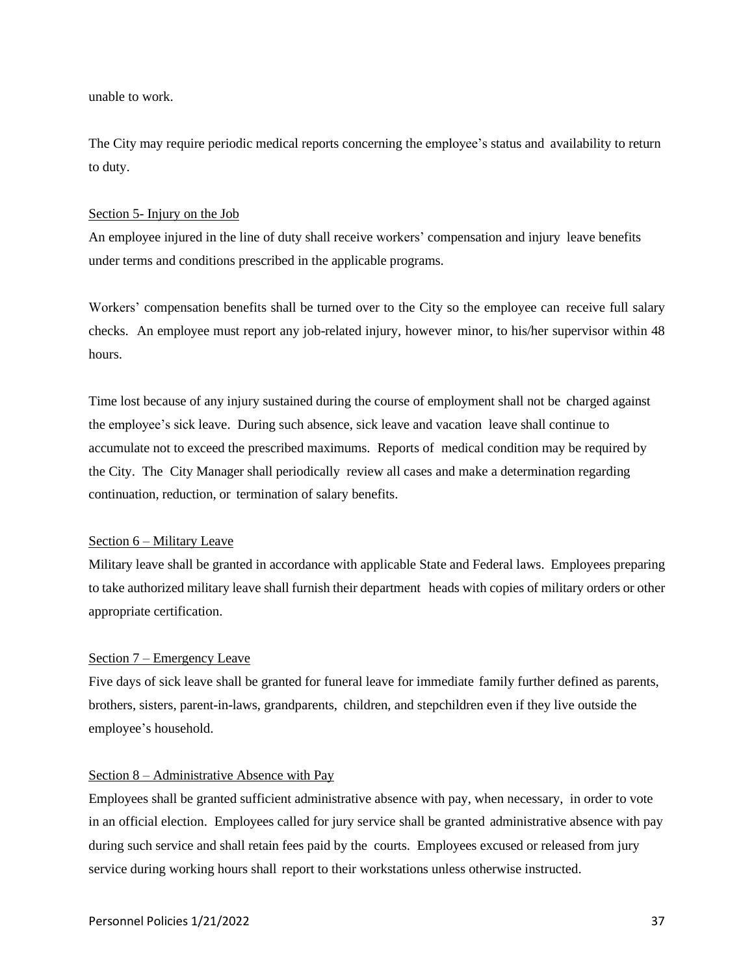unable to work.

The City may require periodic medical reports concerning the employee's status and availability to return to duty.

## Section 5- Injury on the Job

An employee injured in the line of duty shall receive workers' compensation and injury leave benefits under terms and conditions prescribed in the applicable programs.

Workers' compensation benefits shall be turned over to the City so the employee can receive full salary checks. An employee must report any job-related injury, however minor, to his/her supervisor within 48 hours.

Time lost because of any injury sustained during the course of employment shall not be charged against the employee's sick leave. During such absence, sick leave and vacation leave shall continue to accumulate not to exceed the prescribed maximums. Reports of medical condition may be required by the City. The City Manager shall periodically review all cases and make a determination regarding continuation, reduction, or termination of salary benefits.

## Section 6 – Military Leave

Military leave shall be granted in accordance with applicable State and Federal laws. Employees preparing to take authorized military leave shall furnish their department heads with copies of military orders or other appropriate certification.

## Section 7 – Emergency Leave

Five days of sick leave shall be granted for funeral leave for immediate family further defined as parents, brothers, sisters, parent-in-laws, grandparents, children, and stepchildren even if they live outside the employee's household.

## Section 8 – Administrative Absence with Pay

Employees shall be granted sufficient administrative absence with pay, when necessary, in order to vote in an official election. Employees called for jury service shall be granted administrative absence with pay during such service and shall retain fees paid by the courts. Employees excused or released from jury service during working hours shall report to their workstations unless otherwise instructed.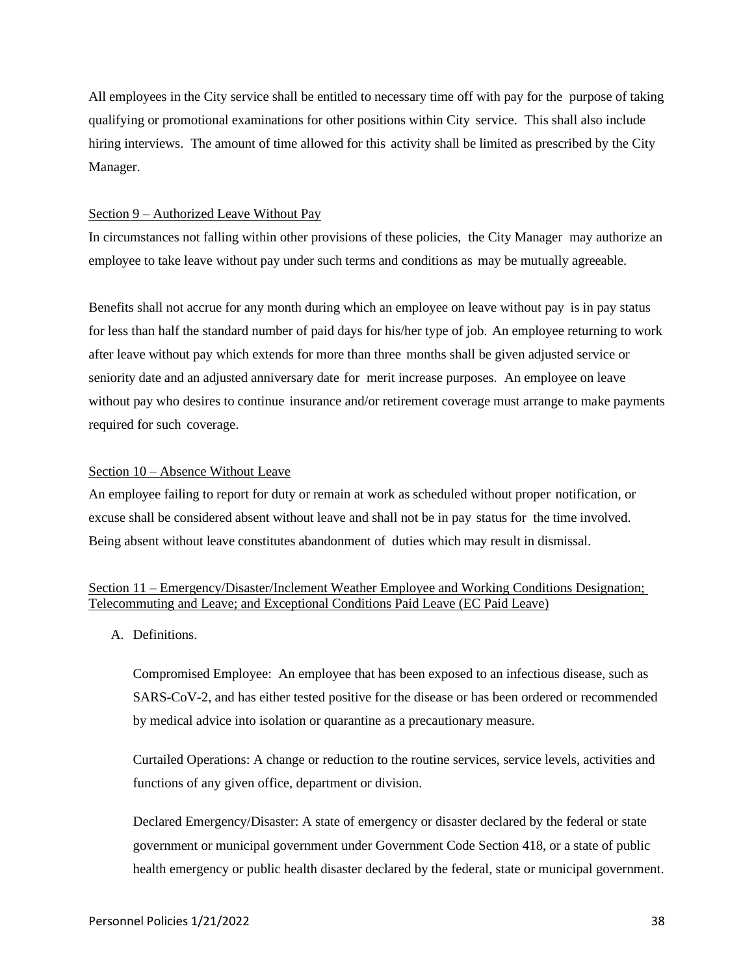All employees in the City service shall be entitled to necessary time off with pay for the purpose of taking qualifying or promotional examinations for other positions within City service. This shall also include hiring interviews. The amount of time allowed for this activity shall be limited as prescribed by the City Manager.

## Section 9 – Authorized Leave Without Pay

In circumstances not falling within other provisions of these policies, the City Manager may authorize an employee to take leave without pay under such terms and conditions as may be mutually agreeable.

Benefits shall not accrue for any month during which an employee on leave without pay is in pay status for less than half the standard number of paid days for his/her type of job. An employee returning to work after leave without pay which extends for more than three months shall be given adjusted service or seniority date and an adjusted anniversary date for merit increase purposes. An employee on leave without pay who desires to continue insurance and/or retirement coverage must arrange to make payments required for such coverage.

## Section 10 – Absence Without Leave

An employee failing to report for duty or remain at work as scheduled without proper notification, or excuse shall be considered absent without leave and shall not be in pay status for the time involved. Being absent without leave constitutes abandonment of duties which may result in dismissal.

# Section 11 – Emergency/Disaster/Inclement Weather Employee and Working Conditions Designation; Telecommuting and Leave; and Exceptional Conditions Paid Leave (EC Paid Leave)

A. Definitions.

Compromised Employee: An employee that has been exposed to an infectious disease, such as SARS-CoV-2, and has either tested positive for the disease or has been ordered or recommended by medical advice into isolation or quarantine as a precautionary measure.

Curtailed Operations: A change or reduction to the routine services, service levels, activities and functions of any given office, department or division.

Declared Emergency/Disaster: A state of emergency or disaster declared by the federal or state government or municipal government under Government Code Section 418, or a state of public health emergency or public health disaster declared by the federal, state or municipal government.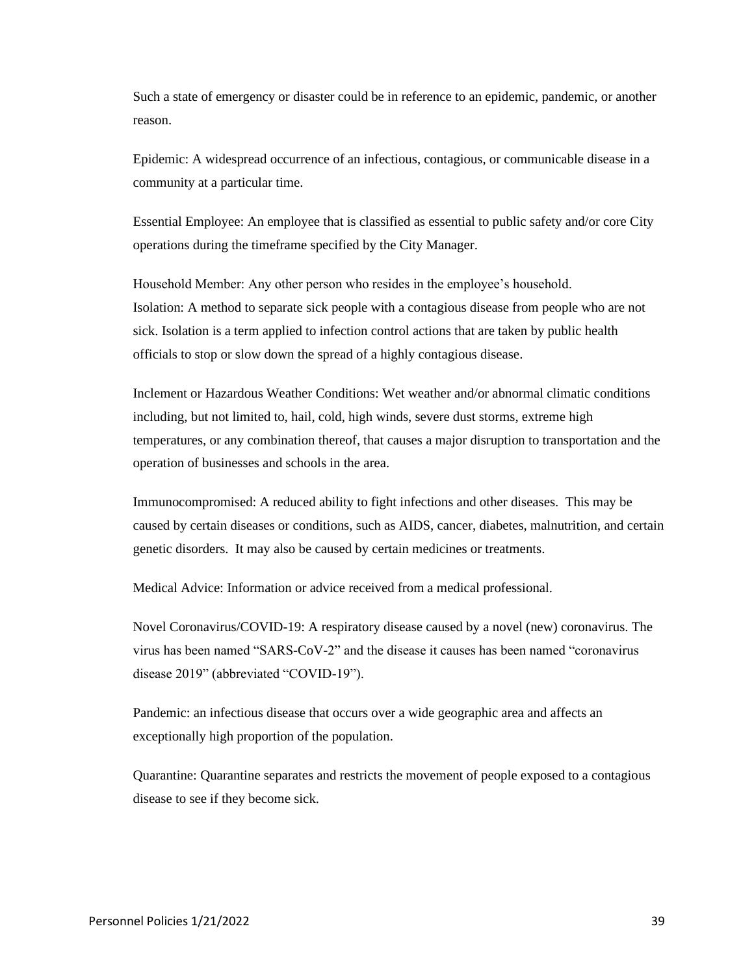Such a state of emergency or disaster could be in reference to an epidemic, pandemic, or another reason.

Epidemic: A widespread occurrence of an infectious, contagious, or communicable disease in a community at a particular time.

Essential Employee: An employee that is classified as essential to public safety and/or core City operations during the timeframe specified by the City Manager.

Household Member: Any other person who resides in the employee's household. Isolation: A method to separate sick people with a contagious disease from people who are not sick. Isolation is a term applied to infection control actions that are taken by public health officials to stop or slow down the spread of a highly contagious disease.

Inclement or Hazardous Weather Conditions: Wet weather and/or abnormal climatic conditions including, but not limited to, hail, cold, high winds, severe dust storms, extreme high temperatures, or any combination thereof, that causes a major disruption to transportation and the operation of businesses and schools in the area.

Immunocompromised: A reduced ability to fight infections and other diseases. This may be caused by certain diseases or conditions, such as AIDS, cancer, diabetes, malnutrition, and certain genetic disorders. It may also be caused by certain medicines or treatments.

Medical Advice: Information or advice received from a medical professional.

Novel Coronavirus/COVID-19: A respiratory disease caused by a novel (new) coronavirus. The virus has been named "SARS-CoV-2" and the disease it causes has been named "coronavirus disease 2019" (abbreviated "COVID-19").

Pandemic: an infectious disease that occurs over a wide geographic area and affects an exceptionally high proportion of the population.

Quarantine: Quarantine separates and restricts the movement of people exposed to a contagious disease to see if they become sick.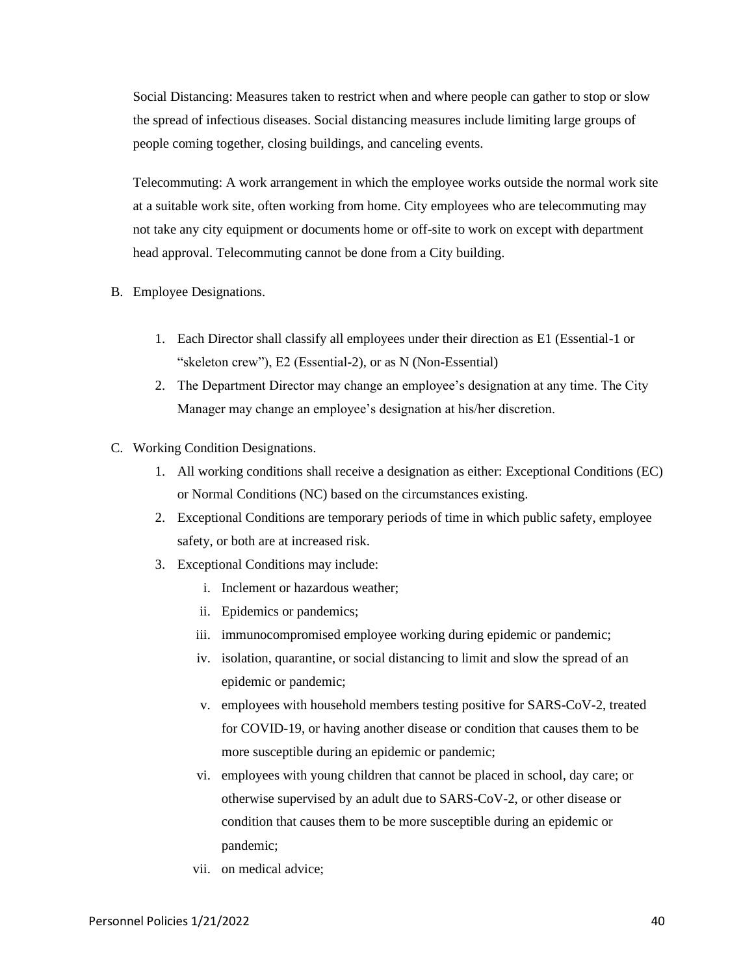Social Distancing: Measures taken to restrict when and where people can gather to stop or slow the spread of infectious diseases. Social distancing measures include limiting large groups of people coming together, closing buildings, and canceling events.

Telecommuting: A work arrangement in which the employee works outside the normal work site at a suitable work site, often working from home. City employees who are telecommuting may not take any city equipment or documents home or off-site to work on except with department head approval. Telecommuting cannot be done from a City building.

- B. Employee Designations.
	- 1. Each Director shall classify all employees under their direction as E1 (Essential-1 or "skeleton crew"), E2 (Essential-2), or as N (Non-Essential)
	- 2. The Department Director may change an employee's designation at any time. The City Manager may change an employee's designation at his/her discretion.
- C. Working Condition Designations.
	- 1. All working conditions shall receive a designation as either: Exceptional Conditions (EC) or Normal Conditions (NC) based on the circumstances existing.
	- 2. Exceptional Conditions are temporary periods of time in which public safety, employee safety, or both are at increased risk.
	- 3. Exceptional Conditions may include:
		- i. Inclement or hazardous weather;
		- ii. Epidemics or pandemics;
		- iii. immunocompromised employee working during epidemic or pandemic;
		- iv. isolation, quarantine, or social distancing to limit and slow the spread of an epidemic or pandemic;
		- v. employees with household members testing positive for SARS-CoV-2, treated for COVID-19, or having another disease or condition that causes them to be more susceptible during an epidemic or pandemic;
		- vi. employees with young children that cannot be placed in school, day care; or otherwise supervised by an adult due to SARS-CoV-2, or other disease or condition that causes them to be more susceptible during an epidemic or pandemic;
		- vii. on medical advice;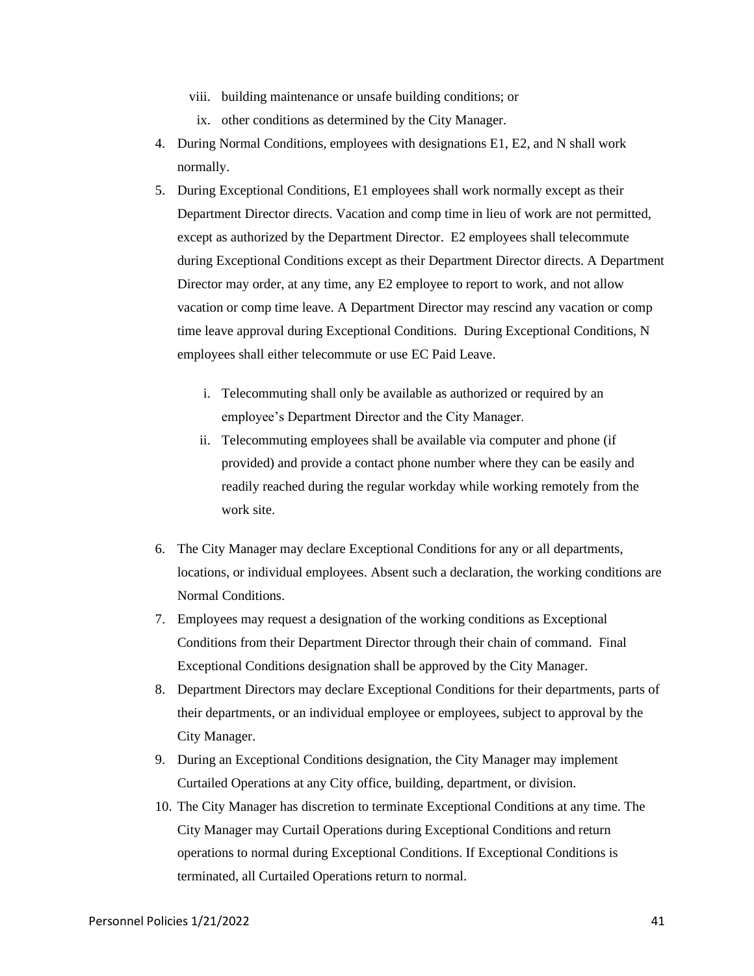- viii. building maintenance or unsafe building conditions; or
- ix. other conditions as determined by the City Manager.
- 4. During Normal Conditions, employees with designations E1, E2, and N shall work normally.
- 5. During Exceptional Conditions, E1 employees shall work normally except as their Department Director directs. Vacation and comp time in lieu of work are not permitted, except as authorized by the Department Director. E2 employees shall telecommute during Exceptional Conditions except as their Department Director directs. A Department Director may order, at any time, any E2 employee to report to work, and not allow vacation or comp time leave. A Department Director may rescind any vacation or comp time leave approval during Exceptional Conditions. During Exceptional Conditions, N employees shall either telecommute or use EC Paid Leave.
	- i. Telecommuting shall only be available as authorized or required by an employee's Department Director and the City Manager.
	- ii. Telecommuting employees shall be available via computer and phone (if provided) and provide a contact phone number where they can be easily and readily reached during the regular workday while working remotely from the work site.
- 6. The City Manager may declare Exceptional Conditions for any or all departments, locations, or individual employees. Absent such a declaration, the working conditions are Normal Conditions.
- 7. Employees may request a designation of the working conditions as Exceptional Conditions from their Department Director through their chain of command. Final Exceptional Conditions designation shall be approved by the City Manager.
- 8. Department Directors may declare Exceptional Conditions for their departments, parts of their departments, or an individual employee or employees, subject to approval by the City Manager.
- 9. During an Exceptional Conditions designation, the City Manager may implement Curtailed Operations at any City office, building, department, or division.
- 10. The City Manager has discretion to terminate Exceptional Conditions at any time. The City Manager may Curtail Operations during Exceptional Conditions and return operations to normal during Exceptional Conditions. If Exceptional Conditions is terminated, all Curtailed Operations return to normal.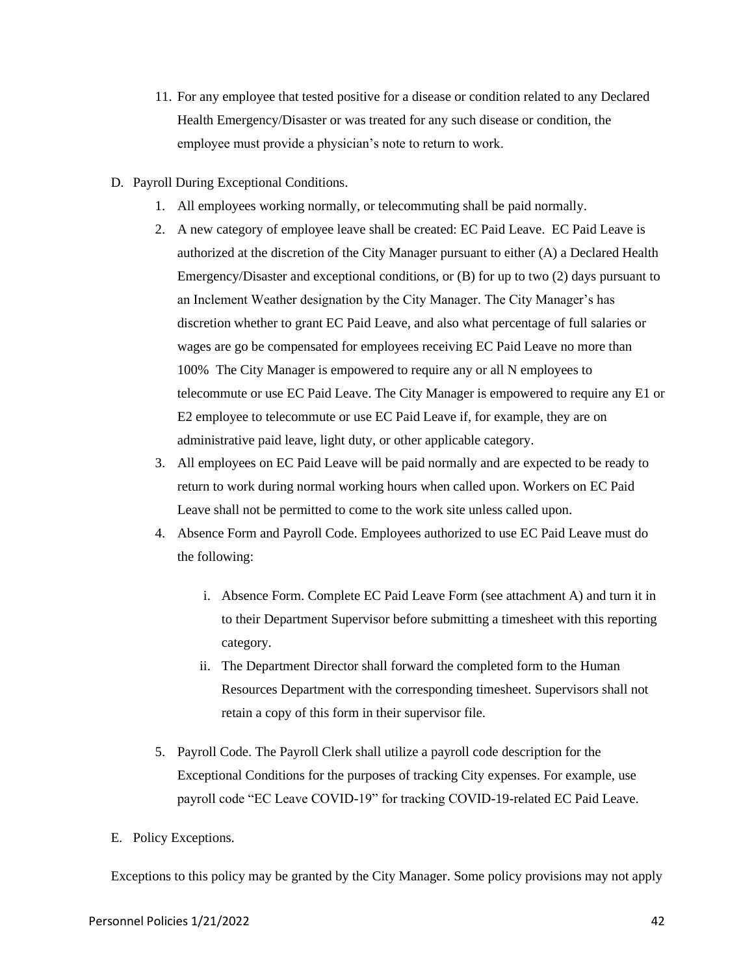- 11. For any employee that tested positive for a disease or condition related to any Declared Health Emergency/Disaster or was treated for any such disease or condition, the employee must provide a physician's note to return to work.
- D. Payroll During Exceptional Conditions.
	- 1. All employees working normally, or telecommuting shall be paid normally.
	- 2. A new category of employee leave shall be created: EC Paid Leave. EC Paid Leave is authorized at the discretion of the City Manager pursuant to either (A) a Declared Health Emergency/Disaster and exceptional conditions, or (B) for up to two (2) days pursuant to an Inclement Weather designation by the City Manager. The City Manager's has discretion whether to grant EC Paid Leave, and also what percentage of full salaries or wages are go be compensated for employees receiving EC Paid Leave no more than 100% The City Manager is empowered to require any or all N employees to telecommute or use EC Paid Leave. The City Manager is empowered to require any E1 or E2 employee to telecommute or use EC Paid Leave if, for example, they are on administrative paid leave, light duty, or other applicable category.
	- 3. All employees on EC Paid Leave will be paid normally and are expected to be ready to return to work during normal working hours when called upon. Workers on EC Paid Leave shall not be permitted to come to the work site unless called upon.
	- 4. Absence Form and Payroll Code. Employees authorized to use EC Paid Leave must do the following:
		- i. Absence Form. Complete EC Paid Leave Form (see attachment A) and turn it in to their Department Supervisor before submitting a timesheet with this reporting category.
		- ii. The Department Director shall forward the completed form to the Human Resources Department with the corresponding timesheet. Supervisors shall not retain a copy of this form in their supervisor file.
	- 5. Payroll Code. The Payroll Clerk shall utilize a payroll code description for the Exceptional Conditions for the purposes of tracking City expenses. For example, use payroll code "EC Leave COVID-19" for tracking COVID-19-related EC Paid Leave.
- E. Policy Exceptions.

Exceptions to this policy may be granted by the City Manager. Some policy provisions may not apply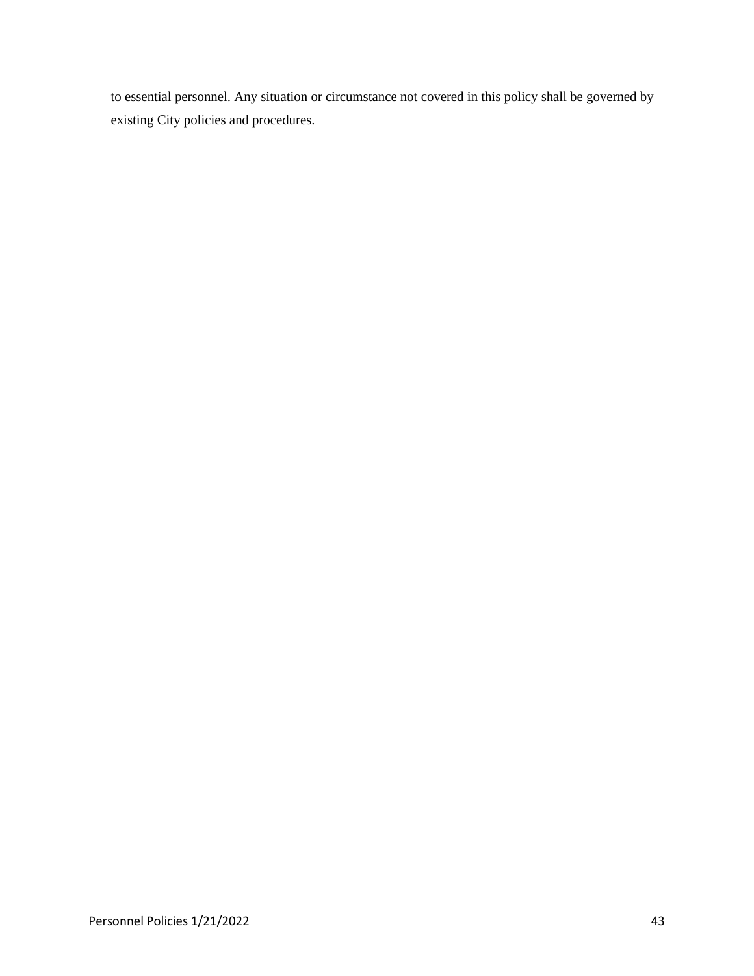to essential personnel. Any situation or circumstance not covered in this policy shall be governed by existing City policies and procedures.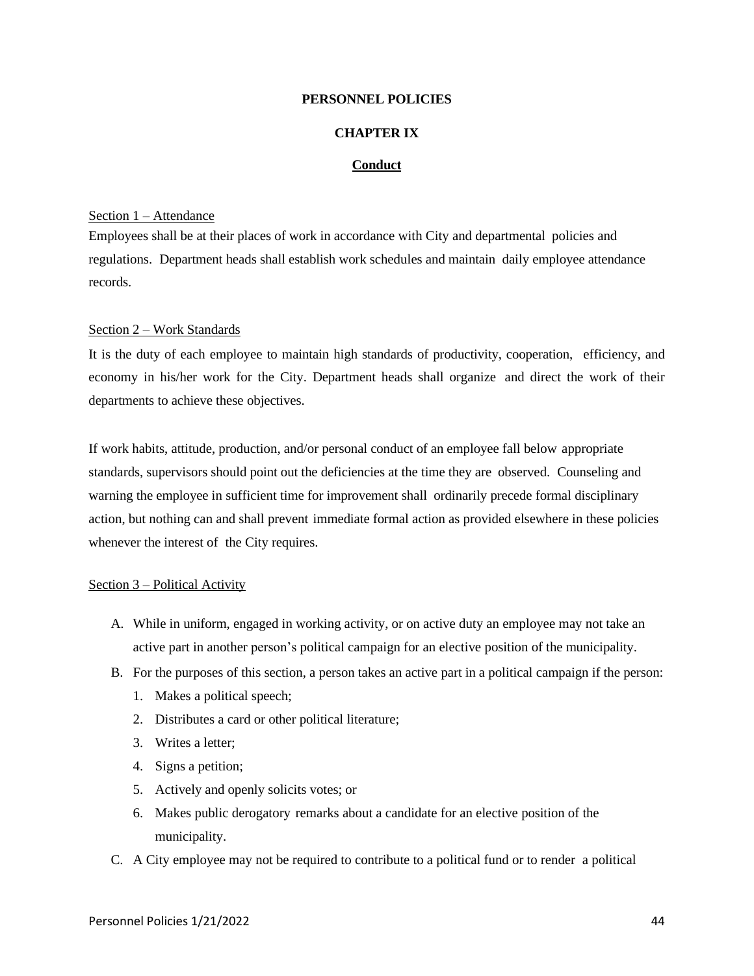## **CHAPTER IX**

## **Conduct**

## Section 1 – Attendance

Employees shall be at their places of work in accordance with City and departmental policies and regulations. Department heads shall establish work schedules and maintain daily employee attendance records.

#### Section 2 – Work Standards

It is the duty of each employee to maintain high standards of productivity, cooperation, efficiency, and economy in his/her work for the City. Department heads shall organize and direct the work of their departments to achieve these objectives.

If work habits, attitude, production, and/or personal conduct of an employee fall below appropriate standards, supervisors should point out the deficiencies at the time they are observed. Counseling and warning the employee in sufficient time for improvement shall ordinarily precede formal disciplinary action, but nothing can and shall prevent immediate formal action as provided elsewhere in these policies whenever the interest of the City requires.

## Section 3 – Political Activity

- A. While in uniform, engaged in working activity, or on active duty an employee may not take an active part in another person's political campaign for an elective position of the municipality.
- B. For the purposes of this section, a person takes an active part in a political campaign if the person:
	- 1. Makes a political speech;
	- 2. Distributes a card or other political literature;
	- 3. Writes a letter;
	- 4. Signs a petition;
	- 5. Actively and openly solicits votes; or
	- 6. Makes public derogatory remarks about a candidate for an elective position of the municipality.
- C. A City employee may not be required to contribute to a political fund or to render a political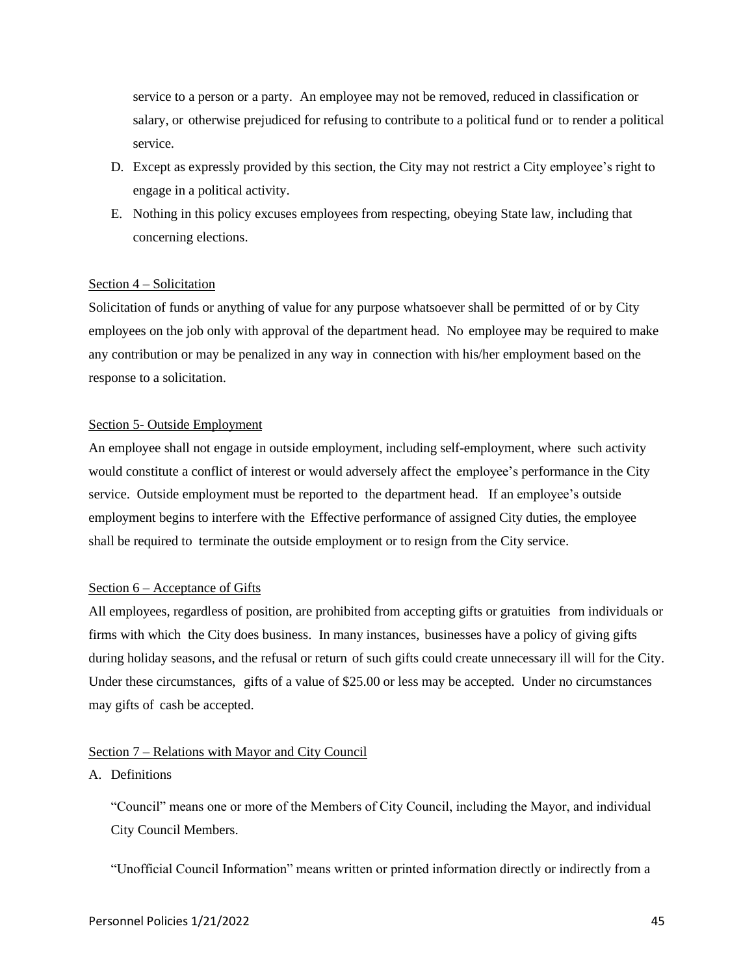service to a person or a party. An employee may not be removed, reduced in classification or salary, or otherwise prejudiced for refusing to contribute to a political fund or to render a political service.

- D. Except as expressly provided by this section, the City may not restrict a City employee's right to engage in a political activity.
- E. Nothing in this policy excuses employees from respecting, obeying State law, including that concerning elections.

## Section 4 – Solicitation

Solicitation of funds or anything of value for any purpose whatsoever shall be permitted of or by City employees on the job only with approval of the department head. No employee may be required to make any contribution or may be penalized in any way in connection with his/her employment based on the response to a solicitation.

## Section 5- Outside Employment

An employee shall not engage in outside employment, including self-employment, where such activity would constitute a conflict of interest or would adversely affect the employee's performance in the City service. Outside employment must be reported to the department head. If an employee's outside employment begins to interfere with the Effective performance of assigned City duties, the employee shall be required to terminate the outside employment or to resign from the City service.

## Section 6 – Acceptance of Gifts

All employees, regardless of position, are prohibited from accepting gifts or gratuities from individuals or firms with which the City does business. In many instances, businesses have a policy of giving gifts during holiday seasons, and the refusal or return of such gifts could create unnecessary ill will for the City. Under these circumstances, gifts of a value of \$25.00 or less may be accepted. Under no circumstances may gifts of cash be accepted.

## Section 7 – Relations with Mayor and City Council

## A. Definitions

"Council" means one or more of the Members of City Council, including the Mayor, and individual City Council Members.

"Unofficial Council Information" means written or printed information directly or indirectly from a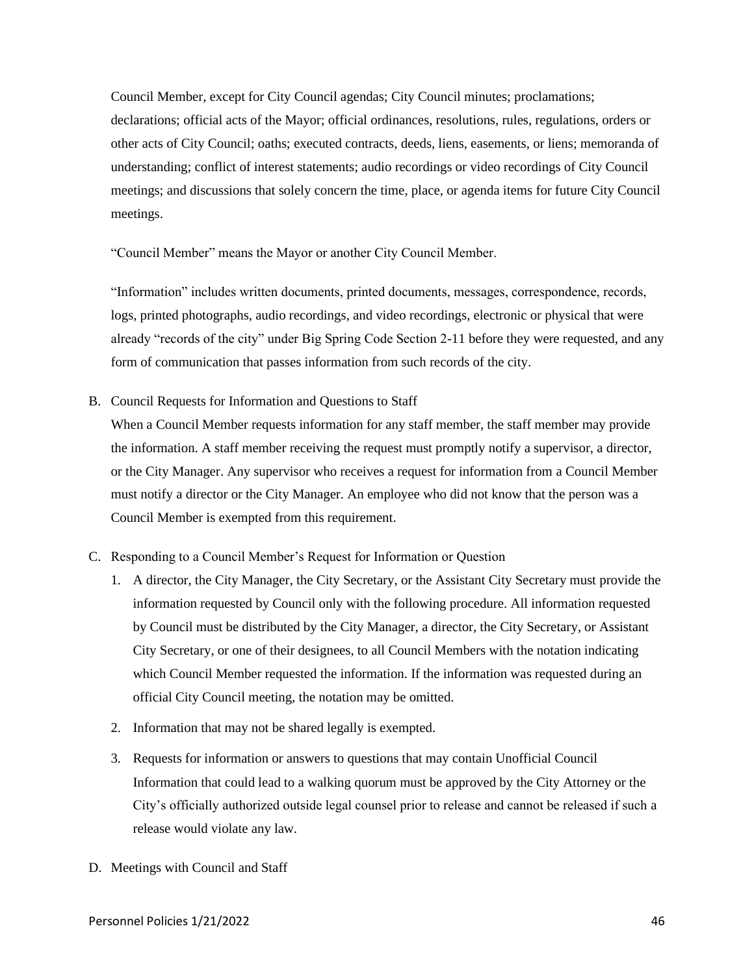Council Member, except for City Council agendas; City Council minutes; proclamations; declarations; official acts of the Mayor; official ordinances, resolutions, rules, regulations, orders or other acts of City Council; oaths; executed contracts, deeds, liens, easements, or liens; memoranda of understanding; conflict of interest statements; audio recordings or video recordings of City Council meetings; and discussions that solely concern the time, place, or agenda items for future City Council meetings.

"Council Member" means the Mayor or another City Council Member.

"Information" includes written documents, printed documents, messages, correspondence, records, logs, printed photographs, audio recordings, and video recordings, electronic or physical that were already "records of the city" under Big Spring Code Section 2-11 before they were requested, and any form of communication that passes information from such records of the city.

B. Council Requests for Information and Questions to Staff

When a Council Member requests information for any staff member, the staff member may provide the information. A staff member receiving the request must promptly notify a supervisor, a director, or the City Manager. Any supervisor who receives a request for information from a Council Member must notify a director or the City Manager. An employee who did not know that the person was a Council Member is exempted from this requirement.

- C. Responding to a Council Member's Request for Information or Question
	- 1. A director, the City Manager, the City Secretary, or the Assistant City Secretary must provide the information requested by Council only with the following procedure. All information requested by Council must be distributed by the City Manager, a director, the City Secretary, or Assistant City Secretary, or one of their designees, to all Council Members with the notation indicating which Council Member requested the information. If the information was requested during an official City Council meeting, the notation may be omitted.
	- 2. Information that may not be shared legally is exempted.
	- 3. Requests for information or answers to questions that may contain Unofficial Council Information that could lead to a walking quorum must be approved by the City Attorney or the City's officially authorized outside legal counsel prior to release and cannot be released if such a release would violate any law.
- D. Meetings with Council and Staff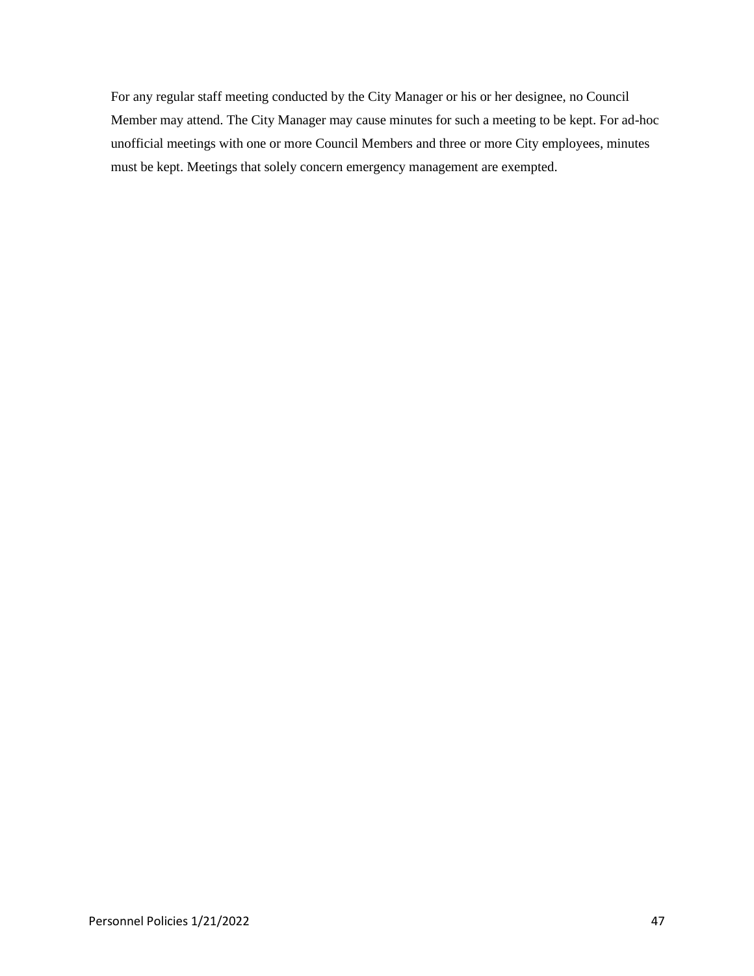For any regular staff meeting conducted by the City Manager or his or her designee, no Council Member may attend. The City Manager may cause minutes for such a meeting to be kept. For ad-hoc unofficial meetings with one or more Council Members and three or more City employees, minutes must be kept. Meetings that solely concern emergency management are exempted.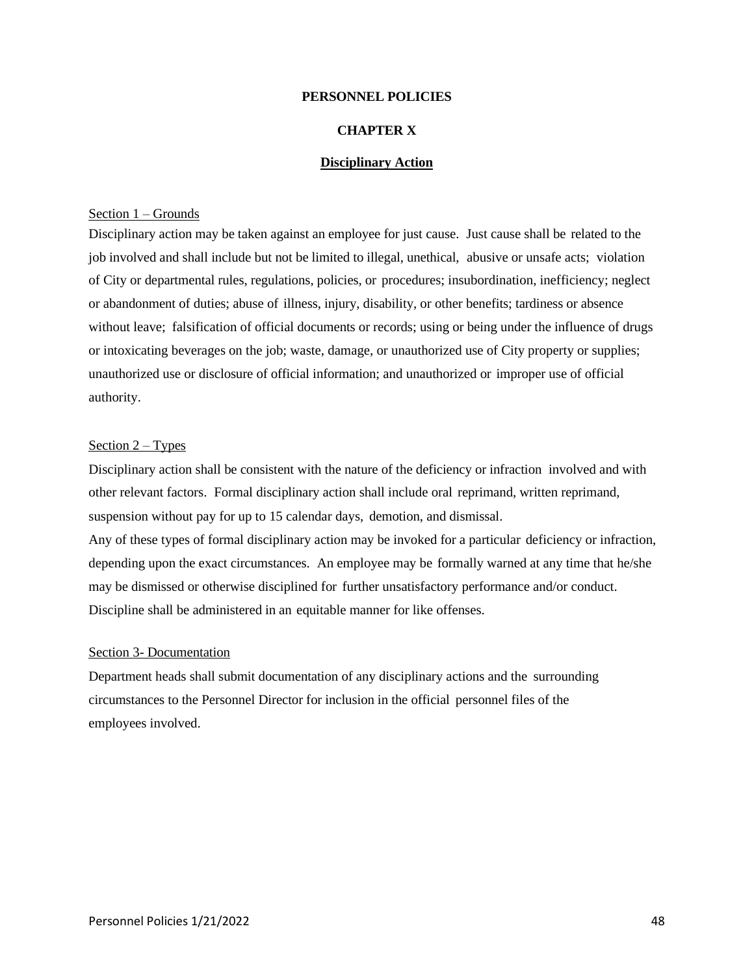## **CHAPTER X**

## **Disciplinary Action**

### Section 1 – Grounds

Disciplinary action may be taken against an employee for just cause. Just cause shall be related to the job involved and shall include but not be limited to illegal, unethical, abusive or unsafe acts; violation of City or departmental rules, regulations, policies, or procedures; insubordination, inefficiency; neglect or abandonment of duties; abuse of illness, injury, disability, or other benefits; tardiness or absence without leave; falsification of official documents or records; using or being under the influence of drugs or intoxicating beverages on the job; waste, damage, or unauthorized use of City property or supplies; unauthorized use or disclosure of official information; and unauthorized or improper use of official authority.

#### Section 2 – Types

Disciplinary action shall be consistent with the nature of the deficiency or infraction involved and with other relevant factors. Formal disciplinary action shall include oral reprimand, written reprimand, suspension without pay for up to 15 calendar days, demotion, and dismissal.

Any of these types of formal disciplinary action may be invoked for a particular deficiency or infraction, depending upon the exact circumstances. An employee may be formally warned at any time that he/she may be dismissed or otherwise disciplined for further unsatisfactory performance and/or conduct. Discipline shall be administered in an equitable manner for like offenses.

#### Section 3- Documentation

Department heads shall submit documentation of any disciplinary actions and the surrounding circumstances to the Personnel Director for inclusion in the official personnel files of the employees involved.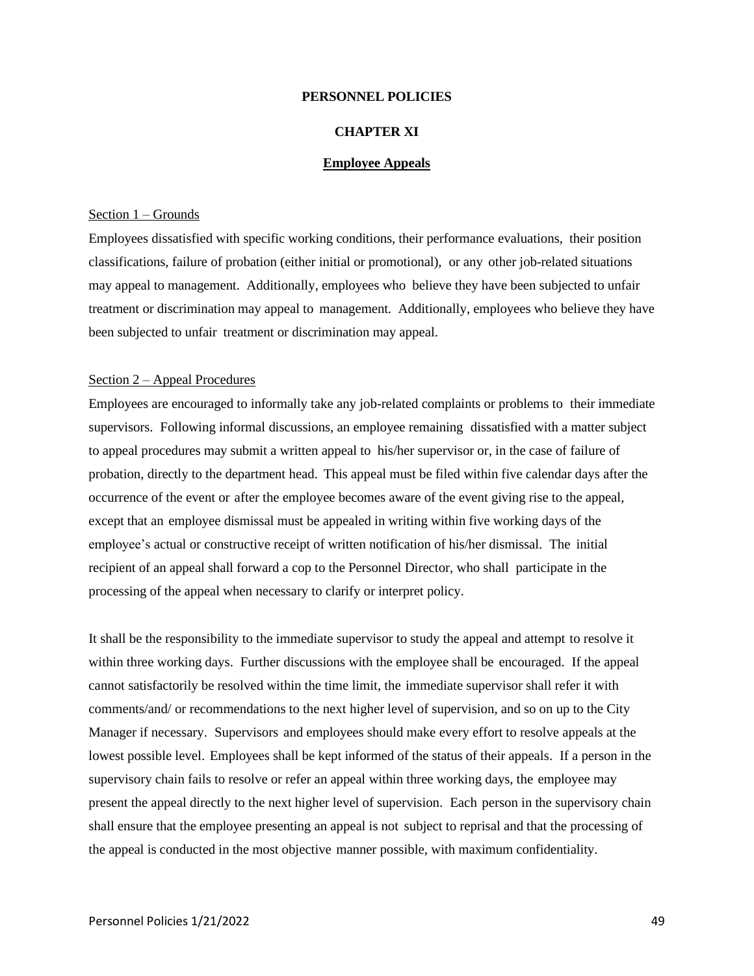## **CHAPTER XI**

## **Employee Appeals**

#### Section 1 – Grounds

Employees dissatisfied with specific working conditions, their performance evaluations, their position classifications, failure of probation (either initial or promotional), or any other job-related situations may appeal to management. Additionally, employees who believe they have been subjected to unfair treatment or discrimination may appeal to management. Additionally, employees who believe they have been subjected to unfair treatment or discrimination may appeal.

### Section 2 – Appeal Procedures

Employees are encouraged to informally take any job-related complaints or problems to their immediate supervisors. Following informal discussions, an employee remaining dissatisfied with a matter subject to appeal procedures may submit a written appeal to his/her supervisor or, in the case of failure of probation, directly to the department head. This appeal must be filed within five calendar days after the occurrence of the event or after the employee becomes aware of the event giving rise to the appeal, except that an employee dismissal must be appealed in writing within five working days of the employee's actual or constructive receipt of written notification of his/her dismissal. The initial recipient of an appeal shall forward a cop to the Personnel Director, who shall participate in the processing of the appeal when necessary to clarify or interpret policy.

It shall be the responsibility to the immediate supervisor to study the appeal and attempt to resolve it within three working days. Further discussions with the employee shall be encouraged. If the appeal cannot satisfactorily be resolved within the time limit, the immediate supervisor shall refer it with comments/and/ or recommendations to the next higher level of supervision, and so on up to the City Manager if necessary. Supervisors and employees should make every effort to resolve appeals at the lowest possible level. Employees shall be kept informed of the status of their appeals. If a person in the supervisory chain fails to resolve or refer an appeal within three working days, the employee may present the appeal directly to the next higher level of supervision. Each person in the supervisory chain shall ensure that the employee presenting an appeal is not subject to reprisal and that the processing of the appeal is conducted in the most objective manner possible, with maximum confidentiality.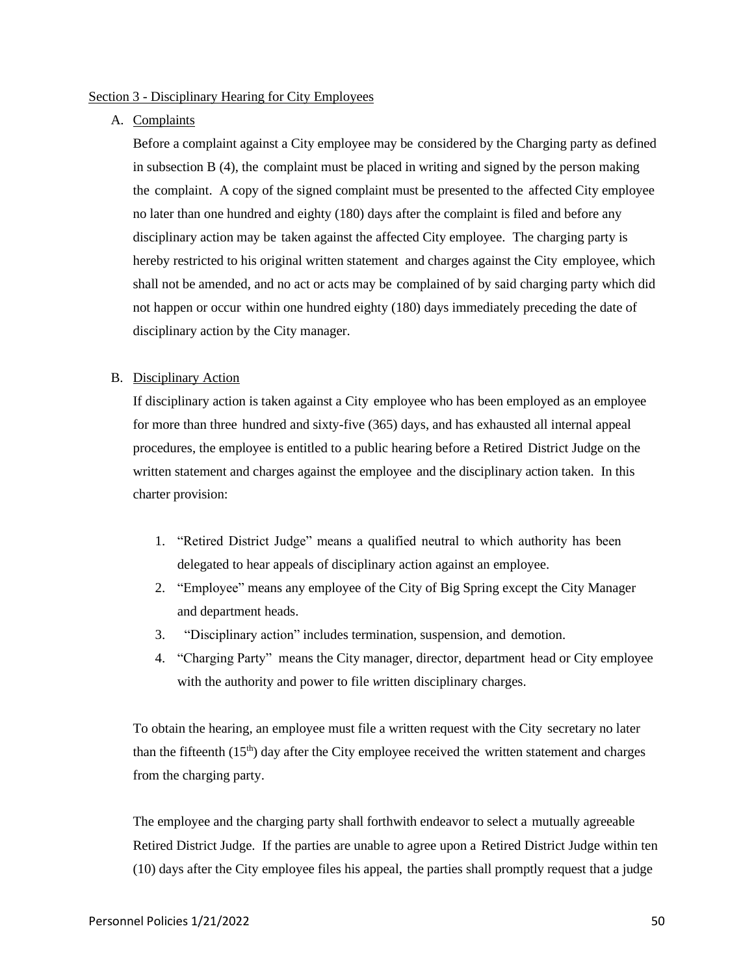## Section 3 - Disciplinary Hearing for City Employees

## A. Complaints

Before a complaint against a City employee may be considered by the Charging party as defined in subsection B (4), the complaint must be placed in writing and signed by the person making the complaint. A copy of the signed complaint must be presented to the affected City employee no later than one hundred and eighty (180) days after the complaint is filed and before any disciplinary action may be taken against the affected City employee. The charging party is hereby restricted to his original written statement and charges against the City employee, which shall not be amended, and no act or acts may be complained of by said charging party which did not happen or occur within one hundred eighty (180) days immediately preceding the date of disciplinary action by the City manager.

## B. Disciplinary Action

If disciplinary action is taken against a City employee who has been employed as an employee for more than three hundred and sixty-five (365) days, and has exhausted all internal appeal procedures, the employee is entitled to a public hearing before a Retired District Judge on the written statement and charges against the employee and the disciplinary action taken. In this charter provision:

- 1. "Retired District Judge" means a qualified neutral to which authority has been delegated to hear appeals of disciplinary action against an employee.
- 2. "Employee" means any employee of the City of Big Spring except the City Manager and department heads.
- 3. "Disciplinary action" includes termination, suspension, and demotion.
- 4. "Charging Party" means the City manager, director, department head or City employee with the authority and power to file *w*ritten disciplinary charges.

To obtain the hearing, an employee must file a written request with the City secretary no later than the fifteenth (15th) day after the City employee received the written statement and charges from the charging party.

The employee and the charging party shall forthwith endeavor to select a mutually agreeable Retired District Judge. If the parties are unable to agree upon a Retired District Judge within ten (10) days after the City employee files his appeal, the parties shall promptly request that a judge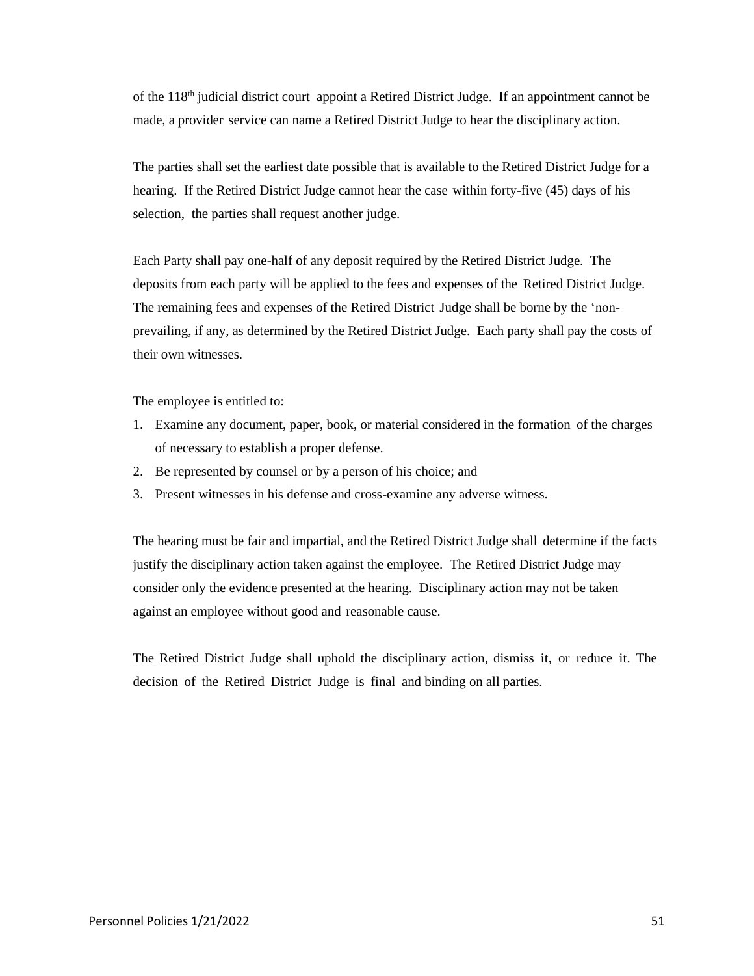of the  $118<sup>th</sup>$  judicial district court appoint a Retired District Judge. If an appointment cannot be made, a provider service can name a Retired District Judge to hear the disciplinary action.

The parties shall set the earliest date possible that is available to the Retired District Judge for a hearing. If the Retired District Judge cannot hear the case within forty-five (45) days of his selection, the parties shall request another judge.

Each Party shall pay one-half of any deposit required by the Retired District Judge. The deposits from each party will be applied to the fees and expenses of the Retired District Judge. The remaining fees and expenses of the Retired District Judge shall be borne by the 'nonprevailing, if any, as determined by the Retired District Judge. Each party shall pay the costs of their own witnesses.

The employee is entitled to:

- 1. Examine any document, paper, book, or material considered in the formation of the charges of necessary to establish a proper defense.
- 2. Be represented by counsel or by a person of his choice; and
- 3. Present witnesses in his defense and cross-examine any adverse witness.

The hearing must be fair and impartial, and the Retired District Judge shall determine if the facts justify the disciplinary action taken against the employee. The Retired District Judge may consider only the evidence presented at the hearing. Disciplinary action may not be taken against an employee without good and reasonable cause.

The Retired District Judge shall uphold the disciplinary action, dismiss it, or reduce it. The decision of the Retired District Judge is final and binding on all parties.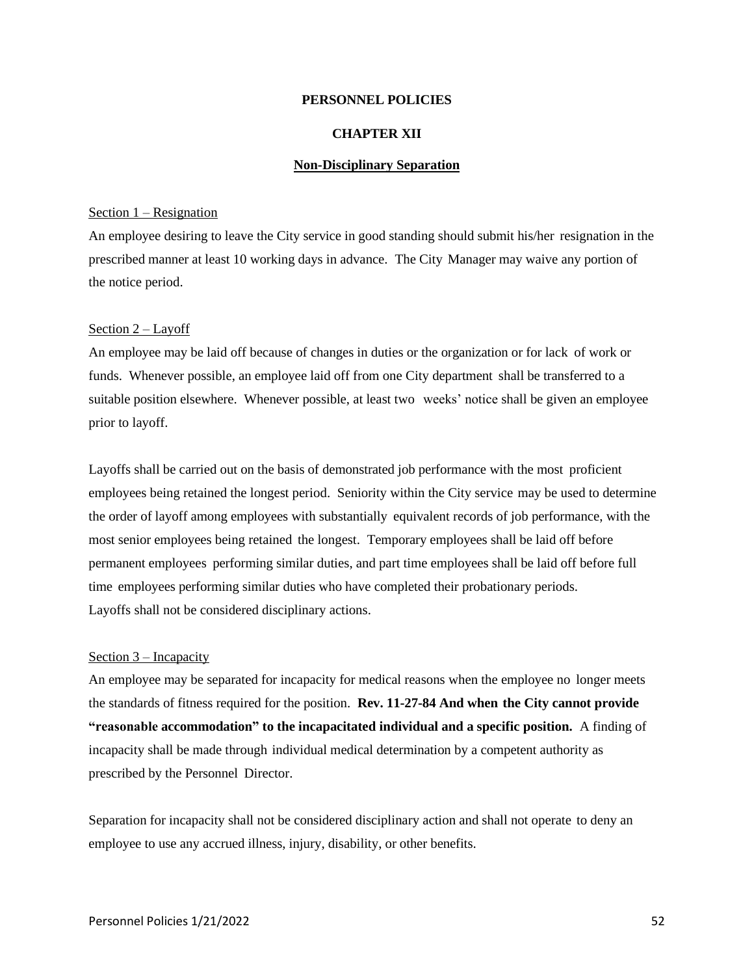#### **CHAPTER XII**

#### **Non-Disciplinary Separation**

### Section 1 – Resignation

An employee desiring to leave the City service in good standing should submit his/her resignation in the prescribed manner at least 10 working days in advance. The City Manager may waive any portion of the notice period.

#### Section 2 – Layoff

An employee may be laid off because of changes in duties or the organization or for lack of work or funds. Whenever possible, an employee laid off from one City department shall be transferred to a suitable position elsewhere. Whenever possible, at least two weeks' notice shall be given an employee prior to layoff.

Layoffs shall be carried out on the basis of demonstrated job performance with the most proficient employees being retained the longest period. Seniority within the City service may be used to determine the order of layoff among employees with substantially equivalent records of job performance, with the most senior employees being retained the longest. Temporary employees shall be laid off before permanent employees performing similar duties, and part time employees shall be laid off before full time employees performing similar duties who have completed their probationary periods. Layoffs shall not be considered disciplinary actions.

#### Section 3 – Incapacity

An employee may be separated for incapacity for medical reasons when the employee no longer meets the standards of fitness required for the position. **Rev. 11-27-84 And when the City cannot provide "reasonable accommodation" to the incapacitated individual and a specific position.** A finding of incapacity shall be made through individual medical determination by a competent authority as prescribed by the Personnel Director.

Separation for incapacity shall not be considered disciplinary action and shall not operate to deny an employee to use any accrued illness, injury, disability, or other benefits.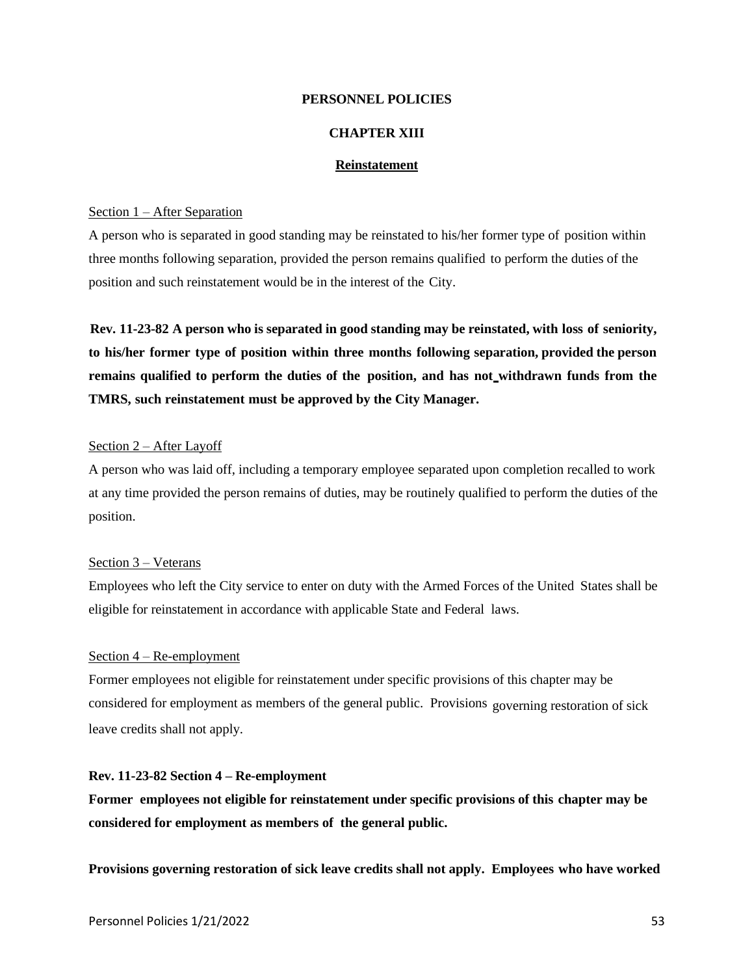## **CHAPTER XIII**

## **Reinstatement**

### Section 1 – After Separation

A person who is separated in good standing may be reinstated to his/her former type of position within three months following separation, provided the person remains qualified to perform the duties of the position and such reinstatement would be in the interest of the City.

**Rev. 11-23-82 A person who is separated in good standing may be reinstated, with loss of seniority, to his/her former type of position within three months following separation, provided the person remains qualified to perform the duties of the position, and has not withdrawn funds from the TMRS, such reinstatement must be approved by the City Manager.**

## Section 2 – After Layoff

A person who was laid off, including a temporary employee separated upon completion recalled to work at any time provided the person remains of duties, may be routinely qualified to perform the duties of the position.

### Section 3 – Veterans

Employees who left the City service to enter on duty with the Armed Forces of the United States shall be eligible for reinstatement in accordance with applicable State and Federal laws.

#### Section 4 – Re-employment

Former employees not eligible for reinstatement under specific provisions of this chapter may be considered for employment as members of the general public. Provisions governing restoration of sick leave credits shall not apply.

### **Rev. 11-23-82 Section 4 – Re-employment**

**Former employees not eligible for reinstatement under specific provisions of this chapter may be considered for employment as members of the general public.**

**Provisions governing restoration of sick leave credits shall not apply. Employees who have worked**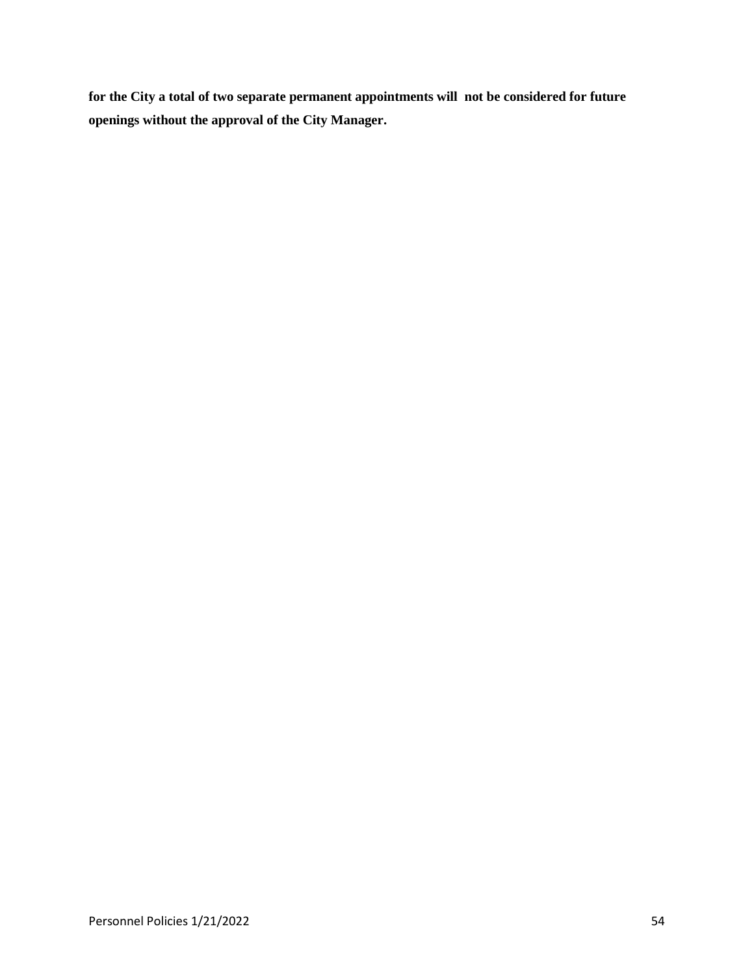**for the City a total of two separate permanent appointments will not be considered for future openings without the approval of the City Manager.**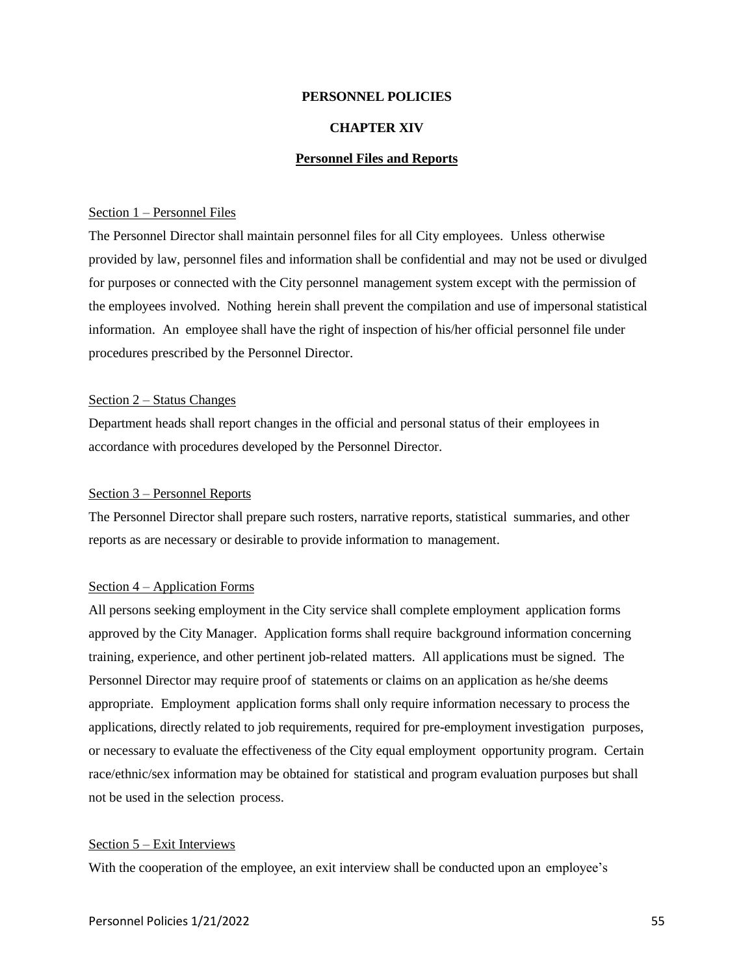#### **CHAPTER XIV**

#### **Personnel Files and Reports**

#### Section 1 – Personnel Files

The Personnel Director shall maintain personnel files for all City employees. Unless otherwise provided by law, personnel files and information shall be confidential and may not be used or divulged for purposes or connected with the City personnel management system except with the permission of the employees involved. Nothing herein shall prevent the compilation and use of impersonal statistical information. An employee shall have the right of inspection of his/her official personnel file under procedures prescribed by the Personnel Director.

## Section 2 – Status Changes

Department heads shall report changes in the official and personal status of their employees in accordance with procedures developed by the Personnel Director.

## Section 3 – Personnel Reports

The Personnel Director shall prepare such rosters, narrative reports, statistical summaries, and other reports as are necessary or desirable to provide information to management.

## Section 4 – Application Forms

All persons seeking employment in the City service shall complete employment application forms approved by the City Manager. Application forms shall require background information concerning training, experience, and other pertinent job-related matters. All applications must be signed. The Personnel Director may require proof of statements or claims on an application as he/she deems appropriate. Employment application forms shall only require information necessary to process the applications, directly related to job requirements, required for pre-employment investigation purposes, or necessary to evaluate the effectiveness of the City equal employment opportunity program. Certain race/ethnic/sex information may be obtained for statistical and program evaluation purposes but shall not be used in the selection process.

#### Section 5 – Exit Interviews

With the cooperation of the employee, an exit interview shall be conducted upon an employee's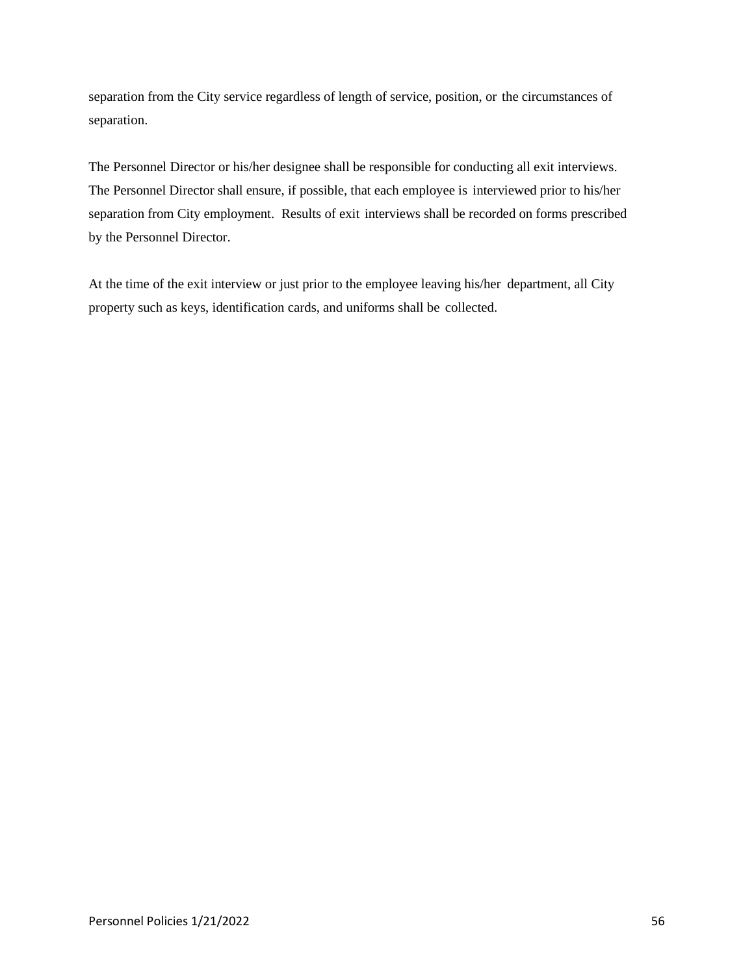separation from the City service regardless of length of service, position, or the circumstances of separation.

The Personnel Director or his/her designee shall be responsible for conducting all exit interviews. The Personnel Director shall ensure, if possible, that each employee is interviewed prior to his/her separation from City employment. Results of exit interviews shall be recorded on forms prescribed by the Personnel Director.

At the time of the exit interview or just prior to the employee leaving his/her department, all City property such as keys, identification cards, and uniforms shall be collected.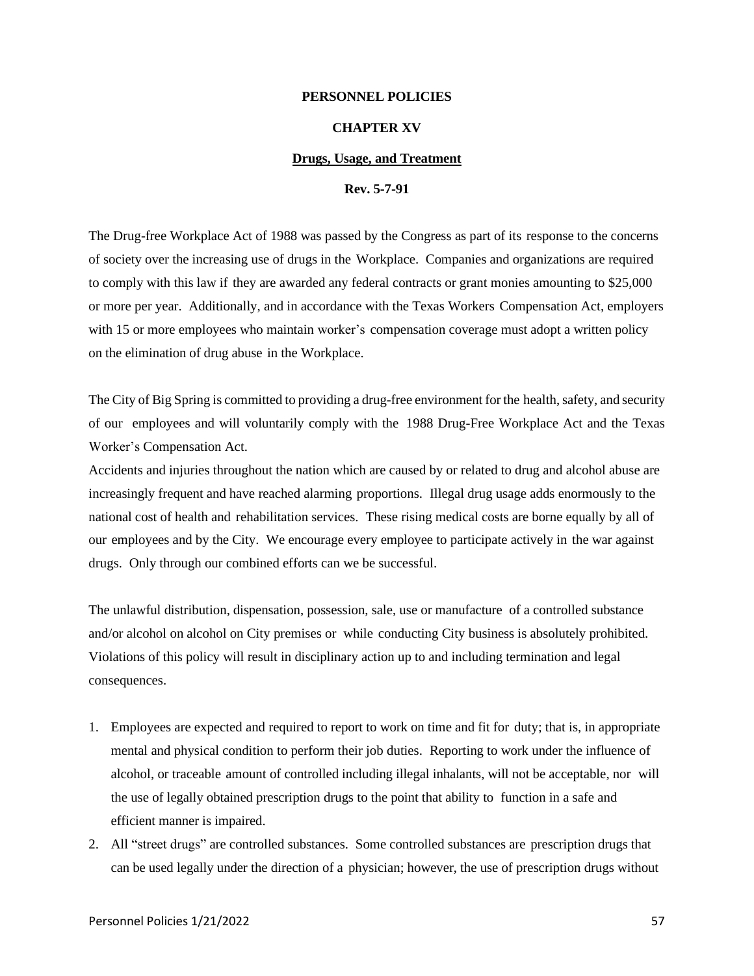#### **CHAPTER XV**

#### **Drugs, Usage, and Treatment**

#### **Rev. 5-7-91**

The Drug-free Workplace Act of 1988 was passed by the Congress as part of its response to the concerns of society over the increasing use of drugs in the Workplace. Companies and organizations are required to comply with this law if they are awarded any federal contracts or grant monies amounting to \$25,000 or more per year. Additionally, and in accordance with the Texas Workers Compensation Act, employers with 15 or more employees who maintain worker's compensation coverage must adopt a written policy on the elimination of drug abuse in the Workplace.

The City of Big Spring is committed to providing a drug-free environment for the health, safety, and security of our employees and will voluntarily comply with the 1988 Drug-Free Workplace Act and the Texas Worker's Compensation Act.

Accidents and injuries throughout the nation which are caused by or related to drug and alcohol abuse are increasingly frequent and have reached alarming proportions. Illegal drug usage adds enormously to the national cost of health and rehabilitation services. These rising medical costs are borne equally by all of our employees and by the City. We encourage every employee to participate actively in the war against drugs. Only through our combined efforts can we be successful.

The unlawful distribution, dispensation, possession, sale, use or manufacture of a controlled substance and/or alcohol on alcohol on City premises or while conducting City business is absolutely prohibited. Violations of this policy will result in disciplinary action up to and including termination and legal consequences.

- 1. Employees are expected and required to report to work on time and fit for duty; that is, in appropriate mental and physical condition to perform their job duties. Reporting to work under the influence of alcohol, or traceable amount of controlled including illegal inhalants, will not be acceptable, nor will the use of legally obtained prescription drugs to the point that ability to function in a safe and efficient manner is impaired.
- 2. All "street drugs" are controlled substances. Some controlled substances are prescription drugs that can be used legally under the direction of a physician; however, the use of prescription drugs without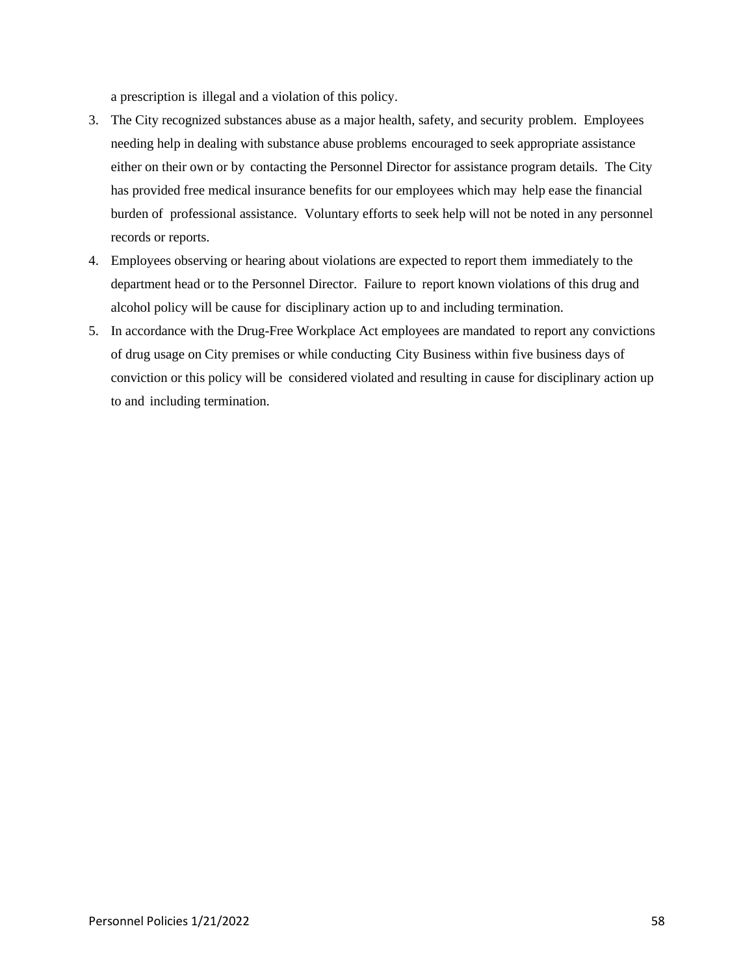a prescription is illegal and a violation of this policy.

- 3. The City recognized substances abuse as a major health, safety, and security problem. Employees needing help in dealing with substance abuse problems encouraged to seek appropriate assistance either on their own or by contacting the Personnel Director for assistance program details. The City has provided free medical insurance benefits for our employees which may help ease the financial burden of professional assistance. Voluntary efforts to seek help will not be noted in any personnel records or reports.
- 4. Employees observing or hearing about violations are expected to report them immediately to the department head or to the Personnel Director. Failure to report known violations of this drug and alcohol policy will be cause for disciplinary action up to and including termination.
- 5. In accordance with the Drug-Free Workplace Act employees are mandated to report any convictions of drug usage on City premises or while conducting City Business within five business days of conviction or this policy will be considered violated and resulting in cause for disciplinary action up to and including termination.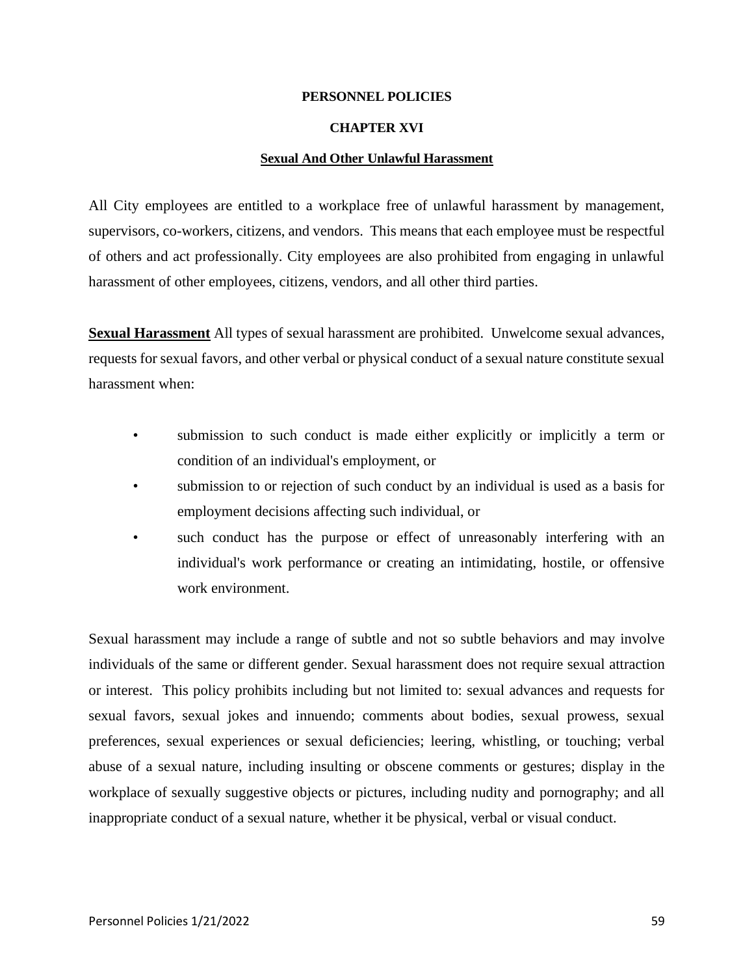## **CHAPTER XVI**

## **Sexual And Other Unlawful Harassment**

All City employees are entitled to a workplace free of unlawful harassment by management, supervisors, co-workers, citizens, and vendors. This means that each employee must be respectful of others and act professionally. City employees are also prohibited from engaging in unlawful harassment of other employees, citizens, vendors, and all other third parties.

**Sexual Harassment** All types of sexual harassment are prohibited. Unwelcome sexual advances, requests for sexual favors, and other verbal or physical conduct of a sexual nature constitute sexual harassment when:

- submission to such conduct is made either explicitly or implicitly a term or condition of an individual's employment, or
- submission to or rejection of such conduct by an individual is used as a basis for employment decisions affecting such individual, or
- such conduct has the purpose or effect of unreasonably interfering with an individual's work performance or creating an intimidating, hostile, or offensive work environment.

Sexual harassment may include a range of subtle and not so subtle behaviors and may involve individuals of the same or different gender. Sexual harassment does not require sexual attraction or interest. This policy prohibits including but not limited to: sexual advances and requests for sexual favors, sexual jokes and innuendo; comments about bodies, sexual prowess, sexual preferences, sexual experiences or sexual deficiencies; leering, whistling, or touching; verbal abuse of a sexual nature, including insulting or obscene comments or gestures; display in the workplace of sexually suggestive objects or pictures, including nudity and pornography; and all inappropriate conduct of a sexual nature, whether it be physical, verbal or visual conduct.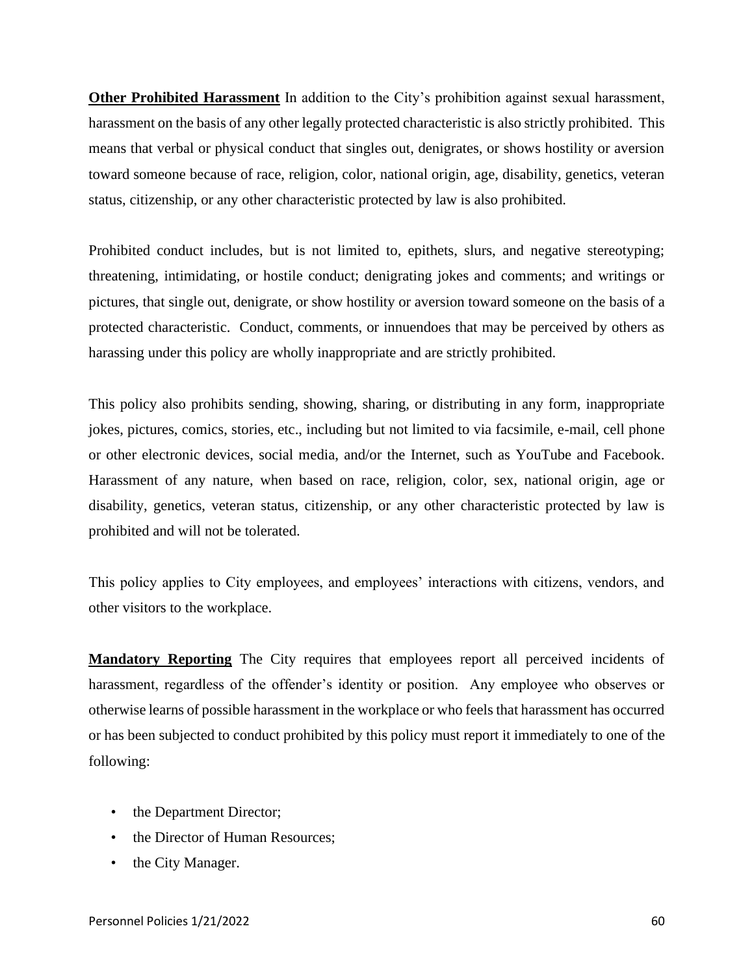**Other Prohibited Harassment** In addition to the City's prohibition against sexual harassment, harassment on the basis of any other legally protected characteristic is also strictly prohibited. This means that verbal or physical conduct that singles out, denigrates, or shows hostility or aversion toward someone because of race, religion, color, national origin, age, disability, genetics, veteran status, citizenship, or any other characteristic protected by law is also prohibited.

Prohibited conduct includes, but is not limited to, epithets, slurs, and negative stereotyping; threatening, intimidating, or hostile conduct; denigrating jokes and comments; and writings or pictures, that single out, denigrate, or show hostility or aversion toward someone on the basis of a protected characteristic. Conduct, comments, or innuendoes that may be perceived by others as harassing under this policy are wholly inappropriate and are strictly prohibited.

This policy also prohibits sending, showing, sharing, or distributing in any form, inappropriate jokes, pictures, comics, stories, etc., including but not limited to via facsimile, e-mail, cell phone or other electronic devices, social media, and/or the Internet, such as YouTube and Facebook. Harassment of any nature, when based on race, religion, color, sex, national origin, age or disability, genetics, veteran status, citizenship, or any other characteristic protected by law is prohibited and will not be tolerated.

This policy applies to City employees, and employees' interactions with citizens, vendors, and other visitors to the workplace.

**Mandatory Reporting** The City requires that employees report all perceived incidents of harassment, regardless of the offender's identity or position. Any employee who observes or otherwise learns of possible harassment in the workplace or who feels that harassment has occurred or has been subjected to conduct prohibited by this policy must report it immediately to one of the following:

- the Department Director;
- the Director of Human Resources;
- the City Manager.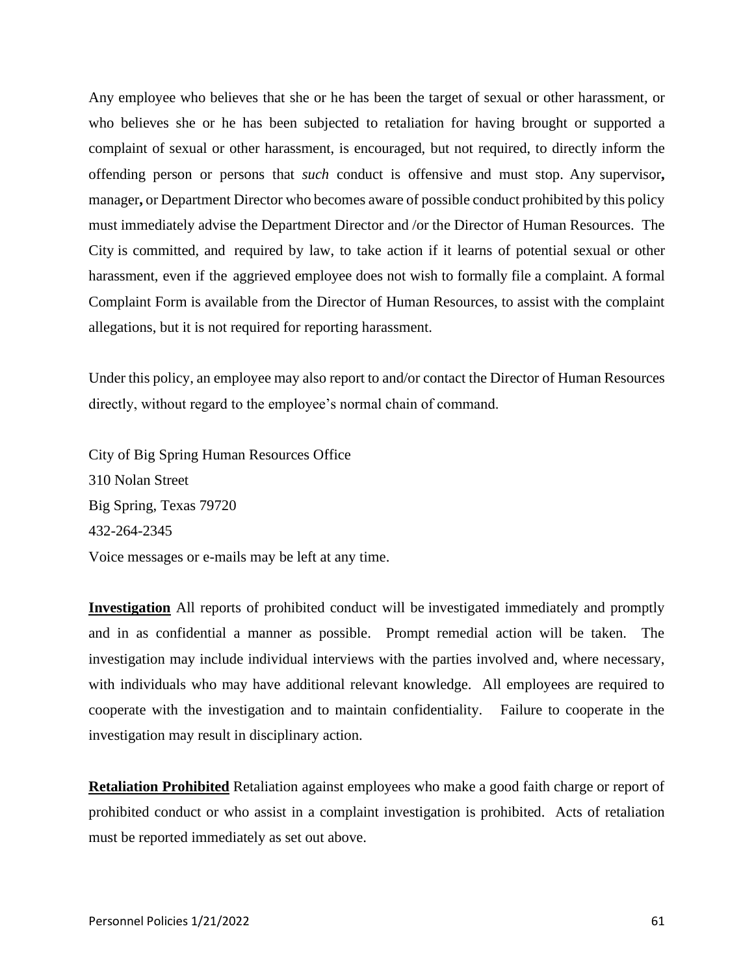Any employee who believes that she or he has been the target of sexual or other harassment, or who believes she or he has been subjected to retaliation for having brought or supported a complaint of sexual or other harassment, is encouraged, but not required, to directly inform the offending person or persons that *such* conduct is offensive and must stop. Any supervisor**,** manager**,** or Department Director who becomes aware of possible conduct prohibited by this policy must immediately advise the Department Director and /or the Director of Human Resources. The City is committed, and required by law, to take action if it learns of potential sexual or other harassment, even if the aggrieved employee does not wish to formally file a complaint. A formal Complaint Form is available from the Director of Human Resources, to assist with the complaint allegations, but it is not required for reporting harassment.

Under this policy, an employee may also report to and/or contact the Director of Human Resources directly, without regard to the employee's normal chain of command.

City of Big Spring Human Resources Office 310 Nolan Street Big Spring, Texas 79720 432-264-2345 Voice messages or e-mails may be left at any time.

**Investigation** All reports of prohibited conduct will be investigated immediately and promptly and in as confidential a manner as possible. Prompt remedial action will be taken. The investigation may include individual interviews with the parties involved and, where necessary, with individuals who may have additional relevant knowledge. All employees are required to cooperate with the investigation and to maintain confidentiality. Failure to cooperate in the investigation may result in disciplinary action.

**Retaliation Prohibited** Retaliation against employees who make a good faith charge or report of prohibited conduct or who assist in a complaint investigation is prohibited.Acts of retaliation must be reported immediately as set out above.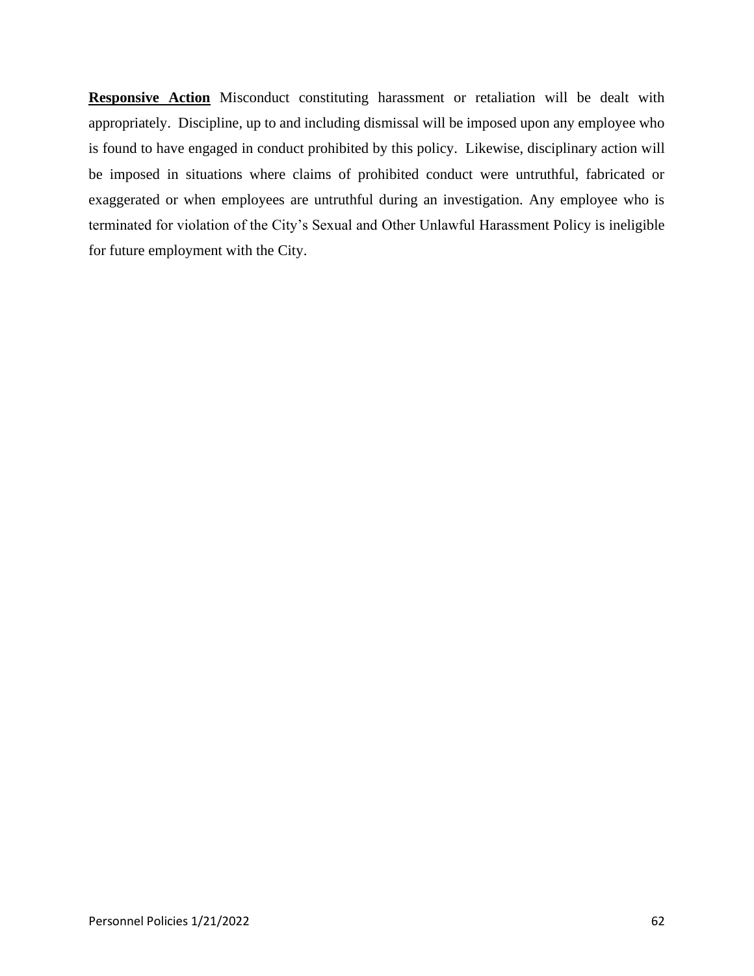**Responsive Action** Misconduct constituting harassment or retaliation will be dealt with appropriately.Discipline, up to and including dismissal will be imposed upon any employee who is found to have engaged in conduct prohibited by this policy. Likewise, disciplinary action will be imposed in situations where claims of prohibited conduct were untruthful, fabricated or exaggerated or when employees are untruthful during an investigation. Any employee who is terminated for violation of the City's Sexual and Other Unlawful Harassment Policy is ineligible for future employment with the City.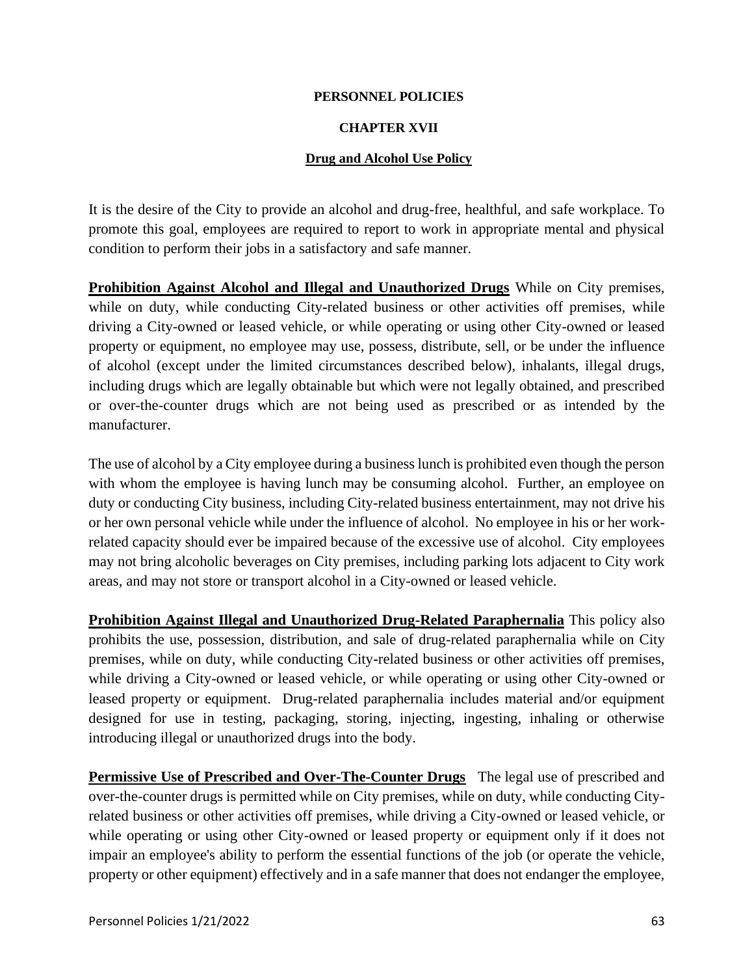# **CHAPTER XVII**

# **Drug and Alcohol Use Policy**

It is the desire of the City to provide an alcohol and drug-free, healthful, and safe workplace. To promote this goal, employees are required to report to work in appropriate mental and physical condition to perform their jobs in a satisfactory and safe manner.

**Prohibition Against Alcohol and Illegal and Unauthorized Drugs** While on City premises, while on duty, while conducting City**-**related business or other activities off premises, while driving a City-owned or leased vehicle, or while operating or using other City-owned or leased property or equipment, no employee may use, possess, distribute, sell, or be under the influence of alcohol (except under the limited circumstances described below), inhalants, illegal drugs, including drugs which are legally obtainable but which were not legally obtained, and prescribed or over-the-counter drugs which are not being used as prescribed or as intended by the manufacturer.

The use of alcohol by a City employee during a business lunch is prohibited even though the person with whom the employee is having lunch may be consuming alcohol. Further, an employee on duty or conducting City business, including City-related business entertainment, may not drive his or her own personal vehicle while under the influence of alcohol. No employee in his or her workrelated capacity should ever be impaired because of the excessive use of alcohol. City employees may not bring alcoholic beverages on City premises, including parking lots adjacent to City work areas, and may not store or transport alcohol in a City-owned or leased vehicle.

**Prohibition Against Illegal and Unauthorized Drug-Related Paraphernalia** This policy also prohibits the use, possession, distribution, and sale of drug-related paraphernalia while on City premises, while on duty, while conducting City**-**related business or other activities off premises, while driving a City-owned or leased vehicle, or while operating or using other City-owned or leased property or equipment. Drug-related paraphernalia includes material and/or equipment designed for use in testing, packaging, storing, injecting, ingesting, inhaling or otherwise introducing illegal or unauthorized drugs into the body.

**Permissive Use of Prescribed and Over-The-Counter Drugs** The legal use of prescribed and over-the-counter drugs is permitted while on City premises, while on duty, while conducting Cityrelated business or other activities off premises, while driving a City-owned or leased vehicle, or while operating or using other City-owned or leased property or equipment only if it does not impair an employee's ability to perform the essential functions of the job (or operate the vehicle, property or other equipment) effectively and in a safe manner that does not endanger the employee,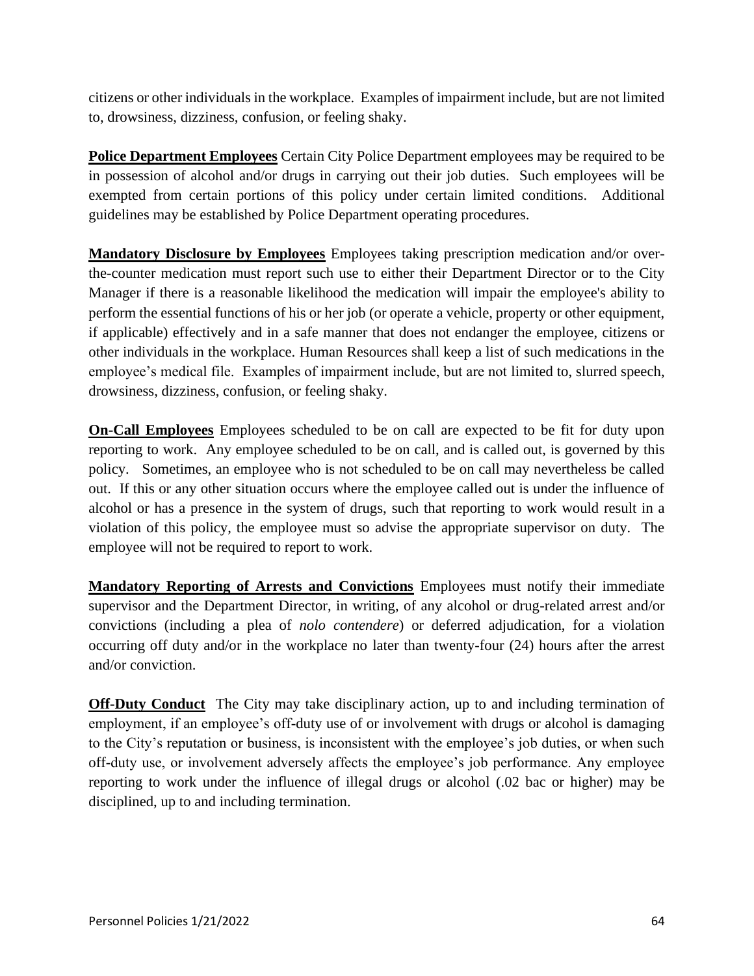citizens or other individuals in the workplace. Examples of impairment include, but are not limited to, drowsiness, dizziness, confusion, or feeling shaky.

**Police Department Employees** Certain City Police Department employees may be required to be in possession of alcohol and/or drugs in carrying out their job duties. Such employees will be exempted from certain portions of this policy under certain limited conditions. Additional guidelines may be established by Police Department operating procedures.

**Mandatory Disclosure by Employees** Employees taking prescription medication and/or overthe-counter medication must report such use to either their Department Director or to the City Manager if there is a reasonable likelihood the medication will impair the employee's ability to perform the essential functions of his or her job (or operate a vehicle, property or other equipment, if applicable) effectively and in a safe manner that does not endanger the employee, citizens or other individuals in the workplace. Human Resources shall keep a list of such medications in the employee's medical file. Examples of impairment include, but are not limited to, slurred speech, drowsiness, dizziness, confusion, or feeling shaky.

**On-Call Employees** Employees scheduled to be on call are expected to be fit for duty upon reporting to work. Any employee scheduled to be on call, and is called out, is governed by this policy. Sometimes, an employee who is not scheduled to be on call may nevertheless be called out. If this or any other situation occurs where the employee called out is under the influence of alcohol or has a presence in the system of drugs, such that reporting to work would result in a violation of this policy, the employee must so advise the appropriate supervisor on duty. The employee will not be required to report to work.

**Mandatory Reporting of Arrests and Convictions** Employees must notify their immediate supervisor and the Department Director, in writing, of any alcohol or drug-related arrest and/or convictions (including a plea of *nolo contendere*) or deferred adjudication, for a violation occurring off duty and/or in the workplace no later than twenty-four (24) hours after the arrest and/or conviction.

**Off-Duty Conduct** The City may take disciplinary action, up to and including termination of employment, if an employee's off-duty use of or involvement with drugs or alcohol is damaging to the City's reputation or business, is inconsistent with the employee's job duties, or when such off-duty use, or involvement adversely affects the employee's job performance. Any employee reporting to work under the influence of illegal drugs or alcohol (.02 bac or higher) may be disciplined, up to and including termination.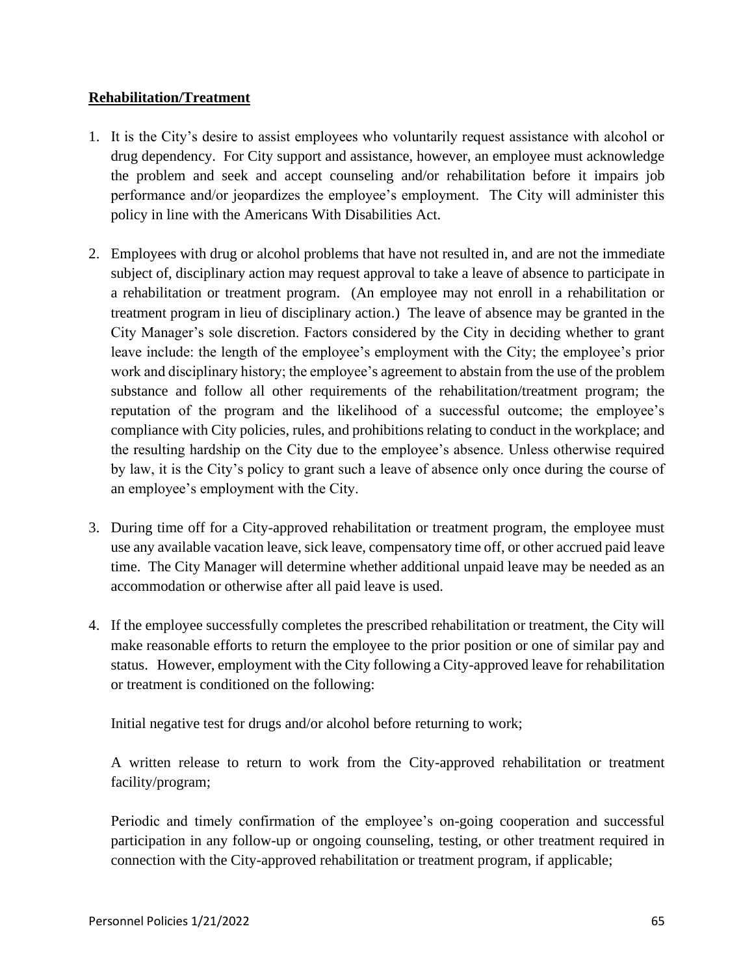# **Rehabilitation/Treatment**

- 1. It is the City's desire to assist employees who voluntarily request assistance with alcohol or drug dependency. For City support and assistance, however, an employee must acknowledge the problem and seek and accept counseling and/or rehabilitation before it impairs job performance and/or jeopardizes the employee's employment. The City will administer this policy in line with the Americans With Disabilities Act.
- 2. Employees with drug or alcohol problems that have not resulted in, and are not the immediate subject of, disciplinary action may request approval to take a leave of absence to participate in a rehabilitation or treatment program. (An employee may not enroll in a rehabilitation or treatment program in lieu of disciplinary action.) The leave of absence may be granted in the City Manager's sole discretion. Factors considered by the City in deciding whether to grant leave include: the length of the employee's employment with the City; the employee's prior work and disciplinary history; the employee's agreement to abstain from the use of the problem substance and follow all other requirements of the rehabilitation/treatment program; the reputation of the program and the likelihood of a successful outcome; the employee's compliance with City policies, rules, and prohibitions relating to conduct in the workplace; and the resulting hardship on the City due to the employee's absence. Unless otherwise required by law, it is the City's policy to grant such a leave of absence only once during the course of an employee's employment with the City.
- 3. During time off for a City-approved rehabilitation or treatment program, the employee must use any available vacation leave, sick leave, compensatory time off, or other accrued paid leave time. The City Manager will determine whether additional unpaid leave may be needed as an accommodation or otherwise after all paid leave is used.
- 4. If the employee successfully completes the prescribed rehabilitation or treatment, the City will make reasonable efforts to return the employee to the prior position or one of similar pay and status. However, employment with the City following a City-approved leave for rehabilitation or treatment is conditioned on the following:

Initial negative test for drugs and/or alcohol before returning to work;

A written release to return to work from the City-approved rehabilitation or treatment facility/program;

Periodic and timely confirmation of the employee's on-going cooperation and successful participation in any follow-up or ongoing counseling, testing, or other treatment required in connection with the City-approved rehabilitation or treatment program, if applicable;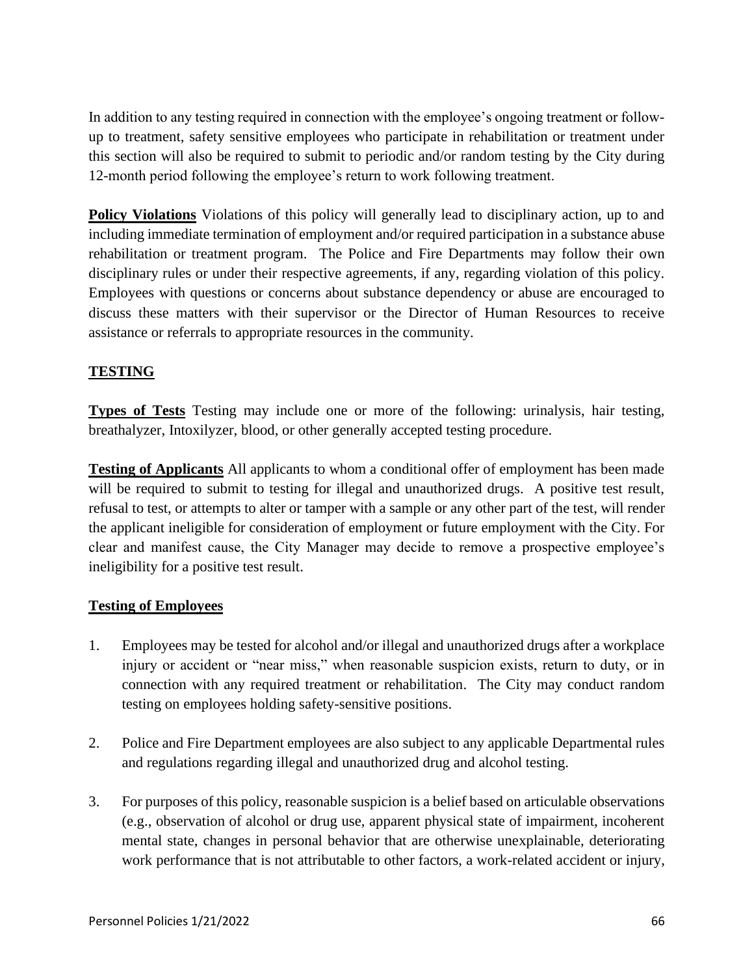In addition to any testing required in connection with the employee's ongoing treatment or followup to treatment, safety sensitive employees who participate in rehabilitation or treatment under this section will also be required to submit to periodic and/or random testing by the City during 12-month period following the employee's return to work following treatment.

**Policy Violations** Violations of this policy will generally lead to disciplinary action, up to and including immediate termination of employment and/or required participation in a substance abuse rehabilitation or treatment program. The Police and Fire Departments may follow their own disciplinary rules or under their respective agreements, if any, regarding violation of this policy. Employees with questions or concerns about substance dependency or abuse are encouraged to discuss these matters with their supervisor or the Director of Human Resources to receive assistance or referrals to appropriate resources in the community.

# **TESTING**

**Types of Tests** Testing may include one or more of the following: urinalysis, hair testing, breathalyzer, Intoxilyzer, blood, or other generally accepted testing procedure.

**Testing of Applicants** All applicants to whom a conditional offer of employment has been made will be required to submit to testing for illegal and unauthorized drugs. A positive test result, refusal to test, or attempts to alter or tamper with a sample or any other part of the test, will render the applicant ineligible for consideration of employment or future employment with the City. For clear and manifest cause, the City Manager may decide to remove a prospective employee's ineligibility for a positive test result.

# **Testing of Employees**

- 1. Employees may be tested for alcohol and/or illegal and unauthorized drugs after a workplace injury or accident or "near miss," when reasonable suspicion exists, return to duty, or in connection with any required treatment or rehabilitation. The City may conduct random testing on employees holding safety-sensitive positions.
- 2. Police and Fire Department employees are also subject to any applicable Departmental rules and regulations regarding illegal and unauthorized drug and alcohol testing.
- 3. For purposes of this policy, reasonable suspicion is a belief based on articulable observations (e.g., observation of alcohol or drug use, apparent physical state of impairment, incoherent mental state, changes in personal behavior that are otherwise unexplainable, deteriorating work performance that is not attributable to other factors, a work-related accident or injury,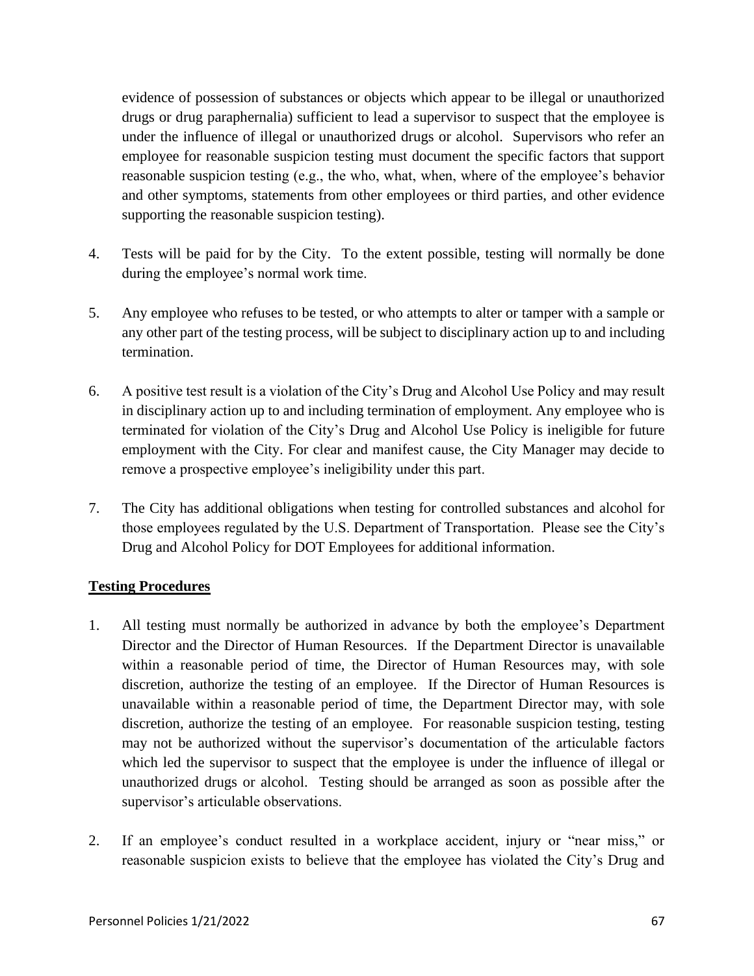evidence of possession of substances or objects which appear to be illegal or unauthorized drugs or drug paraphernalia) sufficient to lead a supervisor to suspect that the employee is under the influence of illegal or unauthorized drugs or alcohol. Supervisors who refer an employee for reasonable suspicion testing must document the specific factors that support reasonable suspicion testing (e.g., the who, what, when, where of the employee's behavior and other symptoms, statements from other employees or third parties, and other evidence supporting the reasonable suspicion testing).

- 4. Tests will be paid for by the City. To the extent possible, testing will normally be done during the employee's normal work time.
- 5. Any employee who refuses to be tested, or who attempts to alter or tamper with a sample or any other part of the testing process, will be subject to disciplinary action up to and including termination.
- 6. A positive test result is a violation of the City's Drug and Alcohol Use Policy and may result in disciplinary action up to and including termination of employment. Any employee who is terminated for violation of the City's Drug and Alcohol Use Policy is ineligible for future employment with the City. For clear and manifest cause, the City Manager may decide to remove a prospective employee's ineligibility under this part.
- 7. The City has additional obligations when testing for controlled substances and alcohol for those employees regulated by the U.S. Department of Transportation. Please see the City's Drug and Alcohol Policy for DOT Employees for additional information.

# **Testing Procedures**

- 1. All testing must normally be authorized in advance by both the employee's Department Director and the Director of Human Resources. If the Department Director is unavailable within a reasonable period of time, the Director of Human Resources may, with sole discretion, authorize the testing of an employee. If the Director of Human Resources is unavailable within a reasonable period of time, the Department Director may, with sole discretion, authorize the testing of an employee. For reasonable suspicion testing, testing may not be authorized without the supervisor's documentation of the articulable factors which led the supervisor to suspect that the employee is under the influence of illegal or unauthorized drugs or alcohol. Testing should be arranged as soon as possible after the supervisor's articulable observations.
- 2. If an employee's conduct resulted in a workplace accident, injury or "near miss," or reasonable suspicion exists to believe that the employee has violated the City's Drug and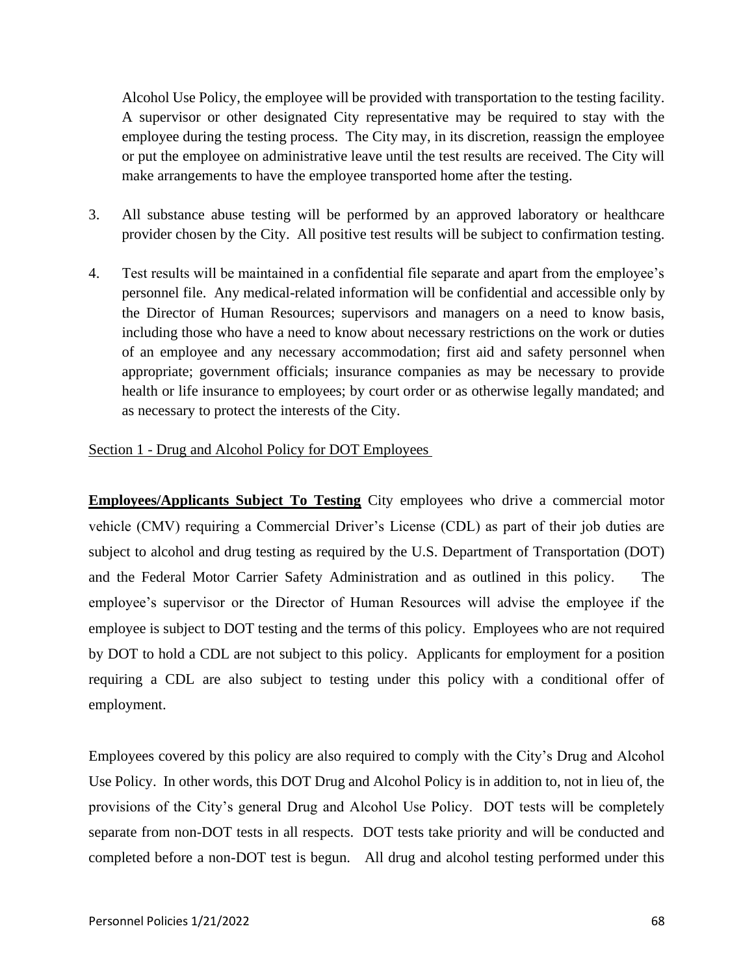Alcohol Use Policy, the employee will be provided with transportation to the testing facility. A supervisor or other designated City representative may be required to stay with the employee during the testing process. The City may, in its discretion, reassign the employee or put the employee on administrative leave until the test results are received. The City will make arrangements to have the employee transported home after the testing.

- 3. All substance abuse testing will be performed by an approved laboratory or healthcare provider chosen by the City. All positive test results will be subject to confirmation testing.
- 4. Test results will be maintained in a confidential file separate and apart from the employee's personnel file. Any medical-related information will be confidential and accessible only by the Director of Human Resources; supervisors and managers on a need to know basis, including those who have a need to know about necessary restrictions on the work or duties of an employee and any necessary accommodation; first aid and safety personnel when appropriate; government officials; insurance companies as may be necessary to provide health or life insurance to employees; by court order or as otherwise legally mandated; and as necessary to protect the interests of the City.

# Section 1 - Drug and Alcohol Policy for DOT Employees

**Employees/Applicants Subject To Testing** City employees who drive a commercial motor vehicle (CMV) requiring a Commercial Driver's License (CDL) as part of their job duties are subject to alcohol and drug testing as required by the U.S. Department of Transportation (DOT) and the Federal Motor Carrier Safety Administration and as outlined in this policy. The employee's supervisor or the Director of Human Resources will advise the employee if the employee is subject to DOT testing and the terms of this policy. Employees who are not required by DOT to hold a CDL are not subject to this policy. Applicants for employment for a position requiring a CDL are also subject to testing under this policy with a conditional offer of employment.

Employees covered by this policy are also required to comply with the City's Drug and Alcohol Use Policy. In other words, this DOT Drug and Alcohol Policy is in addition to, not in lieu of, the provisions of the City's general Drug and Alcohol Use Policy. DOT tests will be completely separate from non-DOT tests in all respects. DOT tests take priority and will be conducted and completed before a non-DOT test is begun. All drug and alcohol testing performed under this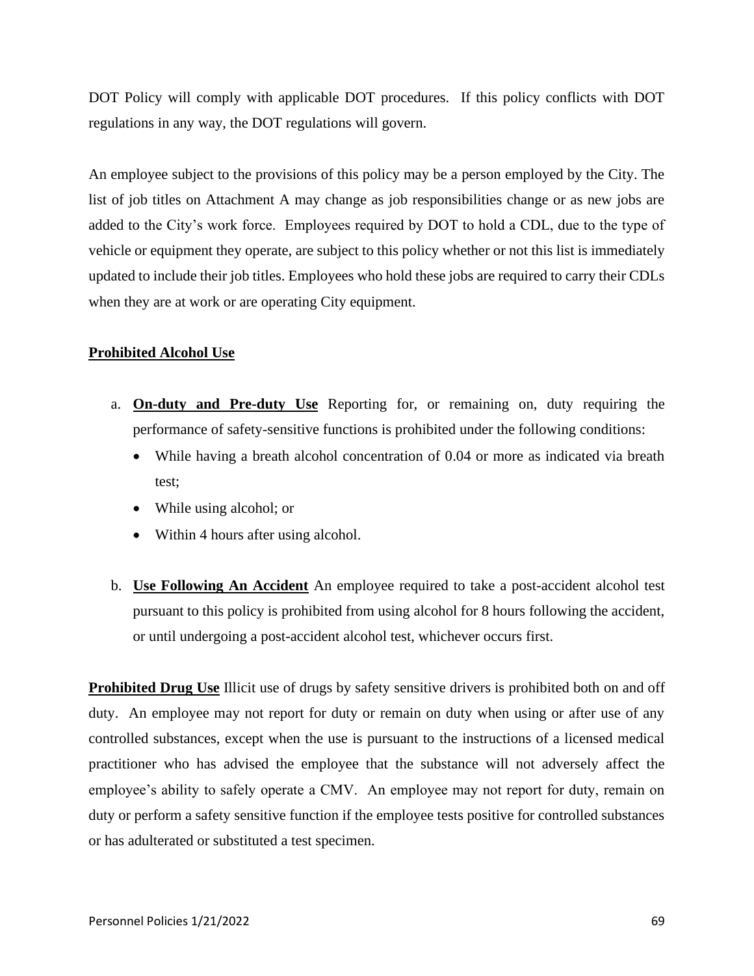DOT Policy will comply with applicable DOT procedures. If this policy conflicts with DOT regulations in any way, the DOT regulations will govern.

An employee subject to the provisions of this policy may be a person employed by the City. The list of job titles on Attachment A may change as job responsibilities change or as new jobs are added to the City's work force. Employees required by DOT to hold a CDL, due to the type of vehicle or equipment they operate, are subject to this policy whether or not this list is immediately updated to include their job titles. Employees who hold these jobs are required to carry their CDLs when they are at work or are operating City equipment.

# **Prohibited Alcohol Use**

- a. **On-duty and Pre-duty Use** Reporting for, or remaining on, duty requiring the performance of safety-sensitive functions is prohibited under the following conditions:
	- While having a breath alcohol concentration of 0.04 or more as indicated via breath test;
	- While using alcohol; or
	- Within 4 hours after using alcohol.
- b. **Use Following An Accident** An employee required to take a post-accident alcohol test pursuant to this policy is prohibited from using alcohol for 8 hours following the accident, or until undergoing a post-accident alcohol test, whichever occurs first.

**Prohibited Drug Use** Illicit use of drugs by safety sensitive drivers is prohibited both on and off duty. An employee may not report for duty or remain on duty when using or after use of any controlled substances, except when the use is pursuant to the instructions of a licensed medical practitioner who has advised the employee that the substance will not adversely affect the employee's ability to safely operate a CMV. An employee may not report for duty, remain on duty or perform a safety sensitive function if the employee tests positive for controlled substances or has adulterated or substituted a test specimen.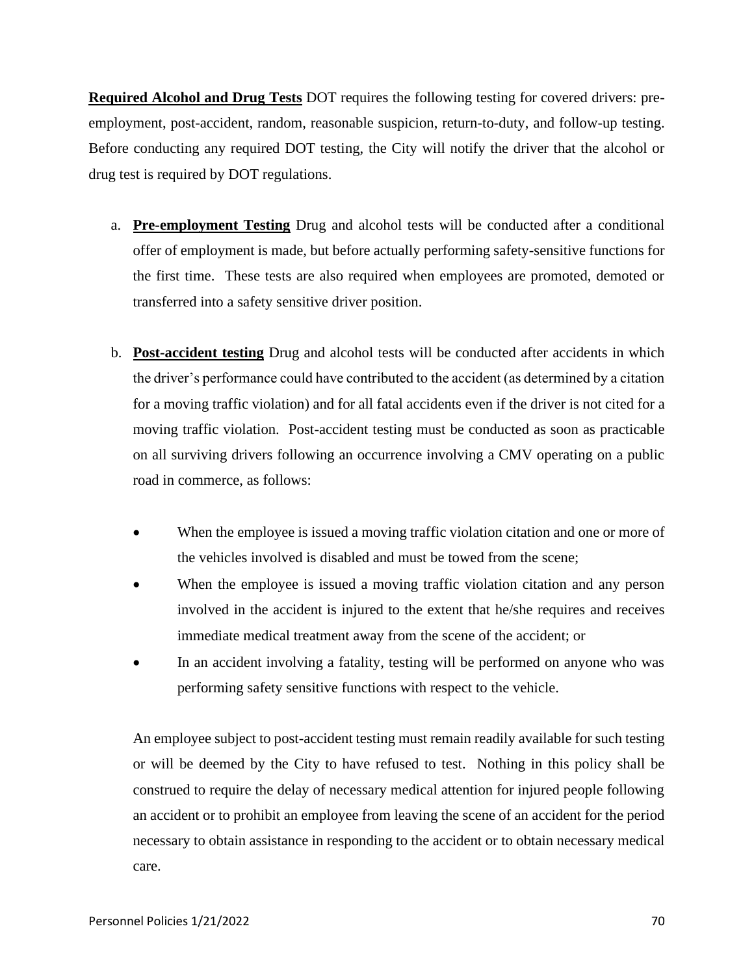**Required Alcohol and Drug Tests** DOT requires the following testing for covered drivers: preemployment, post-accident, random, reasonable suspicion, return-to-duty, and follow-up testing. Before conducting any required DOT testing, the City will notify the driver that the alcohol or drug test is required by DOT regulations.

- a. **Pre-employment Testing** Drug and alcohol tests will be conducted after a conditional offer of employment is made, but before actually performing safety-sensitive functions for the first time. These tests are also required when employees are promoted, demoted or transferred into a safety sensitive driver position.
- b. **Post-accident testing** Drug and alcohol tests will be conducted after accidents in which the driver's performance could have contributed to the accident (as determined by a citation for a moving traffic violation) and for all fatal accidents even if the driver is not cited for a moving traffic violation. Post-accident testing must be conducted as soon as practicable on all surviving drivers following an occurrence involving a CMV operating on a public road in commerce, as follows:
	- When the employee is issued a moving traffic violation citation and one or more of the vehicles involved is disabled and must be towed from the scene;
	- When the employee is issued a moving traffic violation citation and any person involved in the accident is injured to the extent that he/she requires and receives immediate medical treatment away from the scene of the accident; or
	- In an accident involving a fatality, testing will be performed on anyone who was performing safety sensitive functions with respect to the vehicle.

An employee subject to post-accident testing must remain readily available for such testing or will be deemed by the City to have refused to test. Nothing in this policy shall be construed to require the delay of necessary medical attention for injured people following an accident or to prohibit an employee from leaving the scene of an accident for the period necessary to obtain assistance in responding to the accident or to obtain necessary medical care.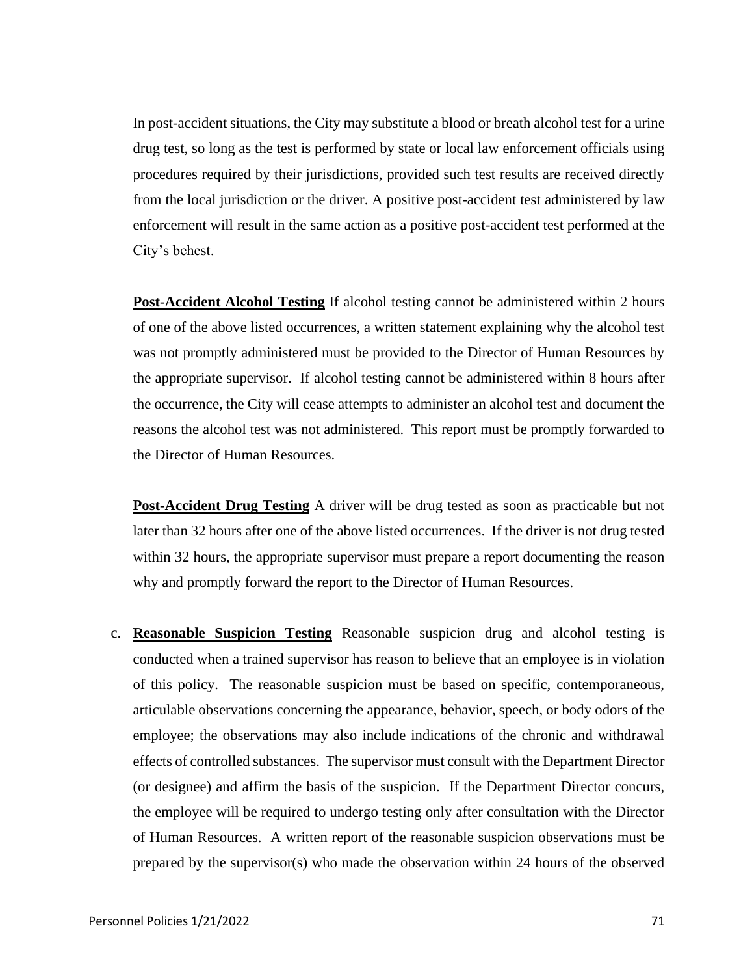In post-accident situations, the City may substitute a blood or breath alcohol test for a urine drug test, so long as the test is performed by state or local law enforcement officials using procedures required by their jurisdictions, provided such test results are received directly from the local jurisdiction or the driver. A positive post-accident test administered by law enforcement will result in the same action as a positive post-accident test performed at the City's behest.

**Post-Accident Alcohol Testing** If alcohol testing cannot be administered within 2 hours of one of the above listed occurrences, a written statement explaining why the alcohol test was not promptly administered must be provided to the Director of Human Resources by the appropriate supervisor. If alcohol testing cannot be administered within 8 hours after the occurrence, the City will cease attempts to administer an alcohol test and document the reasons the alcohol test was not administered. This report must be promptly forwarded to the Director of Human Resources.

**Post-Accident Drug Testing** A driver will be drug tested as soon as practicable but not later than 32 hours after one of the above listed occurrences. If the driver is not drug tested within 32 hours, the appropriate supervisor must prepare a report documenting the reason why and promptly forward the report to the Director of Human Resources.

c. **Reasonable Suspicion Testing** Reasonable suspicion drug and alcohol testing is conducted when a trained supervisor has reason to believe that an employee is in violation of this policy. The reasonable suspicion must be based on specific, contemporaneous, articulable observations concerning the appearance, behavior, speech, or body odors of the employee; the observations may also include indications of the chronic and withdrawal effects of controlled substances. The supervisor must consult with the Department Director (or designee) and affirm the basis of the suspicion. If the Department Director concurs, the employee will be required to undergo testing only after consultation with the Director of Human Resources. A written report of the reasonable suspicion observations must be prepared by the supervisor(s) who made the observation within 24 hours of the observed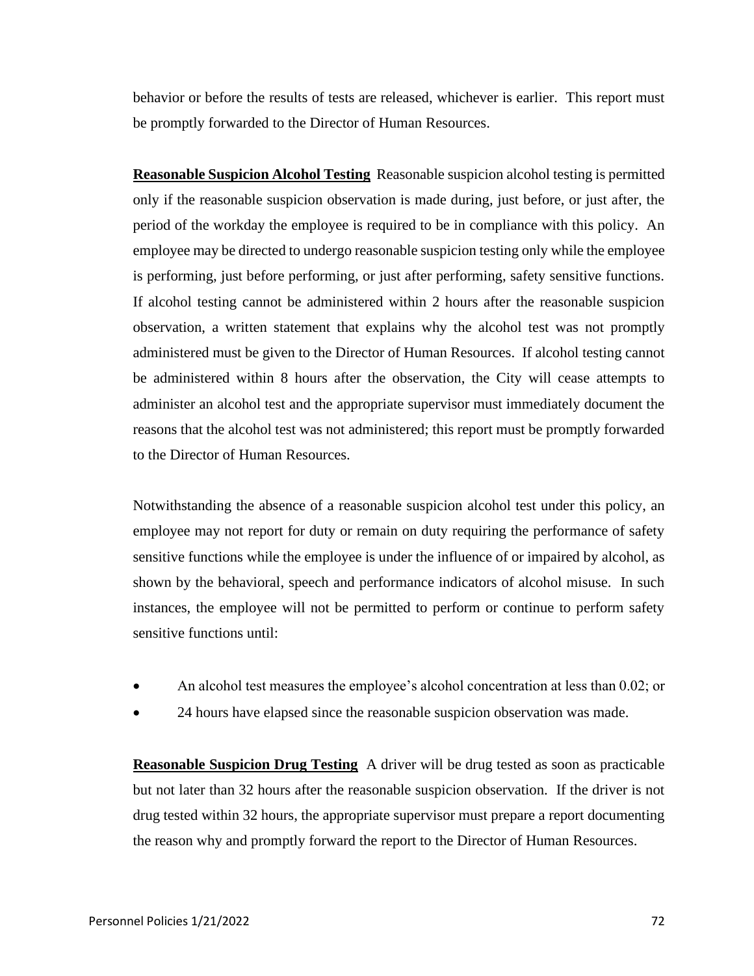behavior or before the results of tests are released, whichever is earlier. This report must be promptly forwarded to the Director of Human Resources.

**Reasonable Suspicion Alcohol Testing** Reasonable suspicion alcohol testing is permitted only if the reasonable suspicion observation is made during, just before, or just after, the period of the workday the employee is required to be in compliance with this policy. An employee may be directed to undergo reasonable suspicion testing only while the employee is performing, just before performing, or just after performing, safety sensitive functions. If alcohol testing cannot be administered within 2 hours after the reasonable suspicion observation, a written statement that explains why the alcohol test was not promptly administered must be given to the Director of Human Resources. If alcohol testing cannot be administered within 8 hours after the observation, the City will cease attempts to administer an alcohol test and the appropriate supervisor must immediately document the reasons that the alcohol test was not administered; this report must be promptly forwarded to the Director of Human Resources.

Notwithstanding the absence of a reasonable suspicion alcohol test under this policy, an employee may not report for duty or remain on duty requiring the performance of safety sensitive functions while the employee is under the influence of or impaired by alcohol, as shown by the behavioral, speech and performance indicators of alcohol misuse. In such instances, the employee will not be permitted to perform or continue to perform safety sensitive functions until:

- An alcohol test measures the employee's alcohol concentration at less than 0.02; or
- 24 hours have elapsed since the reasonable suspicion observation was made.

**Reasonable Suspicion Drug Testing** A driver will be drug tested as soon as practicable but not later than 32 hours after the reasonable suspicion observation. If the driver is not drug tested within 32 hours, the appropriate supervisor must prepare a report documenting the reason why and promptly forward the report to the Director of Human Resources.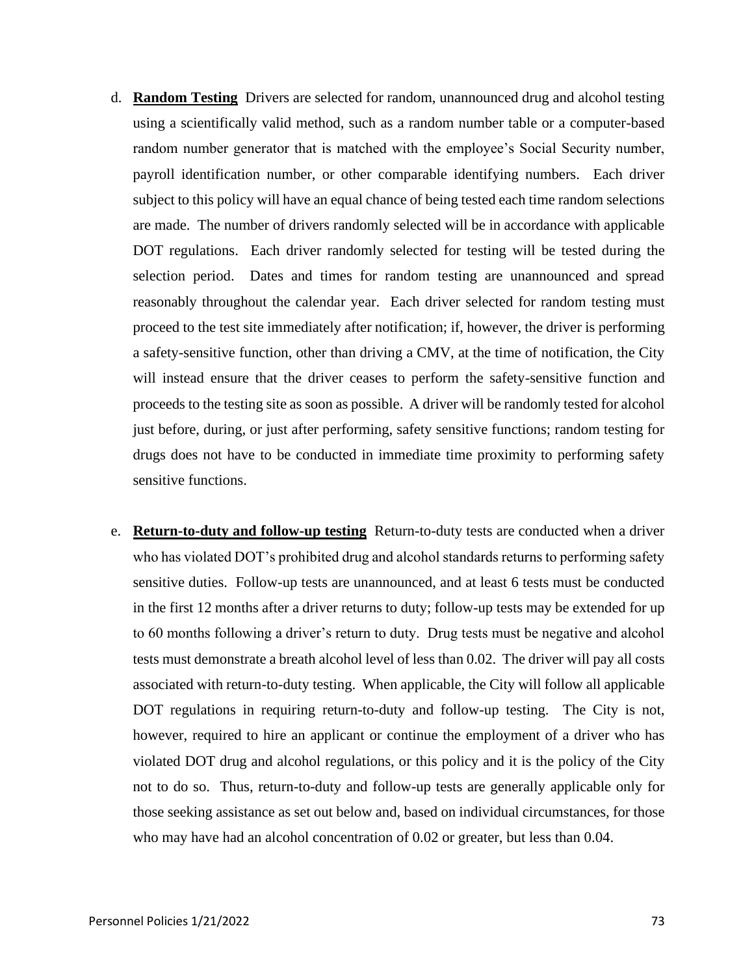- d. **Random Testing** Drivers are selected for random, unannounced drug and alcohol testing using a scientifically valid method, such as a random number table or a computer-based random number generator that is matched with the employee's Social Security number, payroll identification number, or other comparable identifying numbers. Each driver subject to this policy will have an equal chance of being tested each time random selections are made. The number of drivers randomly selected will be in accordance with applicable DOT regulations. Each driver randomly selected for testing will be tested during the selection period. Dates and times for random testing are unannounced and spread reasonably throughout the calendar year. Each driver selected for random testing must proceed to the test site immediately after notification; if, however, the driver is performing a safety-sensitive function, other than driving a CMV, at the time of notification, the City will instead ensure that the driver ceases to perform the safety-sensitive function and proceeds to the testing site as soon as possible. A driver will be randomly tested for alcohol just before, during, or just after performing, safety sensitive functions; random testing for drugs does not have to be conducted in immediate time proximity to performing safety sensitive functions.
- e. **Return-to-duty and follow-up testing** Return-to-duty tests are conducted when a driver who has violated DOT's prohibited drug and alcohol standards returns to performing safety sensitive duties. Follow-up tests are unannounced, and at least 6 tests must be conducted in the first 12 months after a driver returns to duty; follow-up tests may be extended for up to 60 months following a driver's return to duty. Drug tests must be negative and alcohol tests must demonstrate a breath alcohol level of less than 0.02. The driver will pay all costs associated with return-to-duty testing. When applicable, the City will follow all applicable DOT regulations in requiring return-to-duty and follow-up testing. The City is not, however, required to hire an applicant or continue the employment of a driver who has violated DOT drug and alcohol regulations, or this policy and it is the policy of the City not to do so. Thus, return-to-duty and follow-up tests are generally applicable only for those seeking assistance as set out below and, based on individual circumstances, for those who may have had an alcohol concentration of 0.02 or greater, but less than 0.04.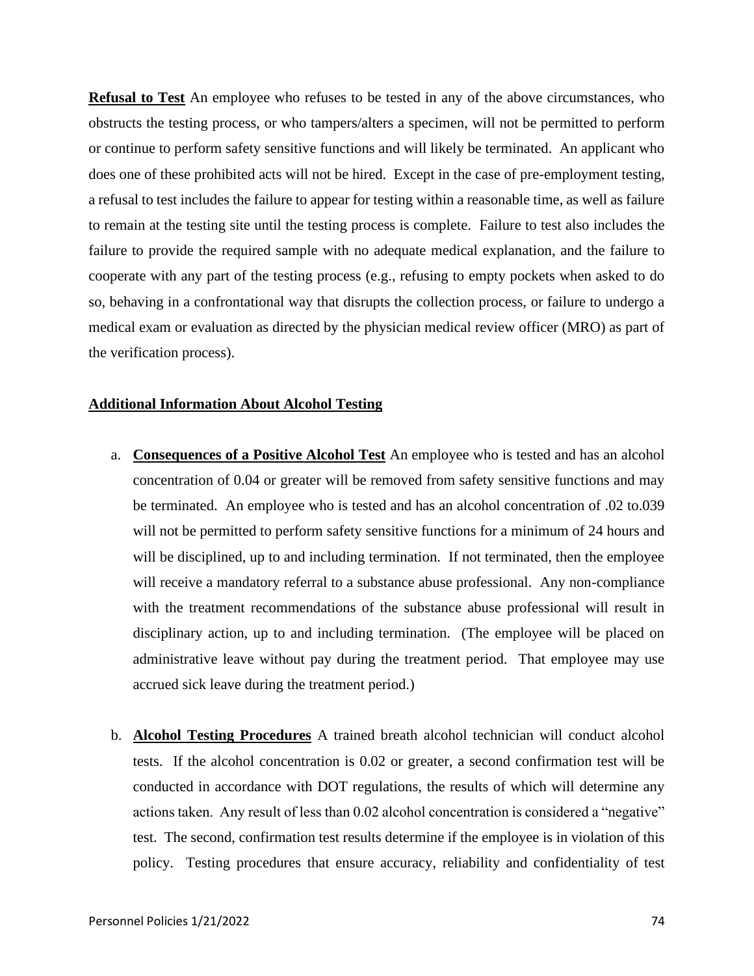**Refusal to Test** An employee who refuses to be tested in any of the above circumstances, who obstructs the testing process, or who tampers/alters a specimen, will not be permitted to perform or continue to perform safety sensitive functions and will likely be terminated. An applicant who does one of these prohibited acts will not be hired. Except in the case of pre-employment testing, a refusal to test includes the failure to appear for testing within a reasonable time, as well as failure to remain at the testing site until the testing process is complete. Failure to test also includes the failure to provide the required sample with no adequate medical explanation, and the failure to cooperate with any part of the testing process (e.g., refusing to empty pockets when asked to do so, behaving in a confrontational way that disrupts the collection process, or failure to undergo a medical exam or evaluation as directed by the physician medical review officer (MRO) as part of the verification process).

# **Additional Information About Alcohol Testing**

- a. **Consequences of a Positive Alcohol Test** An employee who is tested and has an alcohol concentration of 0.04 or greater will be removed from safety sensitive functions and may be terminated. An employee who is tested and has an alcohol concentration of .02 to.039 will not be permitted to perform safety sensitive functions for a minimum of 24 hours and will be disciplined, up to and including termination. If not terminated, then the employee will receive a mandatory referral to a substance abuse professional. Any non-compliance with the treatment recommendations of the substance abuse professional will result in disciplinary action, up to and including termination. (The employee will be placed on administrative leave without pay during the treatment period. That employee may use accrued sick leave during the treatment period.)
- b. **Alcohol Testing Procedures** A trained breath alcohol technician will conduct alcohol tests. If the alcohol concentration is 0.02 or greater, a second confirmation test will be conducted in accordance with DOT regulations, the results of which will determine any actions taken. Any result of less than 0.02 alcohol concentration is considered a "negative" test. The second, confirmation test results determine if the employee is in violation of this policy. Testing procedures that ensure accuracy, reliability and confidentiality of test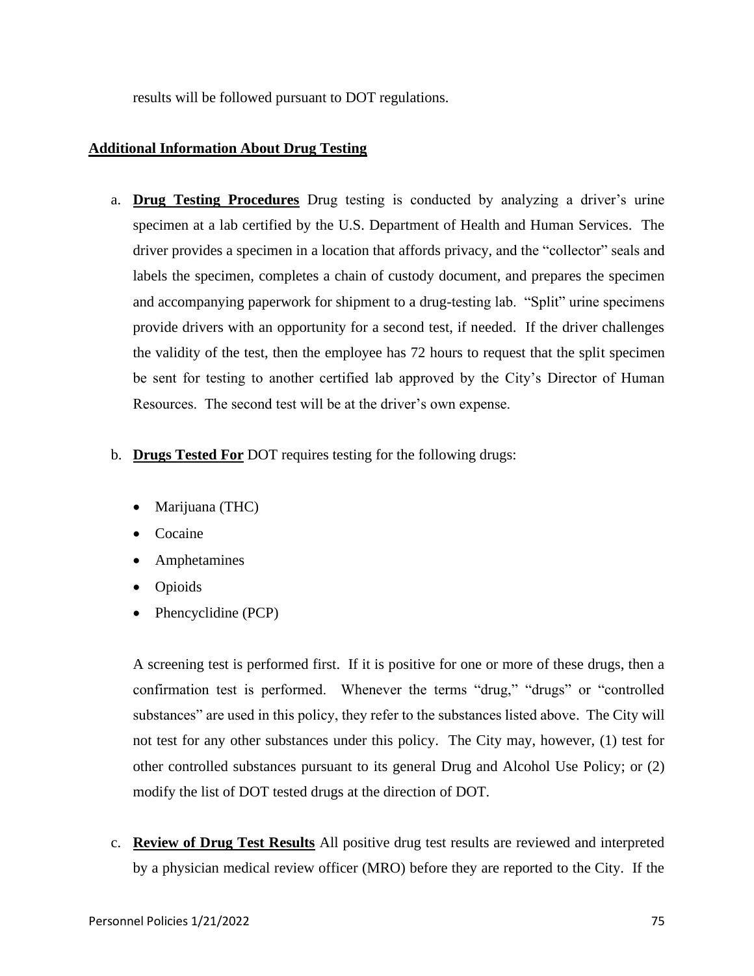results will be followed pursuant to DOT regulations.

# **Additional Information About Drug Testing**

- a. **Drug Testing Procedures** Drug testing is conducted by analyzing a driver's urine specimen at a lab certified by the U.S. Department of Health and Human Services. The driver provides a specimen in a location that affords privacy, and the "collector" seals and labels the specimen, completes a chain of custody document, and prepares the specimen and accompanying paperwork for shipment to a drug-testing lab. "Split" urine specimens provide drivers with an opportunity for a second test, if needed. If the driver challenges the validity of the test, then the employee has 72 hours to request that the split specimen be sent for testing to another certified lab approved by the City's Director of Human Resources. The second test will be at the driver's own expense.
- b. **Drugs Tested For** DOT requires testing for the following drugs:
	- Marijuana (THC)
	- Cocaine
	- Amphetamines
	- Opioids
	- Phencyclidine (PCP)

A screening test is performed first. If it is positive for one or more of these drugs, then a confirmation test is performed. Whenever the terms "drug," "drugs" or "controlled substances" are used in this policy, they refer to the substances listed above. The City will not test for any other substances under this policy. The City may, however, (1) test for other controlled substances pursuant to its general Drug and Alcohol Use Policy; or (2) modify the list of DOT tested drugs at the direction of DOT.

c. **Review of Drug Test Results** All positive drug test results are reviewed and interpreted by a physician medical review officer (MRO) before they are reported to the City. If the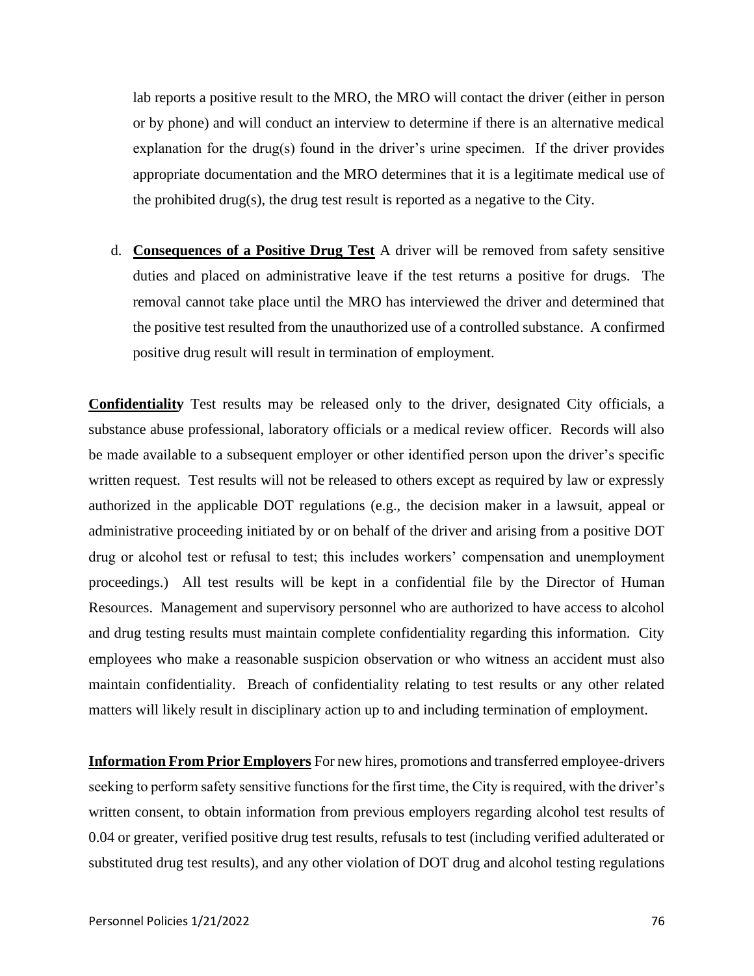lab reports a positive result to the MRO, the MRO will contact the driver (either in person or by phone) and will conduct an interview to determine if there is an alternative medical explanation for the drug(s) found in the driver's urine specimen. If the driver provides appropriate documentation and the MRO determines that it is a legitimate medical use of the prohibited drug(s), the drug test result is reported as a negative to the City.

d. **Consequences of a Positive Drug Test** A driver will be removed from safety sensitive duties and placed on administrative leave if the test returns a positive for drugs. The removal cannot take place until the MRO has interviewed the driver and determined that the positive test resulted from the unauthorized use of a controlled substance. A confirmed positive drug result will result in termination of employment.

**Confidentiality** Test results may be released only to the driver, designated City officials, a substance abuse professional, laboratory officials or a medical review officer. Records will also be made available to a subsequent employer or other identified person upon the driver's specific written request. Test results will not be released to others except as required by law or expressly authorized in the applicable DOT regulations (e.g., the decision maker in a lawsuit, appeal or administrative proceeding initiated by or on behalf of the driver and arising from a positive DOT drug or alcohol test or refusal to test; this includes workers' compensation and unemployment proceedings.) All test results will be kept in a confidential file by the Director of Human Resources. Management and supervisory personnel who are authorized to have access to alcohol and drug testing results must maintain complete confidentiality regarding this information. City employees who make a reasonable suspicion observation or who witness an accident must also maintain confidentiality. Breach of confidentiality relating to test results or any other related matters will likely result in disciplinary action up to and including termination of employment.

**Information From Prior Employers** For new hires, promotions and transferred employee-drivers seeking to perform safety sensitive functions for the first time, the City is required, with the driver's written consent, to obtain information from previous employers regarding alcohol test results of 0.04 or greater, verified positive drug test results, refusals to test (including verified adulterated or substituted drug test results), and any other violation of DOT drug and alcohol testing regulations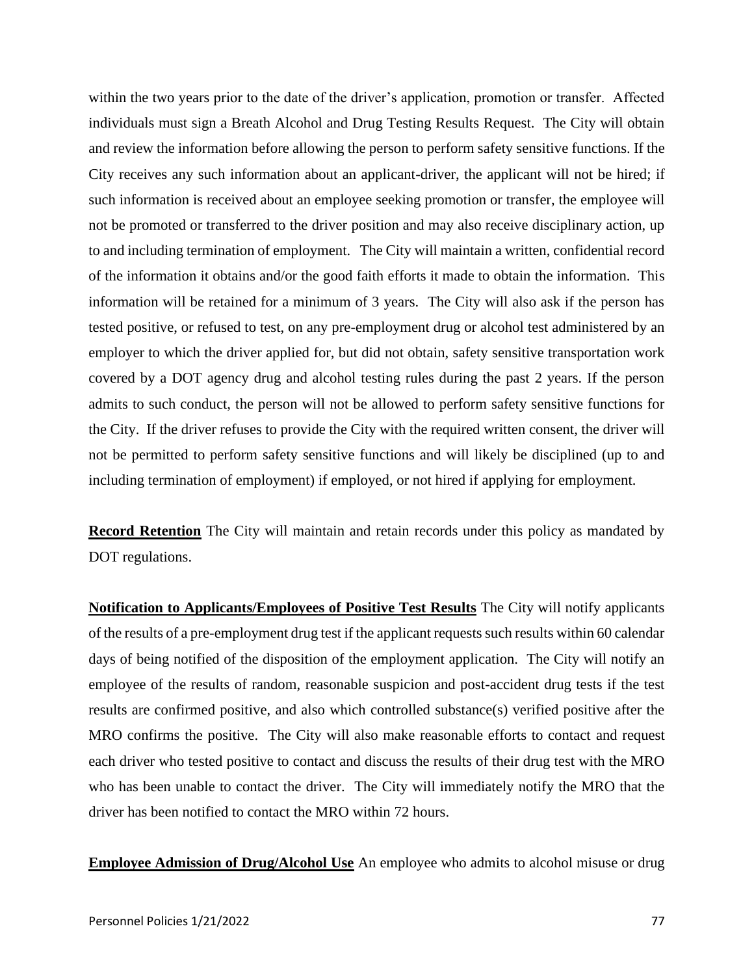within the two years prior to the date of the driver's application, promotion or transfer. Affected individuals must sign a Breath Alcohol and Drug Testing Results Request. The City will obtain and review the information before allowing the person to perform safety sensitive functions. If the City receives any such information about an applicant-driver, the applicant will not be hired; if such information is received about an employee seeking promotion or transfer, the employee will not be promoted or transferred to the driver position and may also receive disciplinary action, up to and including termination of employment. The City will maintain a written, confidential record of the information it obtains and/or the good faith efforts it made to obtain the information. This information will be retained for a minimum of 3 years. The City will also ask if the person has tested positive, or refused to test, on any pre-employment drug or alcohol test administered by an employer to which the driver applied for, but did not obtain, safety sensitive transportation work covered by a DOT agency drug and alcohol testing rules during the past 2 years. If the person admits to such conduct, the person will not be allowed to perform safety sensitive functions for the City. If the driver refuses to provide the City with the required written consent, the driver will not be permitted to perform safety sensitive functions and will likely be disciplined (up to and including termination of employment) if employed, or not hired if applying for employment.

**Record Retention** The City will maintain and retain records under this policy as mandated by DOT regulations.

**Notification to Applicants/Employees of Positive Test Results** The City will notify applicants of the results of a pre-employment drug test if the applicant requests such results within 60 calendar days of being notified of the disposition of the employment application. The City will notify an employee of the results of random, reasonable suspicion and post-accident drug tests if the test results are confirmed positive, and also which controlled substance(s) verified positive after the MRO confirms the positive. The City will also make reasonable efforts to contact and request each driver who tested positive to contact and discuss the results of their drug test with the MRO who has been unable to contact the driver. The City will immediately notify the MRO that the driver has been notified to contact the MRO within 72 hours.

**Employee Admission of Drug/Alcohol Use** An employee who admits to alcohol misuse or drug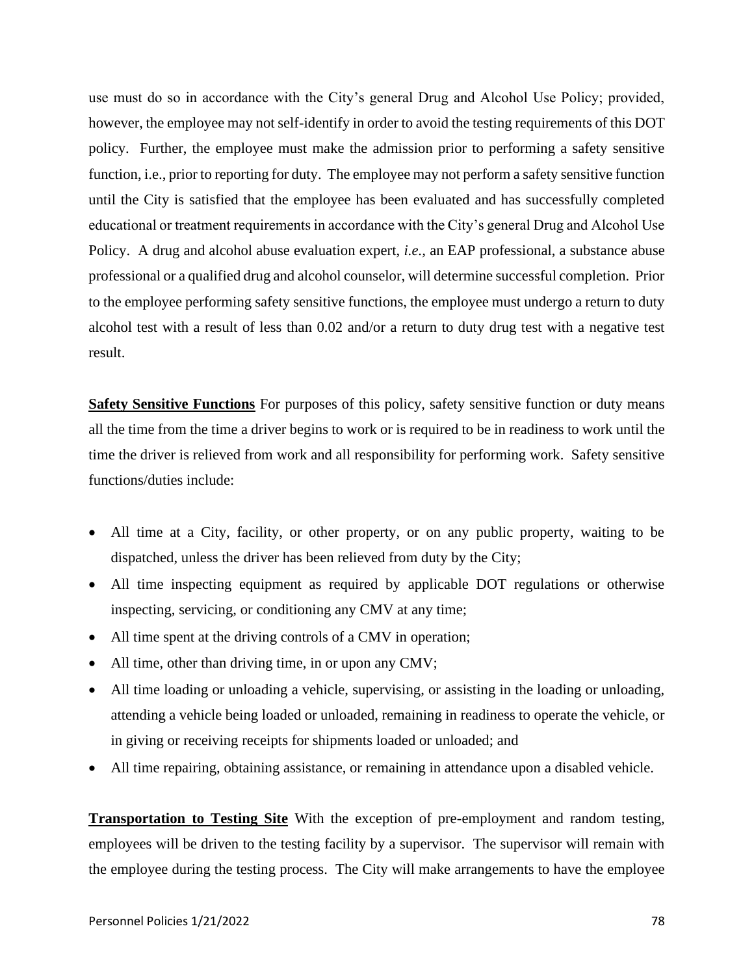use must do so in accordance with the City's general Drug and Alcohol Use Policy; provided, however, the employee may not self-identify in order to avoid the testing requirements of this DOT policy. Further, the employee must make the admission prior to performing a safety sensitive function, i.e., prior to reporting for duty. The employee may not perform a safety sensitive function until the City is satisfied that the employee has been evaluated and has successfully completed educational or treatment requirements in accordance with the City's general Drug and Alcohol Use Policy. A drug and alcohol abuse evaluation expert, *i.e.,* an EAP professional, a substance abuse professional or a qualified drug and alcohol counselor, will determine successful completion. Prior to the employee performing safety sensitive functions, the employee must undergo a return to duty alcohol test with a result of less than 0.02 and/or a return to duty drug test with a negative test result.

**Safety Sensitive Functions** For purposes of this policy, safety sensitive function or duty means all the time from the time a driver begins to work or is required to be in readiness to work until the time the driver is relieved from work and all responsibility for performing work. Safety sensitive functions/duties include:

- All time at a City, facility, or other property, or on any public property, waiting to be dispatched, unless the driver has been relieved from duty by the City;
- All time inspecting equipment as required by applicable DOT regulations or otherwise inspecting, servicing, or conditioning any CMV at any time;
- All time spent at the driving controls of a CMV in operation;
- All time, other than driving time, in or upon any CMV;
- All time loading or unloading a vehicle, supervising, or assisting in the loading or unloading, attending a vehicle being loaded or unloaded, remaining in readiness to operate the vehicle, or in giving or receiving receipts for shipments loaded or unloaded; and
- All time repairing, obtaining assistance, or remaining in attendance upon a disabled vehicle.

**Transportation to Testing Site** With the exception of pre-employment and random testing, employees will be driven to the testing facility by a supervisor. The supervisor will remain with the employee during the testing process. The City will make arrangements to have the employee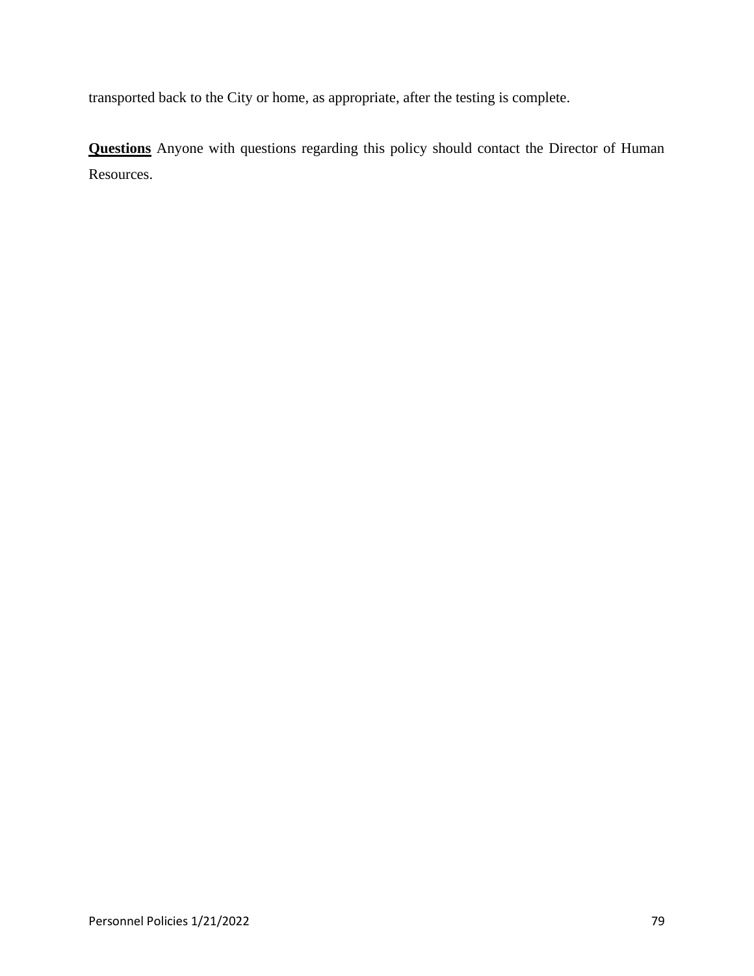transported back to the City or home, as appropriate, after the testing is complete.

**Questions** Anyone with questions regarding this policy should contact the Director of Human Resources.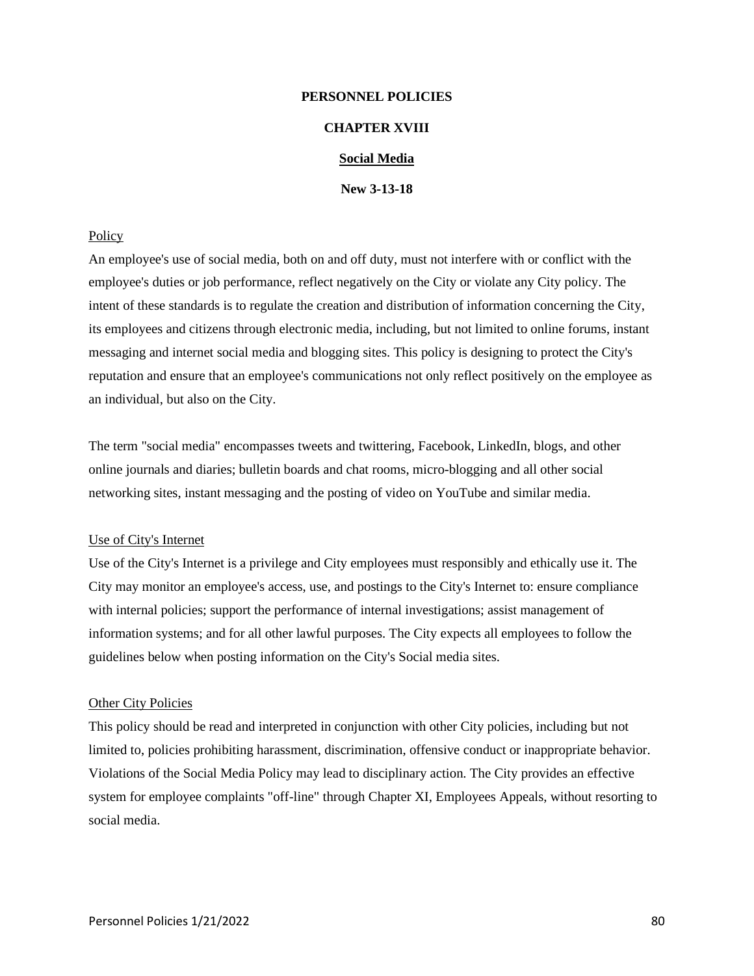# **PERSONNEL POLICIES**

# **CHAPTER XVIII**

# **Social Media**

**New 3-13-18**

### Policy

An employee's use of social media, both on and off duty, must not interfere with or conflict with the employee's duties or job performance, reflect negatively on the City or violate any City policy. The intent of these standards is to regulate the creation and distribution of information concerning the City, its employees and citizens through electronic media, including, but not limited to online forums, instant messaging and internet social media and blogging sites. This policy is designing to protect the City's reputation and ensure that an employee's communications not only reflect positively on the employee as an individual, but also on the City.

The term "social media" encompasses tweets and twittering, Facebook, LinkedIn, blogs, and other online journals and diaries; bulletin boards and chat rooms, micro-blogging and all other social networking sites, instant messaging and the posting of video on YouTube and similar media.

#### Use of City's Internet

Use of the City's Internet is a privilege and City employees must responsibly and ethically use it. The City may monitor an employee's access, use, and postings to the City's Internet to: ensure compliance with internal policies; support the performance of internal investigations; assist management of information systems; and for all other lawful purposes. The City expects all employees to follow the guidelines below when posting information on the City's Social media sites.

#### **Other City Policies**

This policy should be read and interpreted in conjunction with other City policies, including but not limited to, policies prohibiting harassment, discrimination, offensive conduct or inappropriate behavior. Violations of the Social Media Policy may lead to disciplinary action. The City provides an effective system for employee complaints "off-line" through Chapter XI, Employees Appeals, without resorting to social media.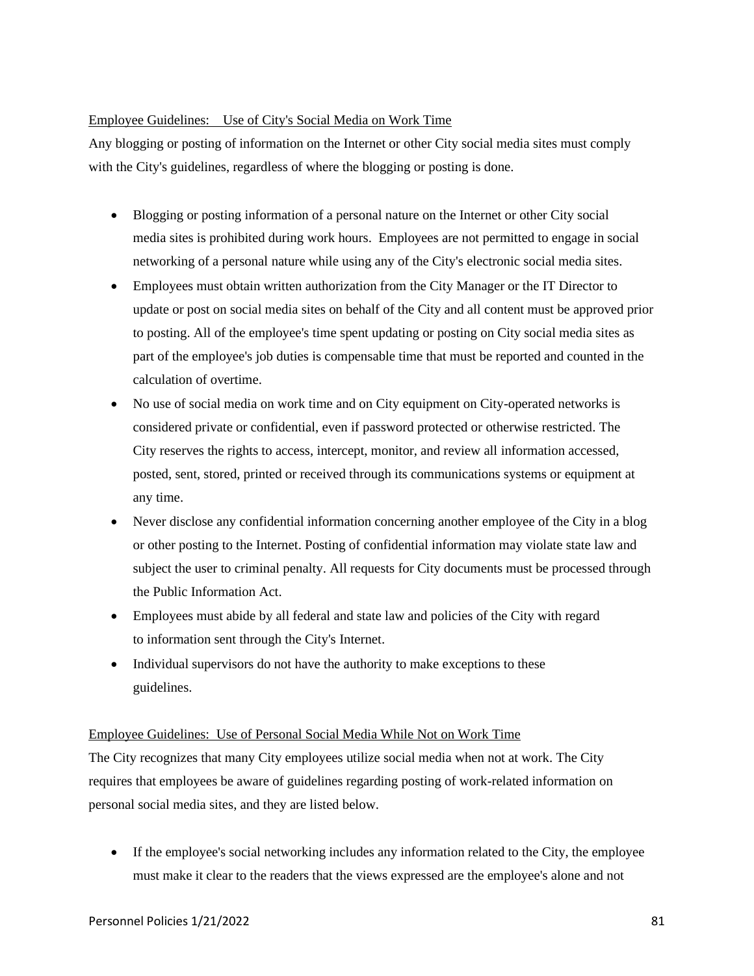# Employee Guidelines: Use of City's Social Media on Work Time

Any blogging or posting of information on the Internet or other City social media sites must comply with the City's guidelines, regardless of where the blogging or posting is done.

- Blogging or posting information of a personal nature on the Internet or other City social media sites is prohibited during work hours. Employees are not permitted to engage in social networking of a personal nature while using any of the City's electronic social media sites.
- Employees must obtain written authorization from the City Manager or the IT Director to update or post on social media sites on behalf of the City and all content must be approved prior to posting. All of the employee's time spent updating or posting on City social media sites as part of the employee's job duties is compensable time that must be reported and counted in the calculation of overtime.
- No use of social media on work time and on City equipment on City-operated networks is considered private or confidential, even if password protected or otherwise restricted. The City reserves the rights to access, intercept, monitor, and review all information accessed, posted, sent, stored, printed or received through its communications systems or equipment at any time.
- Never disclose any confidential information concerning another employee of the City in a blog or other posting to the Internet. Posting of confidential information may violate state law and subject the user to criminal penalty. All requests for City documents must be processed through the Public Information Act.
- Employees must abide by all federal and state law and policies of the City with regard to information sent through the City's Internet.
- Individual supervisors do not have the authority to make exceptions to these guidelines.

# Employee Guidelines: Use of Personal Social Media While Not on Work Time

The City recognizes that many City employees utilize social media when not at work. The City requires that employees be aware of guidelines regarding posting of work-related information on personal social media sites, and they are listed below.

• If the employee's social networking includes any information related to the City, the employee must make it clear to the readers that the views expressed are the employee's alone and not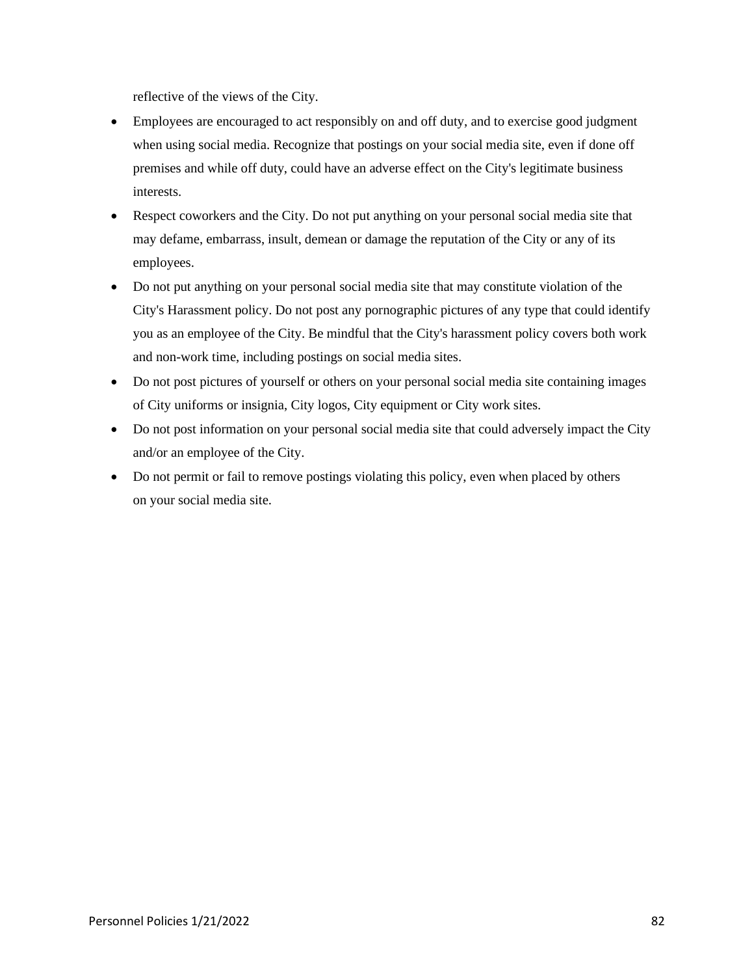reflective of the views of the City.

- Employees are encouraged to act responsibly on and off duty, and to exercise good judgment when using social media. Recognize that postings on your social media site, even if done off premises and while off duty, could have an adverse effect on the City's legitimate business interests.
- Respect coworkers and the City. Do not put anything on your personal social media site that may defame, embarrass, insult, demean or damage the reputation of the City or any of its employees.
- Do not put anything on your personal social media site that may constitute violation of the City's Harassment policy. Do not post any pornographic pictures of any type that could identify you as an employee of the City. Be mindful that the City's harassment policy covers both work and non-work time, including postings on social media sites.
- Do not post pictures of yourself or others on your personal social media site containing images of City uniforms or insignia, City logos, City equipment or City work sites.
- Do not post information on your personal social media site that could adversely impact the City and/or an employee of the City.
- Do not permit or fail to remove postings violating this policy, even when placed by others on your social media site.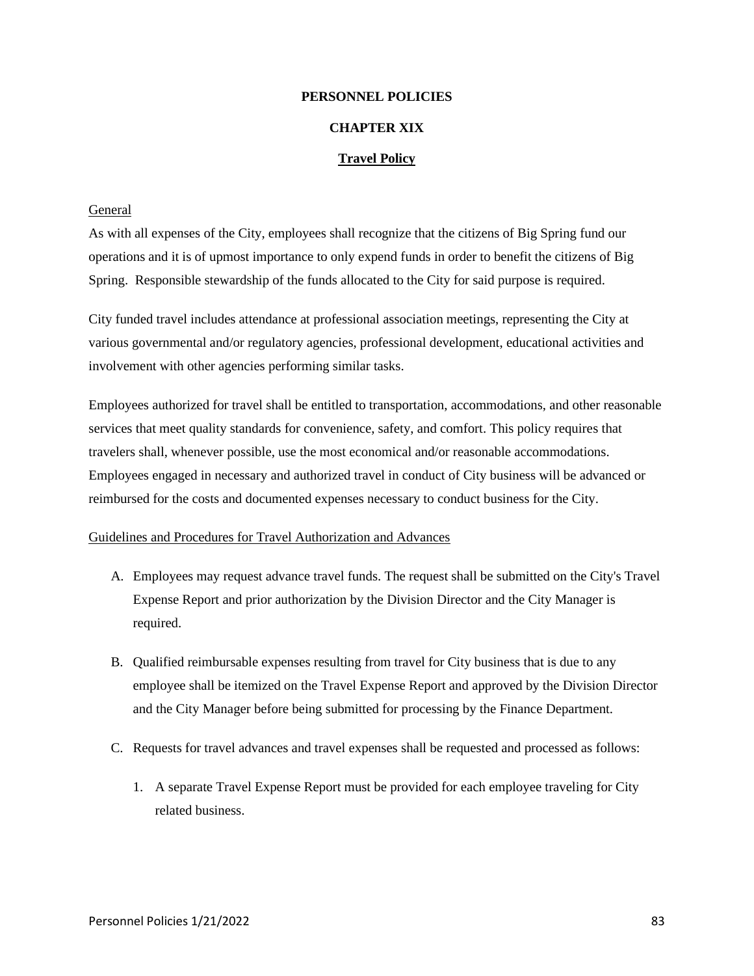# **PERSONNEL POLICIES**

# **CHAPTER XIX**

# **Travel Policy**

# General

As with all expenses of the City, employees shall recognize that the citizens of Big Spring fund our operations and it is of upmost importance to only expend funds in order to benefit the citizens of Big Spring. Responsible stewardship of the funds allocated to the City for said purpose is required.

City funded travel includes attendance at professional association meetings, representing the City at various governmental and/or regulatory agencies, professional development, educational activities and involvement with other agencies performing similar tasks.

Employees authorized for travel shall be entitled to transportation, accommodations, and other reasonable services that meet quality standards for convenience, safety, and comfort. This policy requires that travelers shall, whenever possible, use the most economical and/or reasonable accommodations. Employees engaged in necessary and authorized travel in conduct of City business will be advanced or reimbursed for the costs and documented expenses necessary to conduct business for the City.

### Guidelines and Procedures for Travel Authorization and Advances

- A. Employees may request advance travel funds. The request shall be submitted on the City's Travel Expense Report and prior authorization by the Division Director and the City Manager is required.
- B. Qualified reimbursable expenses resulting from travel for City business that is due to any employee shall be itemized on the Travel Expense Report and approved by the Division Director and the City Manager before being submitted for processing by the Finance Department.
- C. Requests for travel advances and travel expenses shall be requested and processed as follows:
	- 1. A separate Travel Expense Report must be provided for each employee traveling for City related business.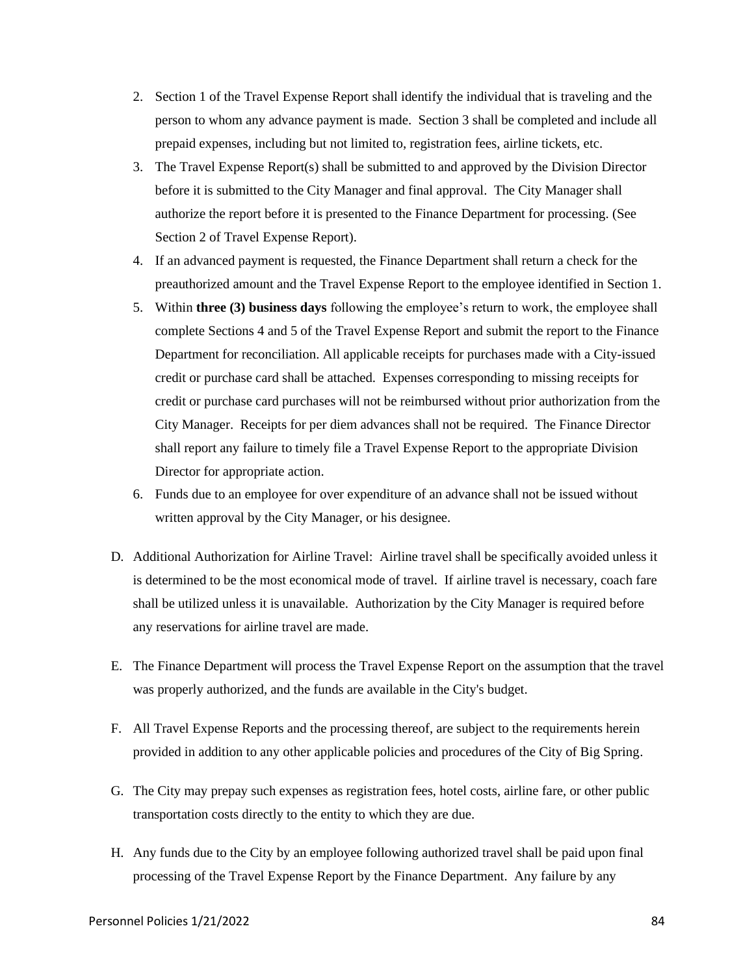- 2. Section 1 of the Travel Expense Report shall identify the individual that is traveling and the person to whom any advance payment is made. Section 3 shall be completed and include all prepaid expenses, including but not limited to, registration fees, airline tickets, etc.
- 3. The Travel Expense Report(s) shall be submitted to and approved by the Division Director before it is submitted to the City Manager and final approval. The City Manager shall authorize the report before it is presented to the Finance Department for processing. (See Section 2 of Travel Expense Report).
- 4. If an advanced payment is requested, the Finance Department shall return a check for the preauthorized amount and the Travel Expense Report to the employee identified in Section 1.
- 5. Within **three (3) business days** following the employee's return to work, the employee shall complete Sections 4 and 5 of the Travel Expense Report and submit the report to the Finance Department for reconciliation. All applicable receipts for purchases made with a City-issued credit or purchase card shall be attached. Expenses corresponding to missing receipts for credit or purchase card purchases will not be reimbursed without prior authorization from the City Manager. Receipts for per diem advances shall not be required. The Finance Director shall report any failure to timely file a Travel Expense Report to the appropriate Division Director for appropriate action.
- 6. Funds due to an employee for over expenditure of an advance shall not be issued without written approval by the City Manager, or his designee.
- D. Additional Authorization for Airline Travel: Airline travel shall be specifically avoided unless it is determined to be the most economical mode of travel. If airline travel is necessary, coach fare shall be utilized unless it is unavailable. Authorization by the City Manager is required before any reservations for airline travel are made.
- E. The Finance Department will process the Travel Expense Report on the assumption that the travel was properly authorized, and the funds are available in the City's budget.
- F. All Travel Expense Reports and the processing thereof, are subject to the requirements herein provided in addition to any other applicable policies and procedures of the City of Big Spring.
- G. The City may prepay such expenses as registration fees, hotel costs, airline fare, or other public transportation costs directly to the entity to which they are due.
- H. Any funds due to the City by an employee following authorized travel shall be paid upon final processing of the Travel Expense Report by the Finance Department. Any failure by any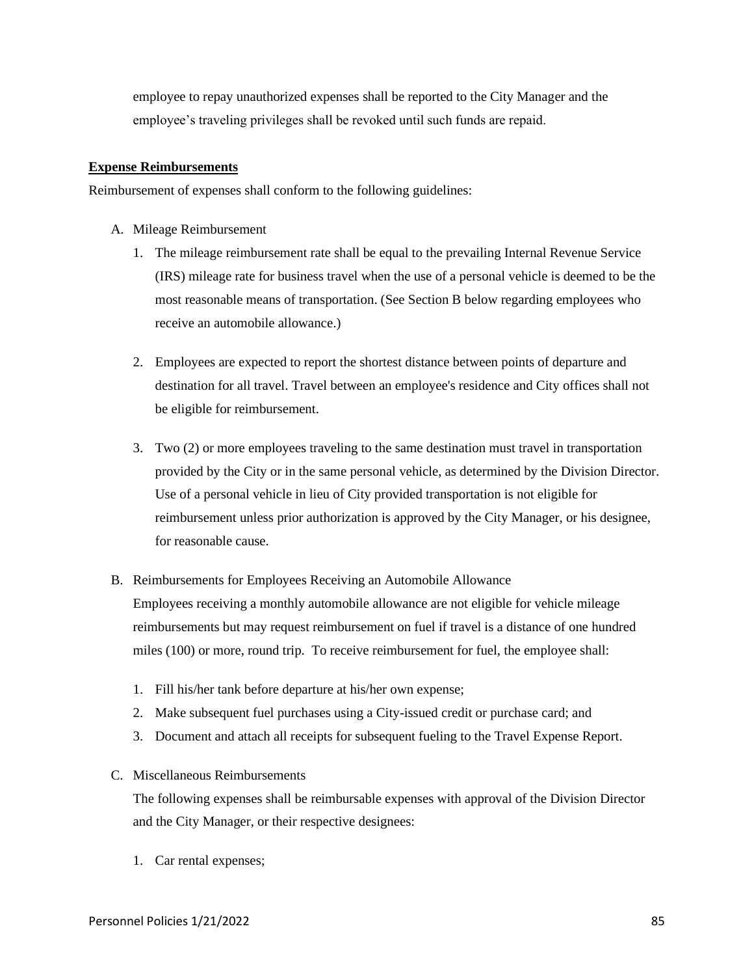employee to repay unauthorized expenses shall be reported to the City Manager and the employee's traveling privileges shall be revoked until such funds are repaid.

# **Expense Reimbursements**

Reimbursement of expenses shall conform to the following guidelines:

- A. Mileage Reimbursement
	- 1. The mileage reimbursement rate shall be equal to the prevailing Internal Revenue Service (IRS) mileage rate for business travel when the use of a personal vehicle is deemed to be the most reasonable means of transportation. (See Section B below regarding employees who receive an automobile allowance.)
	- 2. Employees are expected to report the shortest distance between points of departure and destination for all travel. Travel between an employee's residence and City offices shall not be eligible for reimbursement.
	- 3. Two (2) or more employees traveling to the same destination must travel in transportation provided by the City or in the same personal vehicle, as determined by the Division Director. Use of a personal vehicle in lieu of City provided transportation is not eligible for reimbursement unless prior authorization is approved by the City Manager, or his designee, for reasonable cause.
- B. Reimbursements for Employees Receiving an Automobile Allowance

Employees receiving a monthly automobile allowance are not eligible for vehicle mileage reimbursements but may request reimbursement on fuel if travel is a distance of one hundred miles (100) or more, round trip. To receive reimbursement for fuel, the employee shall:

- 1. Fill his/her tank before departure at his/her own expense;
- 2. Make subsequent fuel purchases using a City-issued credit or purchase card; and
- 3. Document and attach all receipts for subsequent fueling to the Travel Expense Report.
- C. Miscellaneous Reimbursements

The following expenses shall be reimbursable expenses with approval of the Division Director and the City Manager, or their respective designees:

1. Car rental expenses;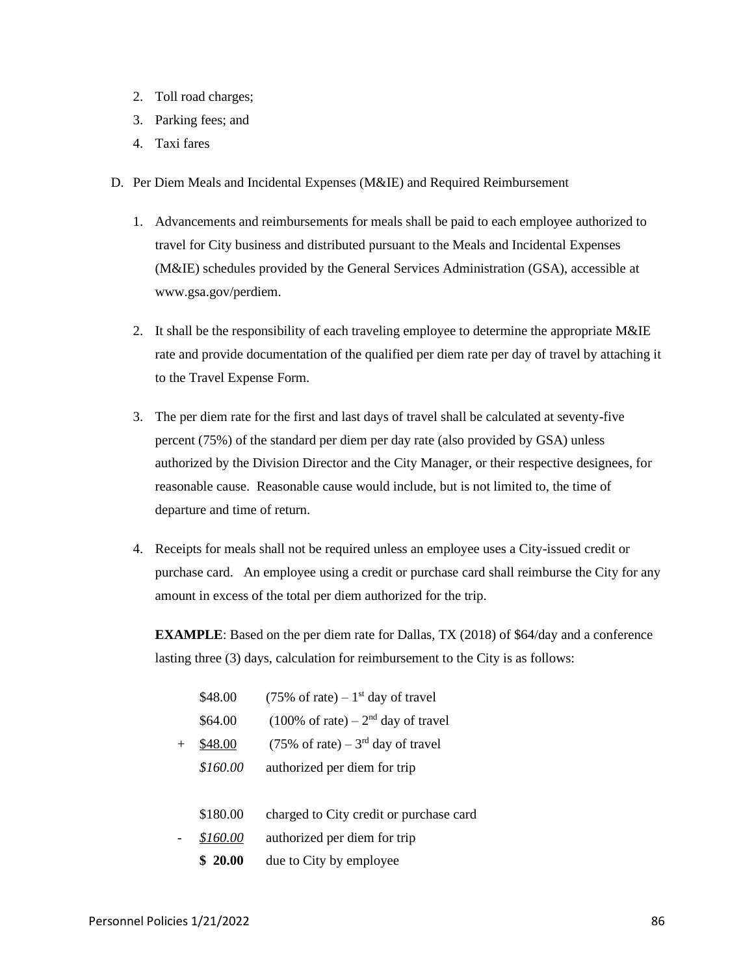- 2. Toll road charges;
- 3. Parking fees; and
- 4. Taxi fares
- D. Per Diem Meals and Incidental Expenses (M&IE) and Required Reimbursement
	- 1. Advancements and reimbursements for meals shall be paid to each employee authorized to travel for City business and distributed pursuant to the Meals and Incidental Expenses (M&IE) schedules provided by the General Services Administration (GSA), accessible at www.gsa.gov/perdiem.
	- 2. It shall be the responsibility of each traveling employee to determine the appropriate M&IE rate and provide documentation of the qualified per diem rate per day of travel by attaching it to the Travel Expense Form.
	- 3. The per diem rate for the first and last days of travel shall be calculated at seventy-five percent (75%) of the standard per diem per day rate (also provided by GSA) unless authorized by the Division Director and the City Manager, or their respective designees, for reasonable cause. Reasonable cause would include, but is not limited to, the time of departure and time of return.
	- 4. Receipts for meals shall not be required unless an employee uses a City-issued credit or purchase card. An employee using a credit or purchase card shall reimburse the City for any amount in excess of the total per diem authorized for the trip.

**EXAMPLE**: Based on the per diem rate for Dallas, TX (2018) of \$64/day and a conference lasting three (3) days, calculation for reimbursement to the City is as follows:

|      | \$48.00  | $(75\% \text{ of rate}) - 1^{\text{st}}$ day of travel  |
|------|----------|---------------------------------------------------------|
|      | \$64.00  | $(100\% \text{ of rate}) - 2^{\text{nd}}$ day of travel |
| $^+$ | \$48.00  | $(75\% \text{ of rate}) - 3^{\text{rd}}$ day of travel  |
|      | \$160.00 | authorized per diem for trip                            |
|      |          |                                                         |
|      | \$180.00 | charged to City credit or purchase card                 |
|      | \$160.00 | authorized per diem for trip                            |
|      | \$20.00  | due to City by employee                                 |
|      |          |                                                         |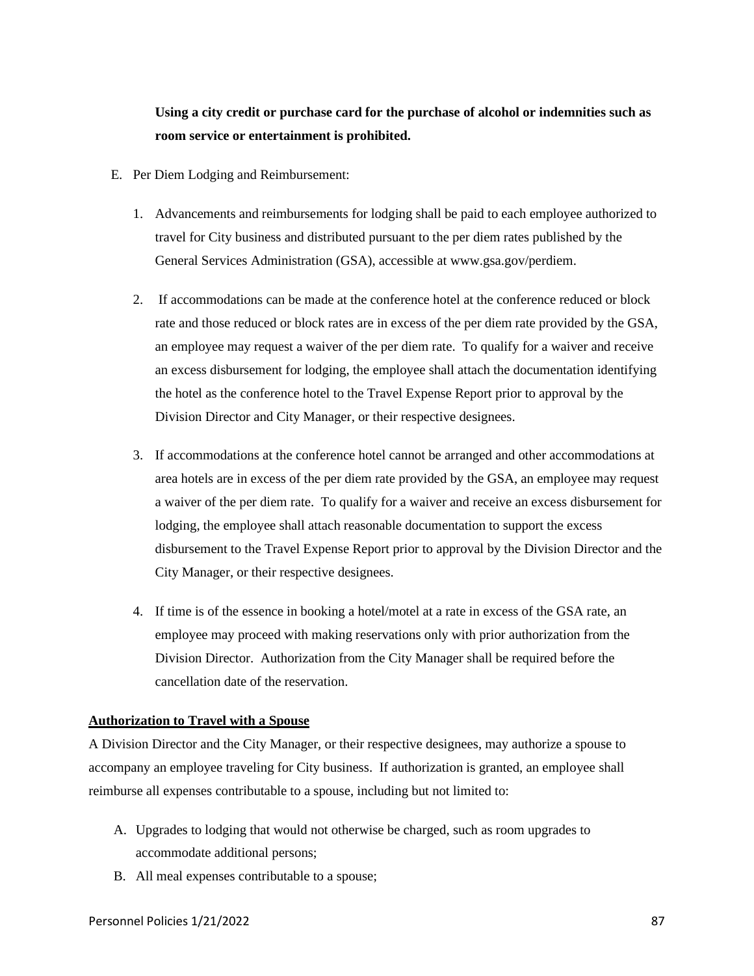# **Using a city credit or purchase card for the purchase of alcohol or indemnities such as room service or entertainment is prohibited.**

- E. Per Diem Lodging and Reimbursement:
	- 1. Advancements and reimbursements for lodging shall be paid to each employee authorized to travel for City business and distributed pursuant to the per diem rates published by the General Services Administration (GSA), accessible at www.gsa.gov/perdiem.
	- 2. If accommodations can be made at the conference hotel at the conference reduced or block rate and those reduced or block rates are in excess of the per diem rate provided by the GSA, an employee may request a waiver of the per diem rate. To qualify for a waiver and receive an excess disbursement for lodging, the employee shall attach the documentation identifying the hotel as the conference hotel to the Travel Expense Report prior to approval by the Division Director and City Manager, or their respective designees.
	- 3. If accommodations at the conference hotel cannot be arranged and other accommodations at area hotels are in excess of the per diem rate provided by the GSA, an employee may request a waiver of the per diem rate. To qualify for a waiver and receive an excess disbursement for lodging, the employee shall attach reasonable documentation to support the excess disbursement to the Travel Expense Report prior to approval by the Division Director and the City Manager, or their respective designees.
	- 4. If time is of the essence in booking a hotel/motel at a rate in excess of the GSA rate, an employee may proceed with making reservations only with prior authorization from the Division Director. Authorization from the City Manager shall be required before the cancellation date of the reservation.

# **Authorization to Travel with a Spouse**

A Division Director and the City Manager, or their respective designees, may authorize a spouse to accompany an employee traveling for City business. If authorization is granted, an employee shall reimburse all expenses contributable to a spouse, including but not limited to:

- A. Upgrades to lodging that would not otherwise be charged, such as room upgrades to accommodate additional persons;
- B. All meal expenses contributable to a spouse;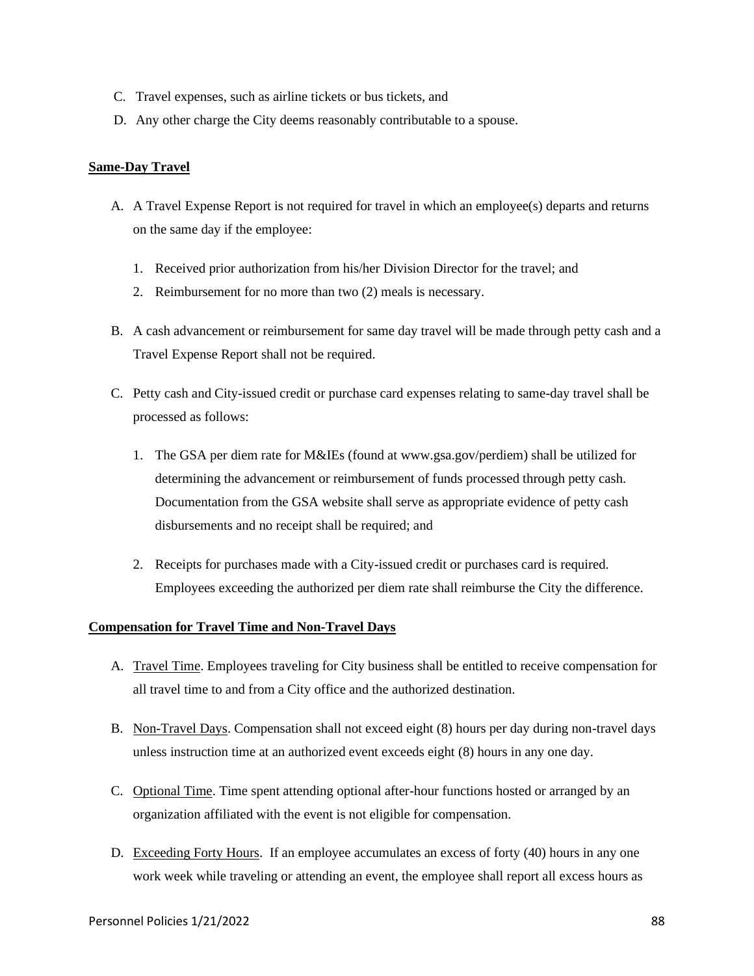- C. Travel expenses, such as airline tickets or bus tickets, and
- D. Any other charge the City deems reasonably contributable to a spouse.

# **Same-Day Travel**

- A. A Travel Expense Report is not required for travel in which an employee(s) departs and returns on the same day if the employee:
	- 1. Received prior authorization from his/her Division Director for the travel; and
	- 2. Reimbursement for no more than two (2) meals is necessary.
- B. A cash advancement or reimbursement for same day travel will be made through petty cash and a Travel Expense Report shall not be required.
- C. Petty cash and City-issued credit or purchase card expenses relating to same-day travel shall be processed as follows:
	- 1. The GSA per diem rate for M&IEs (found at www.gsa.gov/perdiem) shall be utilized for determining the advancement or reimbursement of funds processed through petty cash. Documentation from the GSA website shall serve as appropriate evidence of petty cash disbursements and no receipt shall be required; and
	- 2. Receipts for purchases made with a City-issued credit or purchases card is required. Employees exceeding the authorized per diem rate shall reimburse the City the difference.

# **Compensation for Travel Time and Non-Travel Days**

- A. Travel Time. Employees traveling for City business shall be entitled to receive compensation for all travel time to and from a City office and the authorized destination.
- B. Non-Travel Days. Compensation shall not exceed eight (8) hours per day during non-travel days unless instruction time at an authorized event exceeds eight (8) hours in any one day.
- C. Optional Time. Time spent attending optional after-hour functions hosted or arranged by an organization affiliated with the event is not eligible for compensation.
- D. Exceeding Forty Hours. If an employee accumulates an excess of forty (40) hours in any one work week while traveling or attending an event, the employee shall report all excess hours as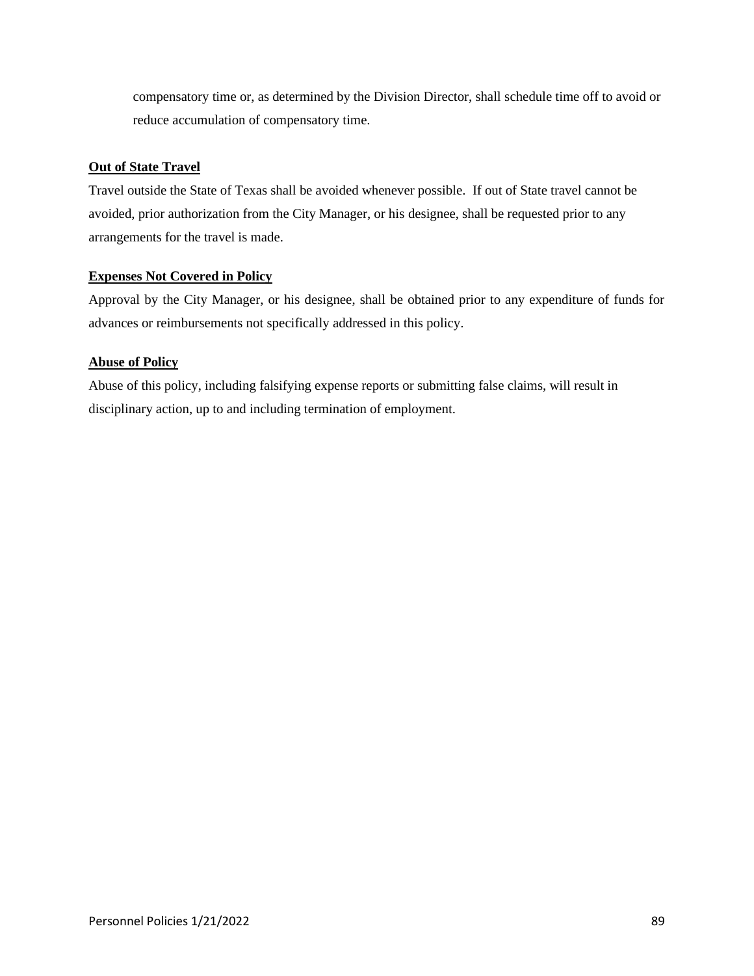compensatory time or, as determined by the Division Director, shall schedule time off to avoid or reduce accumulation of compensatory time.

# **Out of State Travel**

Travel outside the State of Texas shall be avoided whenever possible. If out of State travel cannot be avoided, prior authorization from the City Manager, or his designee, shall be requested prior to any arrangements for the travel is made.

# **Expenses Not Covered in Policy**

Approval by the City Manager, or his designee, shall be obtained prior to any expenditure of funds for advances or reimbursements not specifically addressed in this policy.

# **Abuse of Policy**

Abuse of this policy, including falsifying expense reports or submitting false claims, will result in disciplinary action, up to and including termination of employment.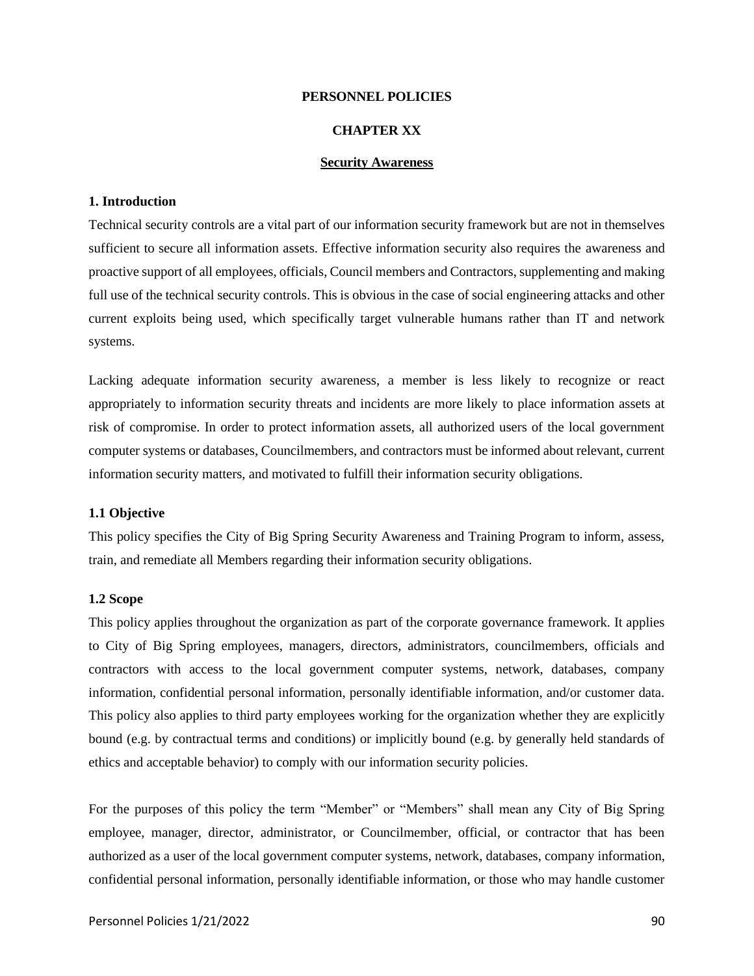#### **PERSONNEL POLICIES**

# **CHAPTER XX**

# **Security Awareness**

#### **1. Introduction**

Technical security controls are a vital part of our information security framework but are not in themselves sufficient to secure all information assets. Effective information security also requires the awareness and proactive support of all employees, officials, Council members and Contractors, supplementing and making full use of the technical security controls. This is obvious in the case of social engineering attacks and other current exploits being used, which specifically target vulnerable humans rather than IT and network systems.

Lacking adequate information security awareness, a member is less likely to recognize or react appropriately to information security threats and incidents are more likely to place information assets at risk of compromise. In order to protect information assets, all authorized users of the local government computer systems or databases, Councilmembers, and contractors must be informed about relevant, current information security matters, and motivated to fulfill their information security obligations.

#### **1.1 Objective**

This policy specifies the City of Big Spring Security Awareness and Training Program to inform, assess, train, and remediate all Members regarding their information security obligations.

#### **1.2 Scope**

This policy applies throughout the organization as part of the corporate governance framework. It applies to City of Big Spring employees, managers, directors, administrators, councilmembers, officials and contractors with access to the local government computer systems, network, databases, company information, confidential personal information, personally identifiable information, and/or customer data. This policy also applies to third party employees working for the organization whether they are explicitly bound (e.g. by contractual terms and conditions) or implicitly bound (e.g. by generally held standards of ethics and acceptable behavior) to comply with our information security policies.

For the purposes of this policy the term "Member" or "Members" shall mean any City of Big Spring employee, manager, director, administrator, or Councilmember, official, or contractor that has been authorized as a user of the local government computer systems, network, databases, company information, confidential personal information, personally identifiable information, or those who may handle customer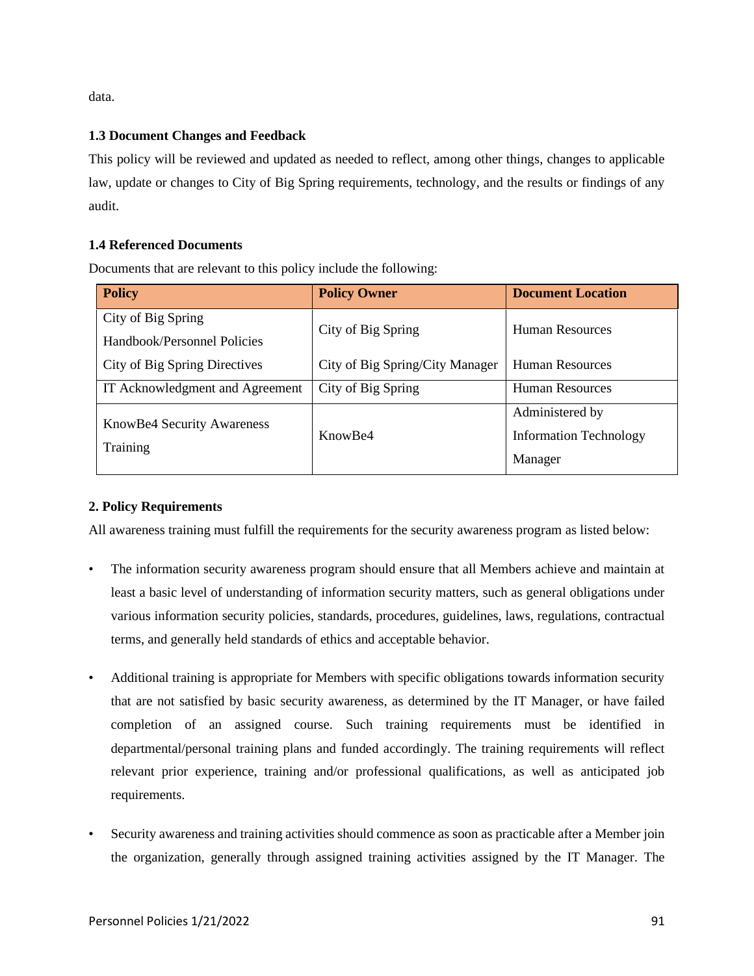data.

# **1.3 Document Changes and Feedback**

This policy will be reviewed and updated as needed to reflect, among other things, changes to applicable law, update or changes to City of Big Spring requirements, technology, and the results or findings of any audit.

# **1.4 Referenced Documents**

Documents that are relevant to this policy include the following:

| <b>Policy</b>                   | <b>Policy Owner</b>             | <b>Document Location</b>      |
|---------------------------------|---------------------------------|-------------------------------|
| City of Big Spring              | City of Big Spring              | <b>Human Resources</b>        |
| Handbook/Personnel Policies     |                                 |                               |
| City of Big Spring Directives   | City of Big Spring/City Manager | <b>Human Resources</b>        |
| IT Acknowledgment and Agreement | City of Big Spring              | <b>Human Resources</b>        |
| KnowBe4 Security Awareness      | Know <sub>Be4</sub>             | Administered by               |
| Training                        |                                 | <b>Information Technology</b> |
|                                 |                                 | Manager                       |

# **2. Policy Requirements**

All awareness training must fulfill the requirements for the security awareness program as listed below:

- The information security awareness program should ensure that all Members achieve and maintain at least a basic level of understanding of information security matters, such as general obligations under various information security policies, standards, procedures, guidelines, laws, regulations, contractual terms, and generally held standards of ethics and acceptable behavior.
- Additional training is appropriate for Members with specific obligations towards information security that are not satisfied by basic security awareness, as determined by the IT Manager, or have failed completion of an assigned course. Such training requirements must be identified in departmental/personal training plans and funded accordingly. The training requirements will reflect relevant prior experience, training and/or professional qualifications, as well as anticipated job requirements.
- Security awareness and training activities should commence as soon as practicable after a Member join the organization, generally through assigned training activities assigned by the IT Manager. The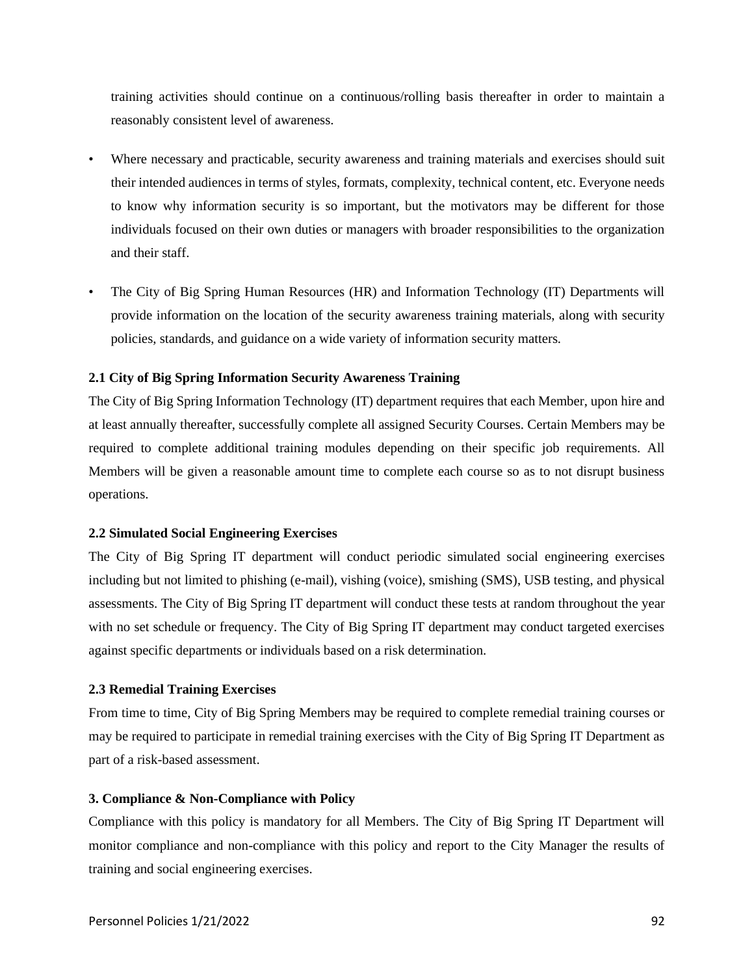training activities should continue on a continuous/rolling basis thereafter in order to maintain a reasonably consistent level of awareness.

- Where necessary and practicable, security awareness and training materials and exercises should suit their intended audiences in terms of styles, formats, complexity, technical content, etc. Everyone needs to know why information security is so important, but the motivators may be different for those individuals focused on their own duties or managers with broader responsibilities to the organization and their staff.
- The City of Big Spring Human Resources (HR) and Information Technology (IT) Departments will provide information on the location of the security awareness training materials, along with security policies, standards, and guidance on a wide variety of information security matters.

# **2.1 City of Big Spring Information Security Awareness Training**

The City of Big Spring Information Technology (IT) department requires that each Member, upon hire and at least annually thereafter, successfully complete all assigned Security Courses. Certain Members may be required to complete additional training modules depending on their specific job requirements. All Members will be given a reasonable amount time to complete each course so as to not disrupt business operations.

### **2.2 Simulated Social Engineering Exercises**

The City of Big Spring IT department will conduct periodic simulated social engineering exercises including but not limited to phishing (e-mail), vishing (voice), smishing (SMS), USB testing, and physical assessments. The City of Big Spring IT department will conduct these tests at random throughout the year with no set schedule or frequency. The City of Big Spring IT department may conduct targeted exercises against specific departments or individuals based on a risk determination.

### **2.3 Remedial Training Exercises**

From time to time, City of Big Spring Members may be required to complete remedial training courses or may be required to participate in remedial training exercises with the City of Big Spring IT Department as part of a risk-based assessment.

### **3. Compliance & Non-Compliance with Policy**

Compliance with this policy is mandatory for all Members. The City of Big Spring IT Department will monitor compliance and non-compliance with this policy and report to the City Manager the results of training and social engineering exercises.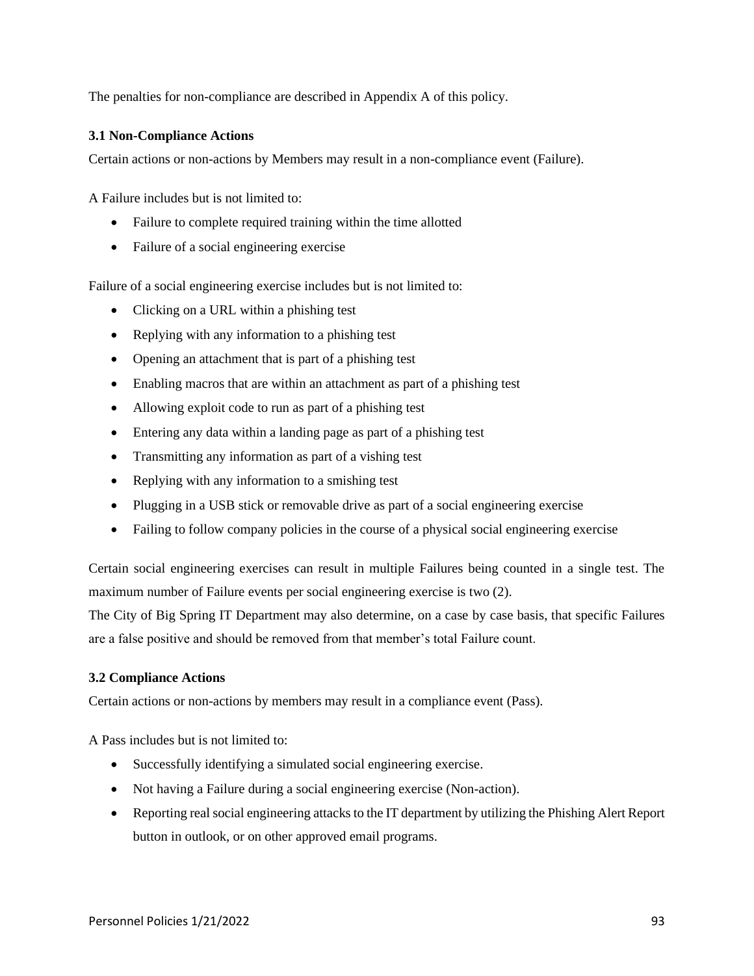The penalties for non-compliance are described in Appendix A of this policy.

# **3.1 Non-Compliance Actions**

Certain actions or non-actions by Members may result in a non-compliance event (Failure).

A Failure includes but is not limited to:

- Failure to complete required training within the time allotted
- Failure of a social engineering exercise

Failure of a social engineering exercise includes but is not limited to:

- Clicking on a URL within a phishing test
- Replying with any information to a phishing test
- Opening an attachment that is part of a phishing test
- Enabling macros that are within an attachment as part of a phishing test
- Allowing exploit code to run as part of a phishing test
- Entering any data within a landing page as part of a phishing test
- Transmitting any information as part of a vishing test
- Replying with any information to a smishing test
- Plugging in a USB stick or removable drive as part of a social engineering exercise
- Failing to follow company policies in the course of a physical social engineering exercise

Certain social engineering exercises can result in multiple Failures being counted in a single test. The maximum number of Failure events per social engineering exercise is two (2).

The City of Big Spring IT Department may also determine, on a case by case basis, that specific Failures are a false positive and should be removed from that member's total Failure count.

# **3.2 Compliance Actions**

Certain actions or non-actions by members may result in a compliance event (Pass).

A Pass includes but is not limited to:

- Successfully identifying a simulated social engineering exercise.
- Not having a Failure during a social engineering exercise (Non-action).
- Reporting real social engineering attacks to the IT department by utilizing the Phishing Alert Report button in outlook, or on other approved email programs.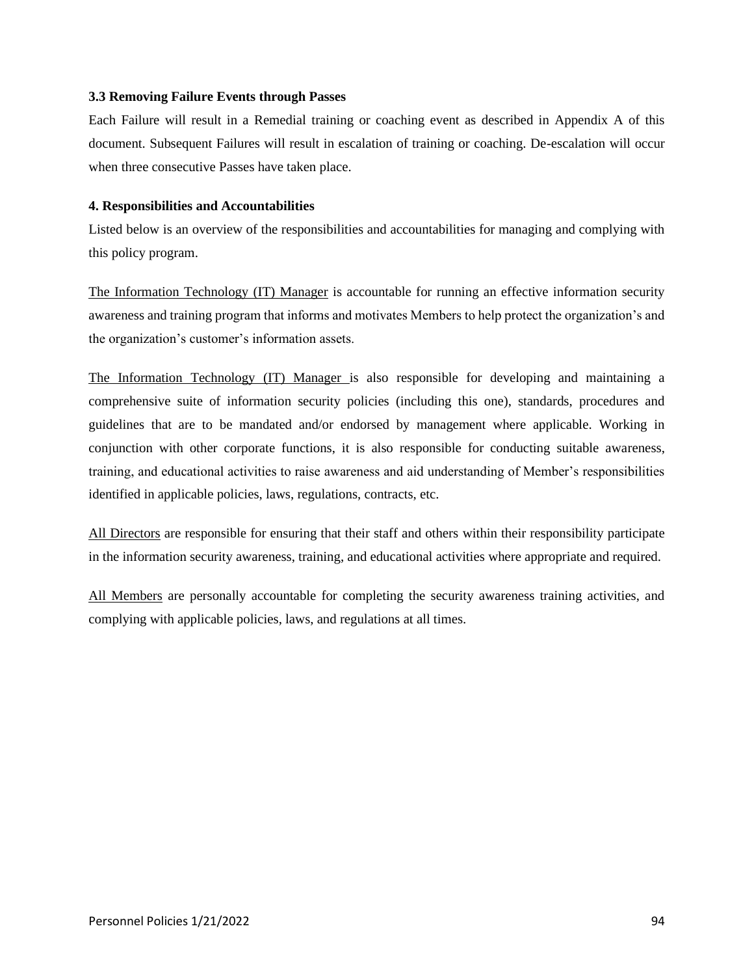# **3.3 Removing Failure Events through Passes**

Each Failure will result in a Remedial training or coaching event as described in Appendix A of this document. Subsequent Failures will result in escalation of training or coaching. De-escalation will occur when three consecutive Passes have taken place.

# **4. Responsibilities and Accountabilities**

Listed below is an overview of the responsibilities and accountabilities for managing and complying with this policy program.

The Information Technology (IT) Manager is accountable for running an effective information security awareness and training program that informs and motivates Members to help protect the organization's and the organization's customer's information assets.

The Information Technology (IT) Manager is also responsible for developing and maintaining a comprehensive suite of information security policies (including this one), standards, procedures and guidelines that are to be mandated and/or endorsed by management where applicable. Working in conjunction with other corporate functions, it is also responsible for conducting suitable awareness, training, and educational activities to raise awareness and aid understanding of Member's responsibilities identified in applicable policies, laws, regulations, contracts, etc.

All Directors are responsible for ensuring that their staff and others within their responsibility participate in the information security awareness, training, and educational activities where appropriate and required.

All Members are personally accountable for completing the security awareness training activities, and complying with applicable policies, laws, and regulations at all times.